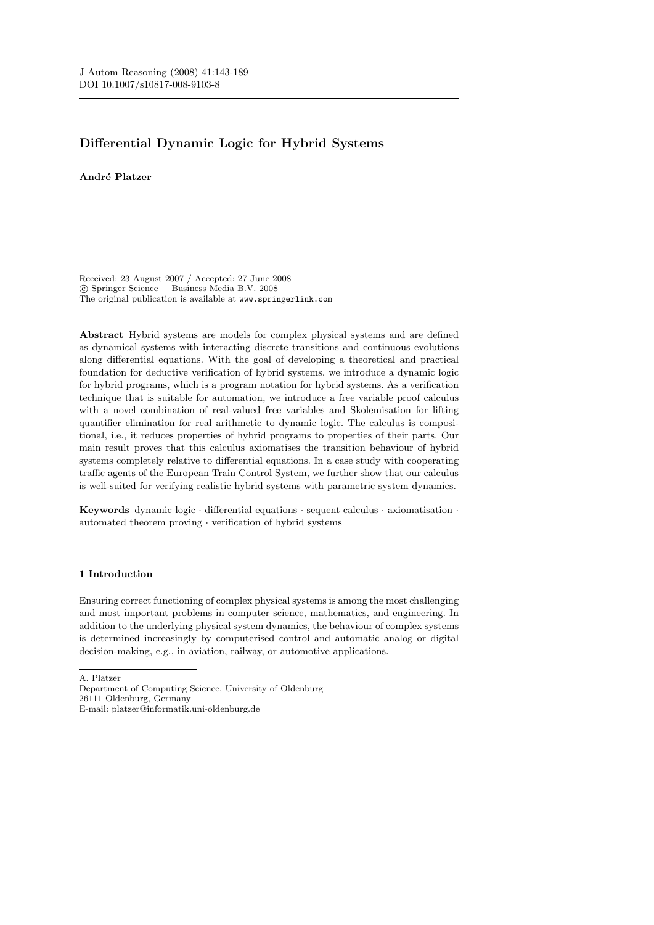# Differential Dynamic Logic for Hybrid Systems

# André Platzer

Received: 23 August 2007 / Accepted: 27 June 2008 c Springer Science + Business Media B.V. 2008 The original publication is available at www.springerlink.com

Abstract Hybrid systems are models for complex physical systems and are defined as dynamical systems with interacting discrete transitions and continuous evolutions along differential equations. With the goal of developing a theoretical and practical foundation for deductive verification of hybrid systems, we introduce a dynamic logic for hybrid programs, which is a program notation for hybrid systems. As a verification technique that is suitable for automation, we introduce a free variable proof calculus with a novel combination of real-valued free variables and Skolemisation for lifting quantifier elimination for real arithmetic to dynamic logic. The calculus is compositional, i.e., it reduces properties of hybrid programs to properties of their parts. Our main result proves that this calculus axiomatises the transition behaviour of hybrid systems completely relative to differential equations. In a case study with cooperating traffic agents of the European Train Control System, we further show that our calculus is well-suited for verifying realistic hybrid systems with parametric system dynamics.

Keywords dynamic logic  $\cdot$  differential equations  $\cdot$  sequent calculus  $\cdot$  axiomatisation  $\cdot$ automated theorem proving · verification of hybrid systems

# 1 Introduction

Ensuring correct functioning of complex physical systems is among the most challenging and most important problems in computer science, mathematics, and engineering. In addition to the underlying physical system dynamics, the behaviour of complex systems is determined increasingly by computerised control and automatic analog or digital decision-making, e.g., in aviation, railway, or automotive applications.

A. Platzer

26111 Oldenburg, Germany

Department of Computing Science, University of Oldenburg

E-mail: platzer@informatik.uni-oldenburg.de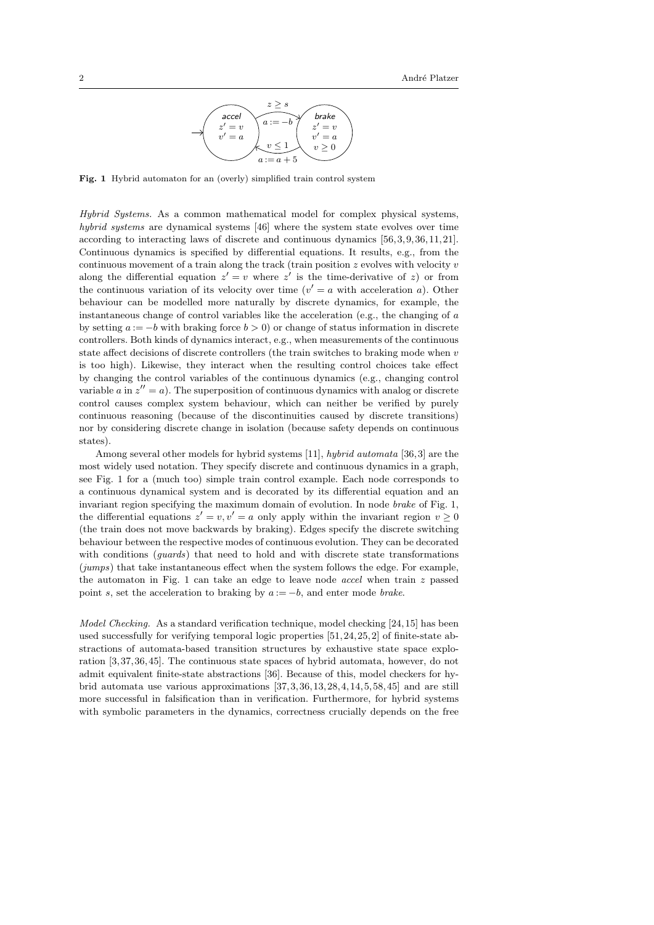

Fig. 1 Hybrid automaton for an (overly) simplified train control system

Hybrid Systems. As a common mathematical model for complex physical systems, hybrid systems are dynamical systems [46] where the system state evolves over time according to interacting laws of discrete and continuous dynamics [56, 3,9, 36, 11, 21]. Continuous dynamics is specified by differential equations. It results, e.g., from the continuous movement of a train along the track (train position  $z$  evolves with velocity  $v$ along the differential equation  $z' = v$  where  $z'$  is the time-derivative of z) or from the continuous variation of its velocity over time  $(v' = a$  with acceleration a). Other behaviour can be modelled more naturally by discrete dynamics, for example, the instantaneous change of control variables like the acceleration (e.g., the changing of a by setting  $a := -b$  with braking force  $b > 0$  or change of status information in discrete controllers. Both kinds of dynamics interact, e.g., when measurements of the continuous state affect decisions of discrete controllers (the train switches to braking mode when  $v$ is too high). Likewise, they interact when the resulting control choices take effect by changing the control variables of the continuous dynamics (e.g., changing control variable a in  $z'' = a$ ). The superposition of continuous dynamics with analog or discrete control causes complex system behaviour, which can neither be verified by purely continuous reasoning (because of the discontinuities caused by discrete transitions) nor by considering discrete change in isolation (because safety depends on continuous states).

Among several other models for hybrid systems [11], hybrid automata [36, 3] are the most widely used notation. They specify discrete and continuous dynamics in a graph, see Fig. 1 for a (much too) simple train control example. Each node corresponds to a continuous dynamical system and is decorated by its differential equation and an invariant region specifying the maximum domain of evolution. In node brake of Fig. 1, the differential equations  $z' = v, v' = a$  only apply within the invariant region  $v \ge 0$ (the train does not move backwards by braking). Edges specify the discrete switching behaviour between the respective modes of continuous evolution. They can be decorated with conditions (*guards*) that need to hold and with discrete state transformations (jumps) that take instantaneous effect when the system follows the edge. For example, the automaton in Fig. 1 can take an edge to leave node *accel* when train  $z$  passed point s, set the acceleration to braking by  $a := -b$ , and enter mode brake.

Model Checking. As a standard verification technique, model checking [24, 15] has been used successfully for verifying temporal logic properties [51, 24,25, 2] of finite-state abstractions of automata-based transition structures by exhaustive state space exploration [3, 37, 36, 45]. The continuous state spaces of hybrid automata, however, do not admit equivalent finite-state abstractions [36]. Because of this, model checkers for hybrid automata use various approximations [37, 3, 36,13, 28, 4, 14,5, 58, 45] and are still more successful in falsification than in verification. Furthermore, for hybrid systems with symbolic parameters in the dynamics, correctness crucially depends on the free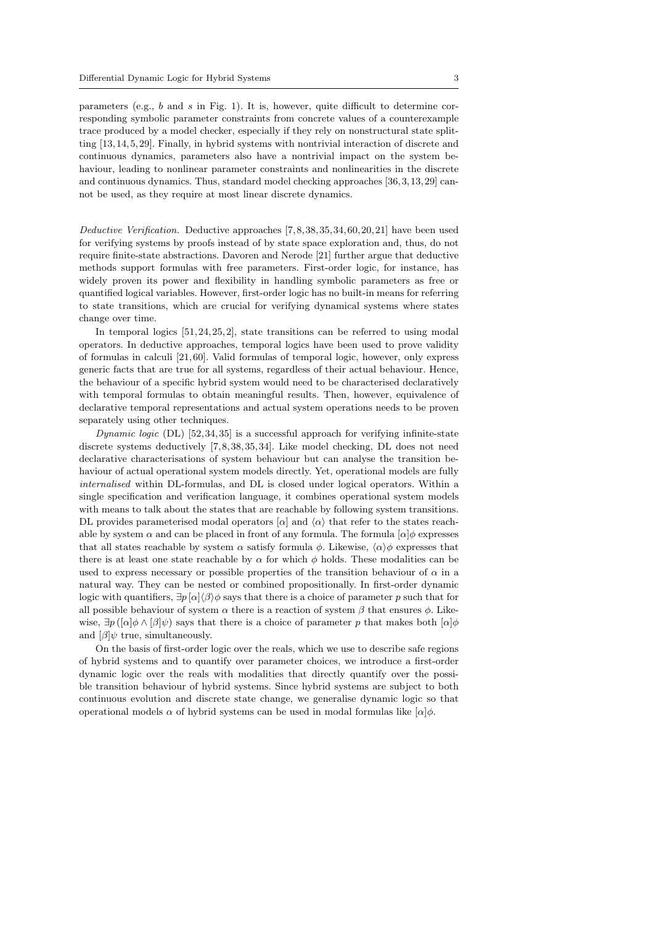parameters (e.g.,  $b$  and  $s$  in Fig. 1). It is, however, quite difficult to determine corresponding symbolic parameter constraints from concrete values of a counterexample trace produced by a model checker, especially if they rely on nonstructural state splitting [13,14, 5, 29]. Finally, in hybrid systems with nontrivial interaction of discrete and continuous dynamics, parameters also have a nontrivial impact on the system behaviour, leading to nonlinear parameter constraints and nonlinearities in the discrete and continuous dynamics. Thus, standard model checking approaches [36, 3, 13, 29] cannot be used, as they require at most linear discrete dynamics.

Deductive Verification. Deductive approaches [7, 8, 38,35, 34, 60, 20,21] have been used for verifying systems by proofs instead of by state space exploration and, thus, do not require finite-state abstractions. Davoren and Nerode [21] further argue that deductive methods support formulas with free parameters. First-order logic, for instance, has widely proven its power and flexibility in handling symbolic parameters as free or quantified logical variables. However, first-order logic has no built-in means for referring to state transitions, which are crucial for verifying dynamical systems where states change over time.

In temporal logics [51, 24,25, 2], state transitions can be referred to using modal operators. In deductive approaches, temporal logics have been used to prove validity of formulas in calculi [21, 60]. Valid formulas of temporal logic, however, only express generic facts that are true for all systems, regardless of their actual behaviour. Hence, the behaviour of a specific hybrid system would need to be characterised declaratively with temporal formulas to obtain meaningful results. Then, however, equivalence of declarative temporal representations and actual system operations needs to be proven separately using other techniques.

Dynamic logic (DL)  $[52, 34, 35]$  is a successful approach for verifying infinite-state discrete systems deductively [7, 8,38, 35, 34]. Like model checking, DL does not need declarative characterisations of system behaviour but can analyse the transition behaviour of actual operational system models directly. Yet, operational models are fully internalised within DL-formulas, and DL is closed under logical operators. Within a single specification and verification language, it combines operational system models with means to talk about the states that are reachable by following system transitions. DL provides parameterised modal operators  $[\alpha]$  and  $\langle \alpha \rangle$  that refer to the states reachable by system  $\alpha$  and can be placed in front of any formula. The formula  $\alpha|\phi$  expresses that all states reachable by system  $\alpha$  satisfy formula  $\phi$ . Likewise,  $\langle \alpha \rangle \phi$  expresses that there is at least one state reachable by  $\alpha$  for which  $\phi$  holds. These modalities can be used to express necessary or possible properties of the transition behaviour of  $\alpha$  in a natural way. They can be nested or combined propositionally. In first-order dynamic logic with quantifiers,  $\exists p [\alpha](\beta)\phi$  says that there is a choice of parameter p such that for all possible behaviour of system  $\alpha$  there is a reaction of system  $\beta$  that ensures  $\phi$ . Likewise,  $\exists p \left( [\alpha] \phi \wedge [\beta] \psi \right)$  says that there is a choice of parameter p that makes both  $[\alpha] \phi$ and  $\left[\beta\right]\psi$  true, simultaneously.

On the basis of first-order logic over the reals, which we use to describe safe regions of hybrid systems and to quantify over parameter choices, we introduce a first-order dynamic logic over the reals with modalities that directly quantify over the possible transition behaviour of hybrid systems. Since hybrid systems are subject to both continuous evolution and discrete state change, we generalise dynamic logic so that operational models  $\alpha$  of hybrid systems can be used in modal formulas like  $\alpha | \phi$ .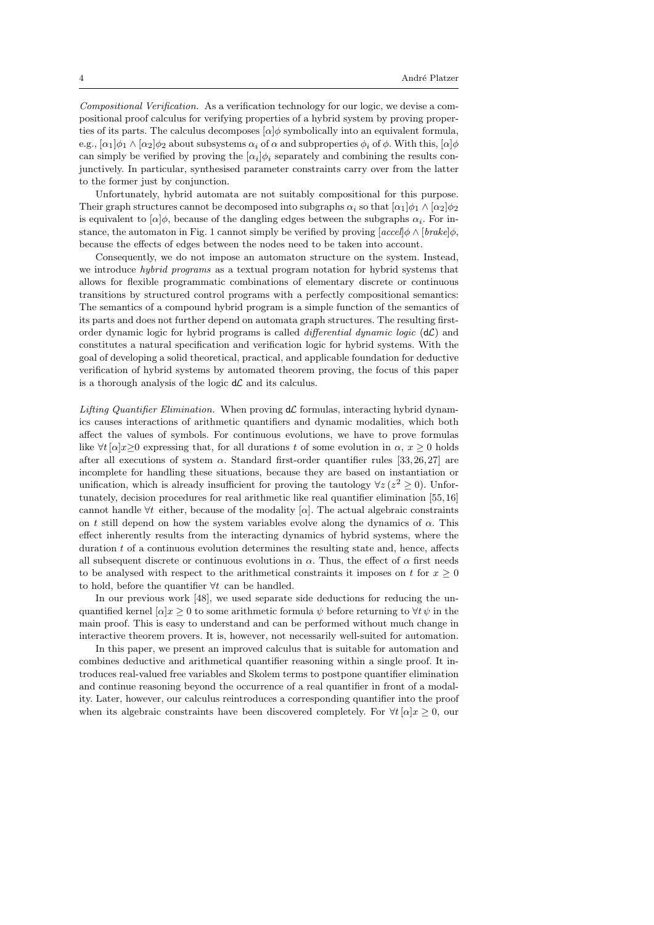Compositional Verification. As a verification technology for our logic, we devise a compositional proof calculus for verifying properties of a hybrid system by proving properties of its parts. The calculus decomposes  $[\alpha]\phi$  symbolically into an equivalent formula, e.g.,  $[\alpha_1]\phi_1 \wedge [\alpha_2]\phi_2$  about subsystems  $\alpha_i$  of  $\alpha$  and subproperties  $\phi_i$  of  $\phi$ . With this,  $[\alpha]\phi$ can simply be verified by proving the  $[\alpha_i] \phi_i$  separately and combining the results conjunctively. In particular, synthesised parameter constraints carry over from the latter to the former just by conjunction.

Unfortunately, hybrid automata are not suitably compositional for this purpose. Their graph structures cannot be decomposed into subgraphs  $\alpha_i$  so that  $[\alpha_1]\phi_1 \wedge [\alpha_2]\phi_2$ is equivalent to  $[\alpha]\phi$ , because of the dangling edges between the subgraphs  $\alpha_i$ . For instance, the automaton in Fig. 1 cannot simply be verified by proving  $[accel] \phi \wedge [brake] \phi$ , because the effects of edges between the nodes need to be taken into account.

Consequently, we do not impose an automaton structure on the system. Instead, we introduce hybrid programs as a textual program notation for hybrid systems that allows for flexible programmatic combinations of elementary discrete or continuous transitions by structured control programs with a perfectly compositional semantics: The semantics of a compound hybrid program is a simple function of the semantics of its parts and does not further depend on automata graph structures. The resulting firstorder dynamic logic for hybrid programs is called *differential dynamic logic*  $(d\mathcal{L})$  and constitutes a natural specification and verification logic for hybrid systems. With the goal of developing a solid theoretical, practical, and applicable foundation for deductive verification of hybrid systems by automated theorem proving, the focus of this paper is a thorough analysis of the logic  $d\mathcal{L}$  and its calculus.

Lifting Quantifier Elimination. When proving  $d\mathcal{L}$  formulas, interacting hybrid dynamics causes interactions of arithmetic quantifiers and dynamic modalities, which both affect the values of symbols. For continuous evolutions, we have to prove formulas like  $\forall t [\alpha]x\geq 0$  expressing that, for all durations t of some evolution in  $\alpha, x \geq 0$  holds after all executions of system  $\alpha$ . Standard first-order quantifier rules [33,26,27] are incomplete for handling these situations, because they are based on instantiation or unification, which is already insufficient for proving the tautology  $\forall z (z^2 \geq 0)$ . Unfortunately, decision procedures for real arithmetic like real quantifier elimination [55,16] cannot handle  $\forall t$  either, because of the modality [ $\alpha$ ]. The actual algebraic constraints on t still depend on how the system variables evolve along the dynamics of  $\alpha$ . This effect inherently results from the interacting dynamics of hybrid systems, where the duration  $t$  of a continuous evolution determines the resulting state and, hence, affects all subsequent discrete or continuous evolutions in  $\alpha$ . Thus, the effect of  $\alpha$  first needs to be analysed with respect to the arithmetical constraints it imposes on t for  $x \geq 0$ to hold, before the quantifier  $\forall t$  can be handled.

In our previous work [48], we used separate side deductions for reducing the unquantified kernel  $[\alpha]x \geq 0$  to some arithmetic formula  $\psi$  before returning to  $\forall t \psi$  in the main proof. This is easy to understand and can be performed without much change in interactive theorem provers. It is, however, not necessarily well-suited for automation.

In this paper, we present an improved calculus that is suitable for automation and combines deductive and arithmetical quantifier reasoning within a single proof. It introduces real-valued free variables and Skolem terms to postpone quantifier elimination and continue reasoning beyond the occurrence of a real quantifier in front of a modality. Later, however, our calculus reintroduces a corresponding quantifier into the proof when its algebraic constraints have been discovered completely. For  $\forall t[\alpha]x \geq 0$ , our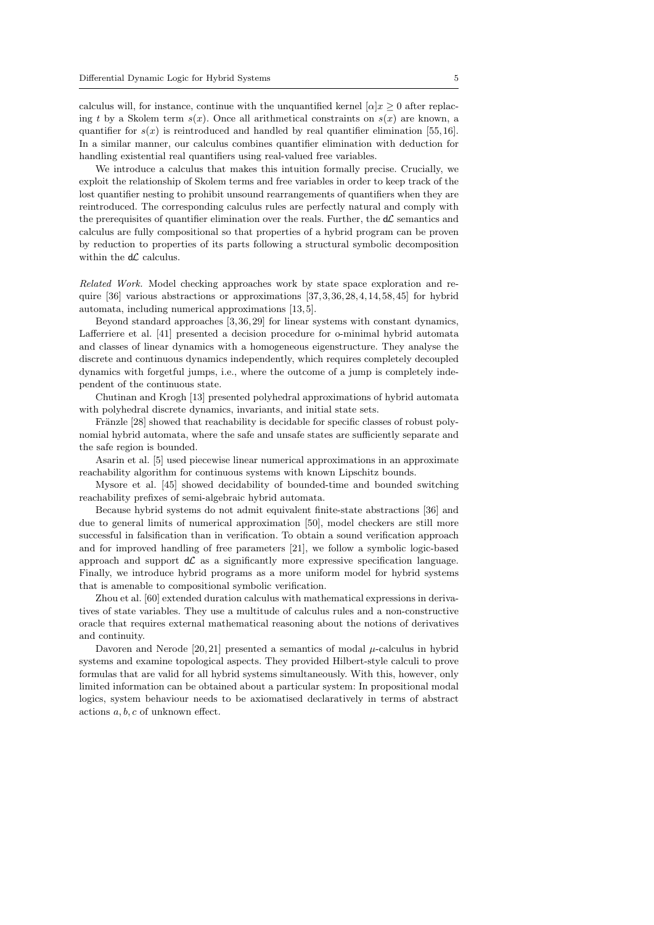calculus will, for instance, continue with the unquantified kernel  $\alpha |x| \geq 0$  after replacing t by a Skolem term  $s(x)$ . Once all arithmetical constraints on  $s(x)$  are known, a quantifier for  $s(x)$  is reintroduced and handled by real quantifier elimination [55,16]. In a similar manner, our calculus combines quantifier elimination with deduction for handling existential real quantifiers using real-valued free variables.

We introduce a calculus that makes this intuition formally precise. Crucially, we exploit the relationship of Skolem terms and free variables in order to keep track of the lost quantifier nesting to prohibit unsound rearrangements of quantifiers when they are reintroduced. The corresponding calculus rules are perfectly natural and comply with the prerequisites of quantifier elimination over the reals. Further, the  $d\mathcal{L}$  semantics and calculus are fully compositional so that properties of a hybrid program can be proven by reduction to properties of its parts following a structural symbolic decomposition within the  $d\mathcal{L}$  calculus.

Related Work. Model checking approaches work by state space exploration and require [36] various abstractions or approximations [37, 3, 36, 28,4, 14, 58, 45] for hybrid automata, including numerical approximations [13,5].

Beyond standard approaches [3,36, 29] for linear systems with constant dynamics, Lafferriere et al. [41] presented a decision procedure for o-minimal hybrid automata and classes of linear dynamics with a homogeneous eigenstructure. They analyse the discrete and continuous dynamics independently, which requires completely decoupled dynamics with forgetful jumps, i.e., where the outcome of a jump is completely independent of the continuous state.

Chutinan and Krogh [13] presented polyhedral approximations of hybrid automata with polyhedral discrete dynamics, invariants, and initial state sets.

Fränzle [28] showed that reachability is decidable for specific classes of robust polynomial hybrid automata, where the safe and unsafe states are sufficiently separate and the safe region is bounded.

Asarin et al. [5] used piecewise linear numerical approximations in an approximate reachability algorithm for continuous systems with known Lipschitz bounds.

Mysore et al. [45] showed decidability of bounded-time and bounded switching reachability prefixes of semi-algebraic hybrid automata.

Because hybrid systems do not admit equivalent finite-state abstractions [36] and due to general limits of numerical approximation [50], model checkers are still more successful in falsification than in verification. To obtain a sound verification approach and for improved handling of free parameters [21], we follow a symbolic logic-based approach and support  $d\mathcal{L}$  as a significantly more expressive specification language. Finally, we introduce hybrid programs as a more uniform model for hybrid systems that is amenable to compositional symbolic verification.

Zhou et al. [60] extended duration calculus with mathematical expressions in derivatives of state variables. They use a multitude of calculus rules and a non-constructive oracle that requires external mathematical reasoning about the notions of derivatives and continuity.

Davoren and Nerode  $[20, 21]$  presented a semantics of modal  $\mu$ -calculus in hybrid systems and examine topological aspects. They provided Hilbert-style calculi to prove formulas that are valid for all hybrid systems simultaneously. With this, however, only limited information can be obtained about a particular system: In propositional modal logics, system behaviour needs to be axiomatised declaratively in terms of abstract actions a, b, c of unknown effect.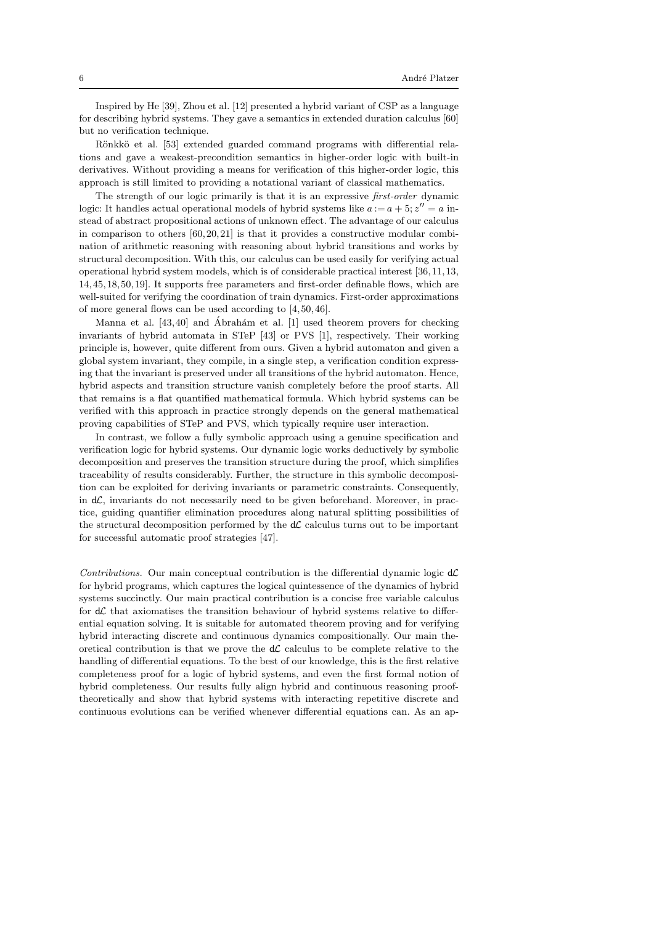Inspired by He [39], Zhou et al. [12] presented a hybrid variant of CSP as a language for describing hybrid systems. They gave a semantics in extended duration calculus [60] but no verification technique.

Rönkkö et al. [53] extended guarded command programs with differential relations and gave a weakest-precondition semantics in higher-order logic with built-in derivatives. Without providing a means for verification of this higher-order logic, this approach is still limited to providing a notational variant of classical mathematics.

The strength of our logic primarily is that it is an expressive *first-order* dynamic logic: It handles actual operational models of hybrid systems like  $a := a + 5$ ;  $z'' = a$  instead of abstract propositional actions of unknown effect. The advantage of our calculus in comparison to others [60, 20, 21] is that it provides a constructive modular combination of arithmetic reasoning with reasoning about hybrid transitions and works by structural decomposition. With this, our calculus can be used easily for verifying actual operational hybrid system models, which is of considerable practical interest [36, 11, 13, 14, 45,18, 50, 19]. It supports free parameters and first-order definable flows, which are well-suited for verifying the coordination of train dynamics. First-order approximations of more general flows can be used according to [4, 50,46].

Manna et al.  $[43, 40]$  and Abrahám et al.  $[1]$  used theorem provers for checking invariants of hybrid automata in STeP [43] or PVS [1], respectively. Their working principle is, however, quite different from ours. Given a hybrid automaton and given a global system invariant, they compile, in a single step, a verification condition expressing that the invariant is preserved under all transitions of the hybrid automaton. Hence, hybrid aspects and transition structure vanish completely before the proof starts. All that remains is a flat quantified mathematical formula. Which hybrid systems can be verified with this approach in practice strongly depends on the general mathematical proving capabilities of STeP and PVS, which typically require user interaction.

In contrast, we follow a fully symbolic approach using a genuine specification and verification logic for hybrid systems. Our dynamic logic works deductively by symbolic decomposition and preserves the transition structure during the proof, which simplifies traceability of results considerably. Further, the structure in this symbolic decomposition can be exploited for deriving invariants or parametric constraints. Consequently, in  $d\mathcal{L}$ , invariants do not necessarily need to be given beforehand. Moreover, in practice, guiding quantifier elimination procedures along natural splitting possibilities of the structural decomposition performed by the  $d\mathcal{L}$  calculus turns out to be important for successful automatic proof strategies [47].

Contributions. Our main conceptual contribution is the differential dynamic logic  $d\mathcal{L}$ for hybrid programs, which captures the logical quintessence of the dynamics of hybrid systems succinctly. Our main practical contribution is a concise free variable calculus for  $d\mathcal{L}$  that axiomatises the transition behaviour of hybrid systems relative to differential equation solving. It is suitable for automated theorem proving and for verifying hybrid interacting discrete and continuous dynamics compositionally. Our main theoretical contribution is that we prove the  $d\mathcal{L}$  calculus to be complete relative to the handling of differential equations. To the best of our knowledge, this is the first relative completeness proof for a logic of hybrid systems, and even the first formal notion of hybrid completeness. Our results fully align hybrid and continuous reasoning prooftheoretically and show that hybrid systems with interacting repetitive discrete and continuous evolutions can be verified whenever differential equations can. As an ap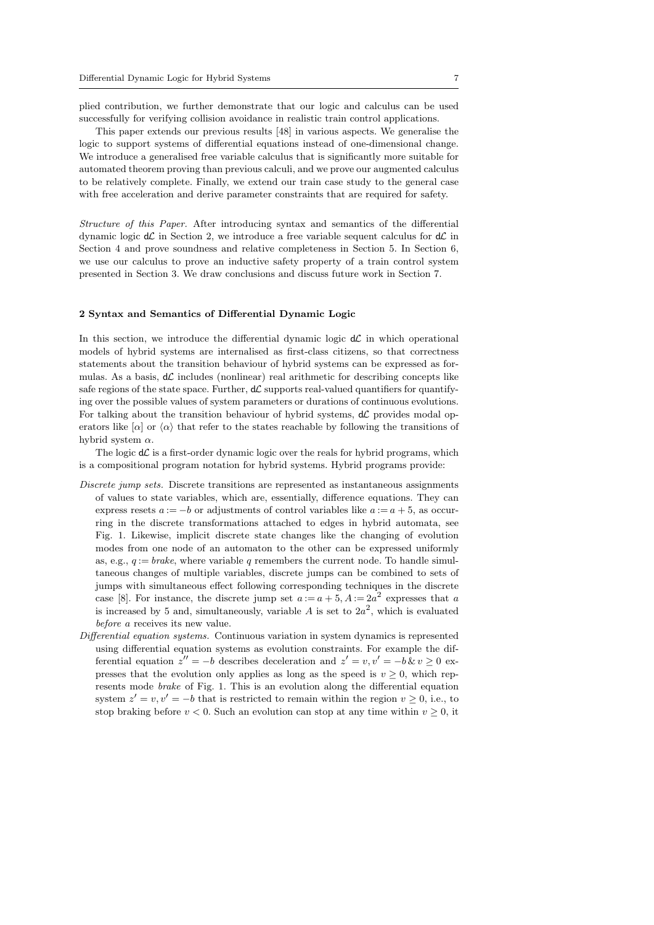plied contribution, we further demonstrate that our logic and calculus can be used successfully for verifying collision avoidance in realistic train control applications.

This paper extends our previous results [48] in various aspects. We generalise the logic to support systems of differential equations instead of one-dimensional change. We introduce a generalised free variable calculus that is significantly more suitable for automated theorem proving than previous calculi, and we prove our augmented calculus to be relatively complete. Finally, we extend our train case study to the general case with free acceleration and derive parameter constraints that are required for safety.

Structure of this Paper. After introducing syntax and semantics of the differential dynamic logic  $d\mathcal{L}$  in Section 2, we introduce a free variable sequent calculus for  $d\mathcal{L}$  in Section 4 and prove soundness and relative completeness in Section 5. In Section 6, we use our calculus to prove an inductive safety property of a train control system presented in Section 3. We draw conclusions and discuss future work in Section 7.

#### 2 Syntax and Semantics of Differential Dynamic Logic

In this section, we introduce the differential dynamic logic  $d\mathcal{L}$  in which operational models of hybrid systems are internalised as first-class citizens, so that correctness statements about the transition behaviour of hybrid systems can be expressed as formulas. As a basis,  $d\mathcal{L}$  includes (nonlinear) real arithmetic for describing concepts like safe regions of the state space. Further,  $d\mathcal{L}$  supports real-valued quantifiers for quantifying over the possible values of system parameters or durations of continuous evolutions. For talking about the transition behaviour of hybrid systems,  $d\mathcal{L}$  provides modal operators like  $[\alpha]$  or  $\langle \alpha \rangle$  that refer to the states reachable by following the transitions of hybrid system  $\alpha$ .

The logic  $d\mathcal{L}$  is a first-order dynamic logic over the reals for hybrid programs, which is a compositional program notation for hybrid systems. Hybrid programs provide:

- Discrete jump sets. Discrete transitions are represented as instantaneous assignments of values to state variables, which are, essentially, difference equations. They can express resets  $a := -b$  or adjustments of control variables like  $a := a + 5$ , as occurring in the discrete transformations attached to edges in hybrid automata, see Fig. 1. Likewise, implicit discrete state changes like the changing of evolution modes from one node of an automaton to the other can be expressed uniformly as, e.g.,  $q := brake$ , where variable q remembers the current node. To handle simultaneous changes of multiple variables, discrete jumps can be combined to sets of jumps with simultaneous effect following corresponding techniques in the discrete case [8]. For instance, the discrete jump set  $a := a + 5$ ,  $A := 2a^2$  expresses that a is increased by 5 and, simultaneously, variable A is set to  $2a^2$ , which is evaluated before a receives its new value.
- Differential equation systems. Continuous variation in system dynamics is represented using differential equation systems as evolution constraints. For example the differential equation  $z'' = -b$  describes deceleration and  $z' = v, v' = -b \& v \ge 0$  expresses that the evolution only applies as long as the speed is  $v \geq 0$ , which represents mode brake of Fig. 1. This is an evolution along the differential equation system  $z' = v, v' = -b$  that is restricted to remain within the region  $v \ge 0$ , i.e., to stop braking before  $v < 0$ . Such an evolution can stop at any time within  $v \ge 0$ , it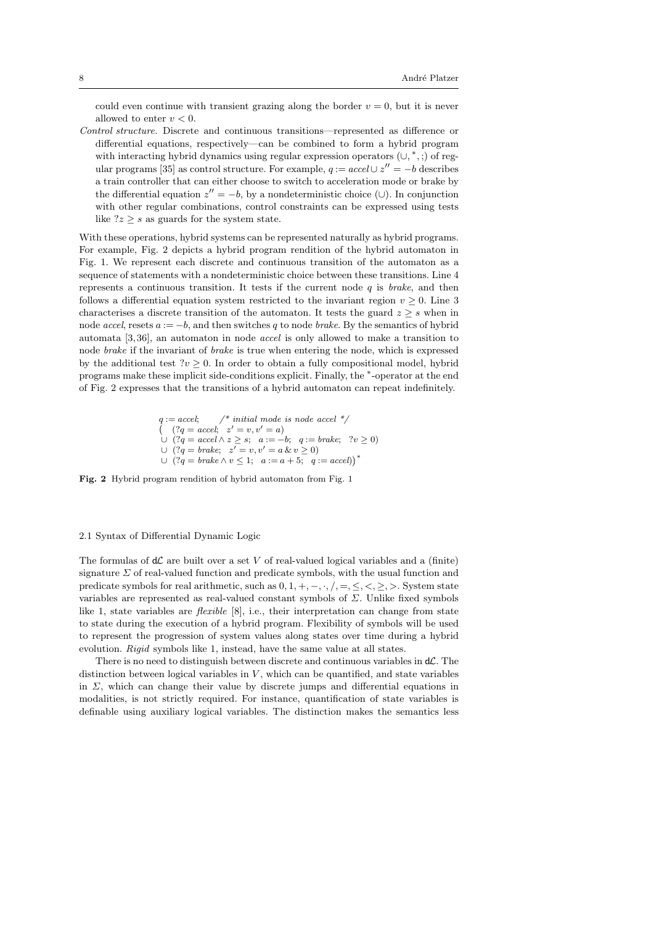could even continue with transient grazing along the border  $v = 0$ , but it is never allowed to enter  $v < 0$ .

Control structure. Discrete and continuous transitions—represented as difference or differential equations, respectively—can be combined to form a hybrid program with interacting hybrid dynamics using regular expression operators  $(\cup,^*$ ; of regular programs [35] as control structure. For example,  $q := accel \cup z'' = -b$  describes a train controller that can either choose to switch to acceleration mode or brake by the differential equation  $z'' = -b$ , by a nondeterministic choice (∪). In conjunction with other regular combinations, control constraints can be expressed using tests like  $?z \geq s$  as guards for the system state.

With these operations, hybrid systems can be represented naturally as hybrid programs. For example, Fig. 2 depicts a hybrid program rendition of the hybrid automaton in Fig. 1. We represent each discrete and continuous transition of the automaton as a sequence of statements with a nondeterministic choice between these transitions. Line 4 represents a continuous transition. It tests if the current node  $q$  is brake, and then follows a differential equation system restricted to the invariant region  $v \geq 0$ . Line 3 characterises a discrete transition of the automaton. It tests the guard  $z \geq s$  when in node accel, resets  $a := -b$ , and then switches q to node brake. By the semantics of hybrid automata [3, 36], an automaton in node accel is only allowed to make a transition to node brake if the invariant of brake is true when entering the node, which is expressed by the additional test  $?v \geq 0$ . In order to obtain a fully compositional model, hybrid programs make these implicit side-conditions explicit. Finally, the <sup>\*</sup>-operator at the end of Fig. 2 expresses that the transitions of a hybrid automaton can repeat indefinitely.

$$
q := accel; \quad \nearrow' initial mode is node accel * /
$$
  
\n
$$
\left( \begin{array}{cc} (?q = accel; & z' = v, v' = a) \\ \cup (?q = accel \land z \ge s; & a := -b; & q := brake; ?v \ge 0 \end{array} \right)
$$
  
\n
$$
\cup (?q = brake; z' = v, v' = a \& v \ge 0)
$$
  
\n
$$
\cup (?q = brake \land v \le 1; a := a + 5; q := accel) \right)^*
$$

Fig. 2 Hybrid program rendition of hybrid automaton from Fig. 1

#### 2.1 Syntax of Differential Dynamic Logic

The formulas of  $d\mathcal{L}$  are built over a set V of real-valued logical variables and a (finite) signature  $\Sigma$  of real-valued function and predicate symbols, with the usual function and predicate symbols for real arithmetic, such as  $0, 1, +, -, \cdot, /, =, \leq, \leq, \geq, \geq$ . System state variables are represented as real-valued constant symbols of  $\Sigma$ . Unlike fixed symbols like 1, state variables are flexible [8], i.e., their interpretation can change from state to state during the execution of a hybrid program. Flexibility of symbols will be used to represent the progression of system values along states over time during a hybrid evolution. Rigid symbols like 1, instead, have the same value at all states.

There is no need to distinguish between discrete and continuous variables in  $d\mathcal{L}$ . The distinction between logical variables in  $V$ , which can be quantified, and state variables in  $\Sigma$ , which can change their value by discrete jumps and differential equations in modalities, is not strictly required. For instance, quantification of state variables is definable using auxiliary logical variables. The distinction makes the semantics less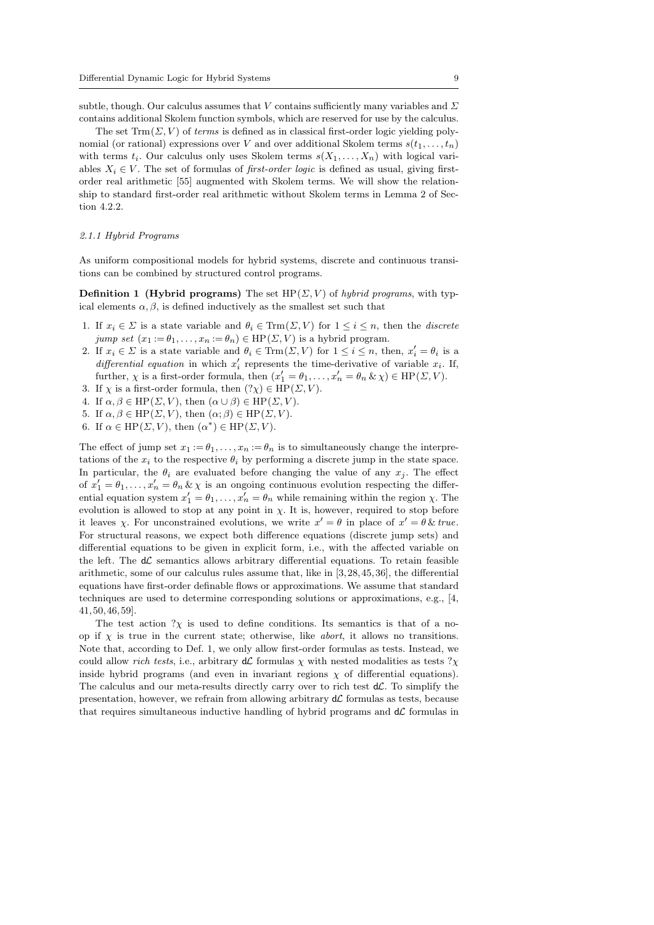subtle, though. Our calculus assumes that V contains sufficiently many variables and  $\Sigma$ contains additional Skolem function symbols, which are reserved for use by the calculus.

The set  $\text{Trm}(\Sigma, V)$  of terms is defined as in classical first-order logic yielding polynomial (or rational) expressions over V and over additional Skolem terms  $s(t_1, \ldots, t_n)$ with terms  $t_i$ . Our calculus only uses Skolem terms  $s(X_1, \ldots, X_n)$  with logical variables  $X_i \in V$ . The set of formulas of *first-order logic* is defined as usual, giving firstorder real arithmetic [55] augmented with Skolem terms. We will show the relationship to standard first-order real arithmetic without Skolem terms in Lemma 2 of Section 4.2.2.

# 2.1.1 Hybrid Programs

As uniform compositional models for hybrid systems, discrete and continuous transitions can be combined by structured control programs.

**Definition 1 (Hybrid programs)** The set  $HP(\Sigma, V)$  of hybrid programs, with typical elements  $\alpha, \beta$ , is defined inductively as the smallest set such that

- 1. If  $x_i \in \Sigma$  is a state variable and  $\theta_i \in \mathrm{Trm}(\Sigma, V)$  for  $1 \leq i \leq n$ , then the *discrete* jump set  $(x_1 := \theta_1, \ldots, x_n := \theta_n) \in \text{HP}(\Sigma, V)$  is a hybrid program.
- 2. If  $x_i \in \Sigma$  is a state variable and  $\theta_i \in \text{Trm}(\Sigma, V)$  for  $1 \leq i \leq n$ , then,  $x'_i = \theta_i$  is a differential equation in which  $x'_i$  represents the time-derivative of variable  $x_i$ . If, further,  $\chi$  is a first-order formula, then  $(x'_1 = \theta_1, \ldots, x'_n = \theta_n \& \chi) \in \text{HP}(\Sigma, V)$ .
- 3. If  $\chi$  is a first-order formula, then  $(?\chi) \in \mathrm{HP}(\varSigma, V)$ .
- 4. If  $\alpha, \beta \in \text{HP}(\Sigma, V)$ , then  $(\alpha \cup \beta) \in \text{HP}(\Sigma, V)$ .
- 5. If  $\alpha, \beta \in \text{HP}(\Sigma, V)$ , then  $(\alpha; \beta) \in \text{HP}(\Sigma, V)$ .
- 6. If  $\alpha \in \text{HP}(\Sigma, V)$ , then  $(\alpha^*) \in \text{HP}(\Sigma, V)$ .

The effect of jump set  $x_1 := \theta_1, \ldots, x_n := \theta_n$  is to simultaneously change the interpretations of the  $x_i$  to the respective  $\theta_i$  by performing a discrete jump in the state space. In particular, the  $\theta_i$  are evaluated before changing the value of any  $x_j$ . The effect of  $x'_1 = \theta_1, \ldots, x'_n = \theta_n \& \chi$  is an ongoing continuous evolution respecting the differential equation system  $x'_1 = \theta_1, \ldots, x'_n = \theta_n$  while remaining within the region  $\chi$ . The evolution is allowed to stop at any point in  $\chi$ . It is, however, required to stop before it leaves  $\chi$ . For unconstrained evolutions, we write  $x' = \theta$  in place of  $x' = \theta \& true$ . For structural reasons, we expect both difference equations (discrete jump sets) and differential equations to be given in explicit form, i.e., with the affected variable on the left. The  $d\mathcal{L}$  semantics allows arbitrary differential equations. To retain feasible arithmetic, some of our calculus rules assume that, like in [3, 28, 45, 36], the differential equations have first-order definable flows or approximations. We assume that standard techniques are used to determine corresponding solutions or approximations, e.g., [4, 41, 50,46, 59].

The test action  $?\chi$  is used to define conditions. Its semantics is that of a noop if  $\chi$  is true in the current state; otherwise, like *abort*, it allows no transitions. Note that, according to Def. 1, we only allow first-order formulas as tests. Instead, we could allow *rich tests*, i.e., arbitrary  $d\mathcal{L}$  formulas  $\chi$  with nested modalities as tests  $? \chi$ inside hybrid programs (and even in invariant regions  $\chi$  of differential equations). The calculus and our meta-results directly carry over to rich test  $d\mathcal{L}$ . To simplify the presentation, however, we refrain from allowing arbitrary  $d\mathcal{L}$  formulas as tests, because that requires simultaneous inductive handling of hybrid programs and  $d\mathcal{L}$  formulas in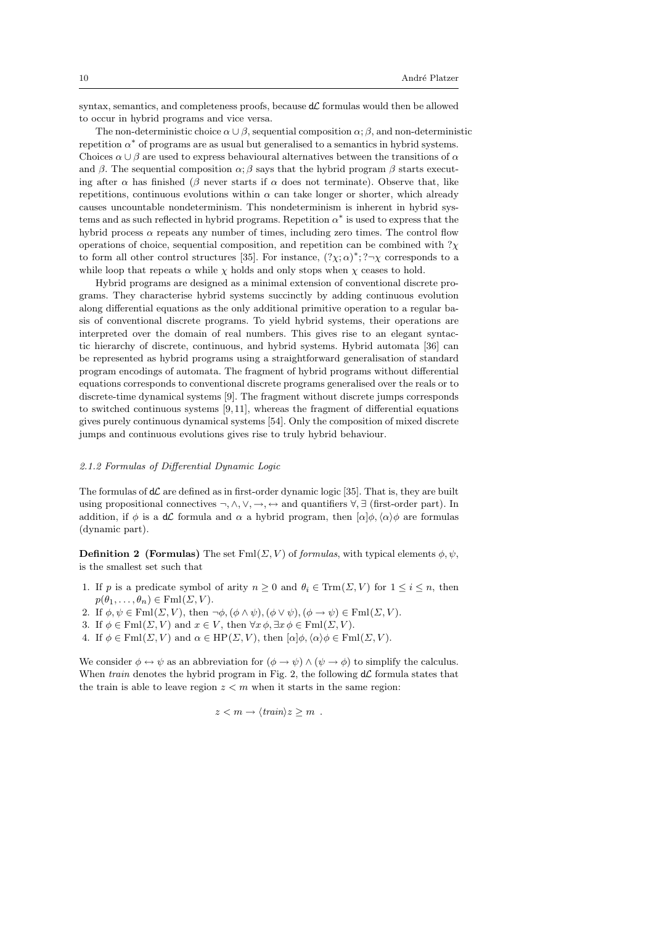syntax, semantics, and completeness proofs, because  $d\mathcal{L}$  formulas would then be allowed to occur in hybrid programs and vice versa.

The non-deterministic choice  $\alpha \cup \beta$ , sequential composition  $\alpha$ ;  $\beta$ , and non-deterministic repetition  $\alpha^*$  of programs are as usual but generalised to a semantics in hybrid systems. Choices  $\alpha \cup \beta$  are used to express behavioural alternatives between the transitions of  $\alpha$ and  $\beta$ . The sequential composition  $\alpha$ ;  $\beta$  says that the hybrid program  $\beta$  starts executing after  $\alpha$  has finished ( $\beta$  never starts if  $\alpha$  does not terminate). Observe that, like repetitions, continuous evolutions within  $\alpha$  can take longer or shorter, which already causes uncountable nondeterminism. This nondeterminism is inherent in hybrid systems and as such reflected in hybrid programs. Repetition  $\alpha^*$  is used to express that the hybrid process  $\alpha$  repeats any number of times, including zero times. The control flow operations of choice, sequential composition, and repetition can be combined with  $? \chi$ to form all other control structures [35]. For instance,  $(?\chi; \alpha)^*$ ;  $? \neg \chi$  corresponds to a while loop that repeats  $\alpha$  while  $\chi$  holds and only stops when  $\chi$  ceases to hold.

Hybrid programs are designed as a minimal extension of conventional discrete programs. They characterise hybrid systems succinctly by adding continuous evolution along differential equations as the only additional primitive operation to a regular basis of conventional discrete programs. To yield hybrid systems, their operations are interpreted over the domain of real numbers. This gives rise to an elegant syntactic hierarchy of discrete, continuous, and hybrid systems. Hybrid automata [36] can be represented as hybrid programs using a straightforward generalisation of standard program encodings of automata. The fragment of hybrid programs without differential equations corresponds to conventional discrete programs generalised over the reals or to discrete-time dynamical systems [9]. The fragment without discrete jumps corresponds to switched continuous systems  $[9, 11]$ , whereas the fragment of differential equations gives purely continuous dynamical systems [54]. Only the composition of mixed discrete jumps and continuous evolutions gives rise to truly hybrid behaviour.

# 2.1.2 Formulas of Differential Dynamic Logic

The formulas of  $d\mathcal{L}$  are defined as in first-order dynamic logic [35]. That is, they are built using propositional connectives  $\neg, \wedge, \vee, \rightarrow, \leftrightarrow$  and quantifiers  $\forall, \exists$  (first-order part). In addition, if  $\phi$  is a d $\mathcal L$  formula and  $\alpha$  a hybrid program, then  $[\alpha]\phi, \langle \alpha \rangle \phi$  are formulas (dynamic part).

**Definition 2** (Formulas) The set  $\text{Fml}(\Sigma, V)$  of formulas, with typical elements  $\phi, \psi$ , is the smallest set such that

- 1. If p is a predicate symbol of arity  $n \geq 0$  and  $\theta_i \in \text{Trm}(\Sigma, V)$  for  $1 \leq i \leq n$ , then  $p(\theta_1,\ldots,\theta_n) \in \text{Fml}(\Sigma,V).$
- 2. If  $\phi, \psi \in \text{Fml}(\Sigma, V)$ , then  $\neg \phi, (\phi \land \psi), (\phi \lor \psi), (\phi \to \psi) \in \text{Fml}(\Sigma, V)$ .
- 3. If  $\phi \in \text{Fml}(\Sigma, V)$  and  $x \in V$ , then  $\forall x \phi, \exists x \phi \in \text{Fml}(\Sigma, V)$ .
- 4. If  $\phi \in \text{Fml}(\Sigma, V)$  and  $\alpha \in \text{HP}(\Sigma, V)$ , then  $[\alpha] \phi, \langle \alpha \rangle \phi \in \text{Fml}(\Sigma, V)$ .

We consider  $\phi \leftrightarrow \psi$  as an abbreviation for  $(\phi \rightarrow \psi) \land (\psi \rightarrow \phi)$  to simplify the calculus. When train denotes the hybrid program in Fig. 2, the following  $d\mathcal{L}$  formula states that the train is able to leave region  $z < m$  when it starts in the same region:

$$
z < m \to \langle train \rangle z \ge m .
$$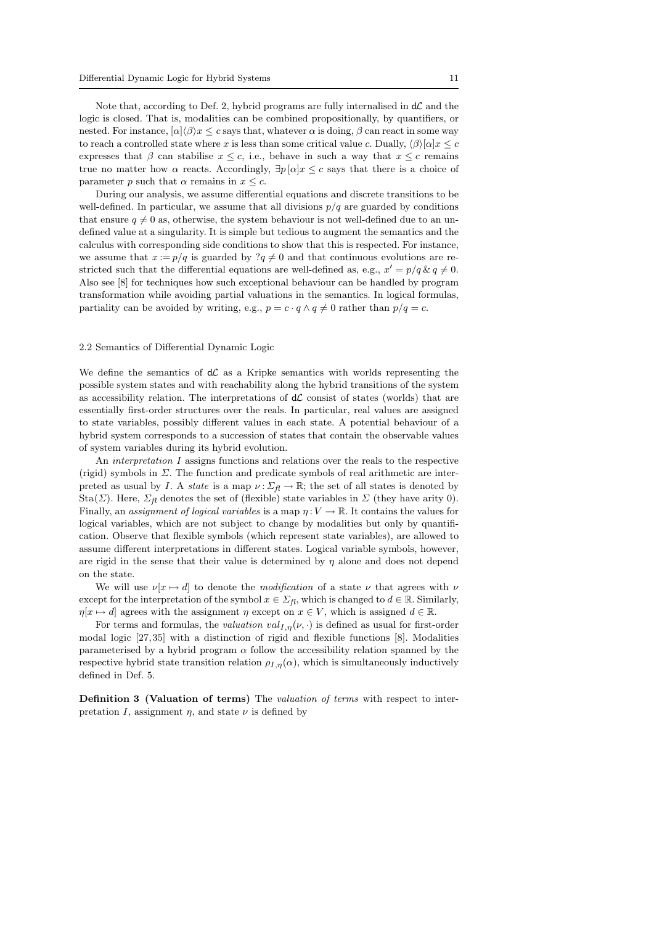Note that, according to Def. 2, hybrid programs are fully internalised in  $d\mathcal{L}$  and the logic is closed. That is, modalities can be combined propositionally, by quantifiers, or nested. For instance,  $[\alpha](\beta)x \leq c$  says that, whatever  $\alpha$  is doing,  $\beta$  can react in some way to reach a controlled state where x is less than some critical value c. Dually,  $\langle \beta \rangle [\alpha]x \leq c$ expresses that  $\beta$  can stabilise  $x \leq c$ , i.e., behave in such a way that  $x \leq c$  remains true no matter how  $\alpha$  reacts. Accordingly,  $\exists p [\alpha]x \leq c$  says that there is a choice of parameter p such that  $\alpha$  remains in  $x \leq c$ .

During our analysis, we assume differential equations and discrete transitions to be well-defined. In particular, we assume that all divisions  $p/q$  are guarded by conditions that ensure  $q \neq 0$  as, otherwise, the system behaviour is not well-defined due to an undefined value at a singularity. It is simple but tedious to augment the semantics and the calculus with corresponding side conditions to show that this is respected. For instance, we assume that  $x := p/q$  is guarded by  $?q \neq 0$  and that continuous evolutions are restricted such that the differential equations are well-defined as, e.g.,  $x' = p/q \& q \neq 0$ . Also see [8] for techniques how such exceptional behaviour can be handled by program transformation while avoiding partial valuations in the semantics. In logical formulas, partiality can be avoided by writing, e.g.,  $p = c \cdot q \wedge q \neq 0$  rather than  $p/q = c$ .

#### 2.2 Semantics of Differential Dynamic Logic

We define the semantics of  $d\mathcal{L}$  as a Kripke semantics with worlds representing the possible system states and with reachability along the hybrid transitions of the system as accessibility relation. The interpretations of  $d\mathcal{L}$  consist of states (worlds) that are essentially first-order structures over the reals. In particular, real values are assigned to state variables, possibly different values in each state. A potential behaviour of a hybrid system corresponds to a succession of states that contain the observable values of system variables during its hybrid evolution.

An interpretation I assigns functions and relations over the reals to the respective (rigid) symbols in  $\Sigma$ . The function and predicate symbols of real arithmetic are interpreted as usual by I. A state is a map  $\nu : \Sigma_{\mathcal{H}} \to \mathbb{R}$ ; the set of all states is denoted by Sta(Σ). Here,  $\Sigma<sub>f</sub>$  denotes the set of (flexible) state variables in  $\Sigma$  (they have arity 0). Finally, an *assignment of logical variables* is a map  $\eta: V \to \mathbb{R}$ . It contains the values for logical variables, which are not subject to change by modalities but only by quantification. Observe that flexible symbols (which represent state variables), are allowed to assume different interpretations in different states. Logical variable symbols, however, are rigid in the sense that their value is determined by  $\eta$  alone and does not depend on the state.

We will use  $\nu[x \mapsto d]$  to denote the modification of a state  $\nu$  that agrees with  $\nu$ except for the interpretation of the symbol  $x \in \Sigma_{\mathcal{H}}$ , which is changed to  $d \in \mathbb{R}$ . Similarly,  $\eta[x \mapsto d]$  agrees with the assignment  $\eta$  except on  $x \in V$ , which is assigned  $d \in \mathbb{R}$ .

For terms and formulas, the *valuation val*<sub>I, $n(\nu, \cdot)$  is defined as usual for first-order</sub> modal logic [27, 35] with a distinction of rigid and flexible functions [8]. Modalities parameterised by a hybrid program  $\alpha$  follow the accessibility relation spanned by the respective hybrid state transition relation  $\rho_{I,\eta}(\alpha)$ , which is simultaneously inductively defined in Def. 5.

Definition 3 (Valuation of terms) The valuation of terms with respect to interpretation I, assignment  $\eta$ , and state  $\nu$  is defined by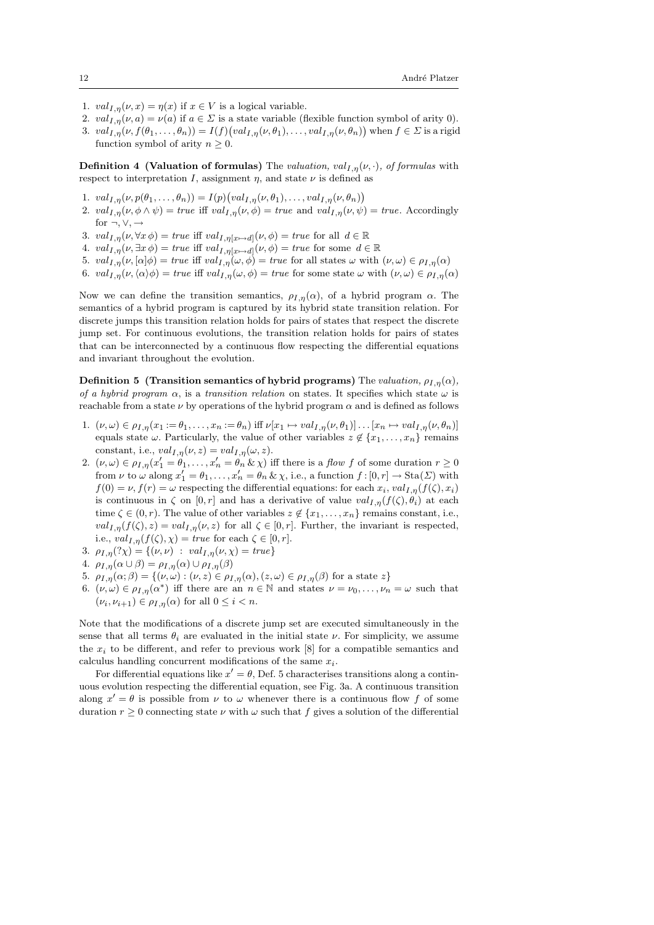- 1.  $val_{I,\eta}(\nu,x) = \eta(x)$  if  $x \in V$  is a logical variable.
- 2.  $val_{I,n}(\nu, a) = \nu(a)$  if  $a \in \Sigma$  is a state variable (flexible function symbol of arity 0).
- 3.  $val_{I,\eta}(\nu,f(\theta_1,\ldots,\theta_n))=I(f)\big( val_{I,\eta}(\nu,\theta_1),\ldots,val_{I,\eta}(\nu,\theta_n)\big)$  when  $f\in\Sigma$  is a rigid function symbol of arity  $n \geq 0$ .

**Definition 4 (Valuation of formulas)** The valuation,  $val_{I,\eta}(\nu, \cdot)$ , of formulas with respect to interpretation I, assignment  $\eta$ , and state  $\nu$  is defined as

- 1.  $val_{I,\eta}(\nu,p(\theta_1,\ldots,\theta_n))=I(p)(val_{I,\eta}(\nu,\theta_1),\ldots,val_{I,\eta}(\nu,\theta_n))$
- 2.  $val_{I,\eta}(\nu,\phi\wedge\psi)=true$  iff  $val_{I,\eta}(\nu,\phi)=true$  and  $val_{I,\eta}(\nu,\psi)=true$ . Accordingly for  $\neg, \vee, \rightarrow$
- 3.  $val_{I,\eta}(\nu, \forall x \phi) = true \text{ iff } val_{I,\eta[x \mapsto d]}(\nu, \phi) = true \text{ for all } d \in \mathbb{R}$
- 4.  $val_{I,\eta}(\nu,\exists x \phi) = true \text{ iff } val_{I,\eta[x \mapsto d]}(\nu,\phi) = true \text{ for some } d \in \mathbb{R}$
- 5.  $val_{I,\eta}(\nu,[\alpha]\phi) = true$  iff  $val_{I,\eta}(\omega,\phi) = true$  for all states  $\omega$  with  $(\nu,\omega) \in \rho_{I,\eta}(\alpha)$
- 6. val<sub>Ln</sub>( $\nu, \langle \alpha \rangle \phi$ ) = true iff val<sub>Ln</sub>( $\omega, \phi$ ) = true for some state  $\omega$  with  $(\nu, \omega) \in \rho_{L,n}(\alpha)$

Now we can define the transition semantics,  $\rho_{I,\eta}(\alpha)$ , of a hybrid program  $\alpha$ . The semantics of a hybrid program is captured by its hybrid state transition relation. For discrete jumps this transition relation holds for pairs of states that respect the discrete jump set. For continuous evolutions, the transition relation holds for pairs of states that can be interconnected by a continuous flow respecting the differential equations and invariant throughout the evolution.

**Definition 5** (Transition semantics of hybrid programs) The valuation,  $\rho_{I,n}(\alpha)$ , of a hybrid program  $\alpha$ , is a transition relation on states. It specifies which state  $\omega$  is reachable from a state  $\nu$  by operations of the hybrid program  $\alpha$  and is defined as follows

- 1.  $(\nu, \omega) \in \rho_{I,\eta}(x_1 := \theta_1, \ldots, x_n := \theta_n)$  iff  $\nu[x_1 \mapsto val_{I,\eta}(\nu, \theta_1)] \ldots [x_n \mapsto val_{I,\eta}(\nu, \theta_n)]$ equals state  $\omega$ . Particularly, the value of other variables  $z \notin \{x_1, \ldots, x_n\}$  remains constant, i.e.,  $val_{I,\eta}(\nu,z) = val_{I,\eta}(\omega,z)$ .
- 2.  $(\nu, \omega) \in \rho_{I,\eta}(x_1' = \theta_1, \ldots, x_n' = \theta_n \& \chi)$  iff there is a flow f of some duration  $r \geq 0$ from  $\nu$  to  $\omega$  along  $x'_1 = \theta_1, \ldots, x'_n = \theta_n \& \chi$ , i.e., a function  $f : [0, r] \to \text{Sta}(\Sigma)$  with  $f(0) = \nu, f(r) = \omega$  respecting the differential equations: for each  $x_i$ ,  $val_{I,\eta}(f(\zeta), x_i)$ is continuous in  $\zeta$  on  $[0, r]$  and has a derivative of value  $val_{I,\eta}(f(\zeta), \theta_i)$  at each time  $\zeta \in (0, r)$ . The value of other variables  $z \notin \{x_1, \ldots, x_n\}$  remains constant, i.e.,  $val_{I,\eta}(f(\zeta),z) = val_{I,\eta}(\nu,z)$  for all  $\zeta \in [0,r]$ . Further, the invariant is respected, i.e.,  $val_{I,\eta}(f(\zeta), \chi) = \text{true}$  for each  $\zeta \in [0, r]$ .
- 3.  $\rho_{I,\eta}(? \chi) = \{(\nu,\nu) : val_{I,\eta}(\nu,\chi) = true\}$
- 4.  $\rho_{I,\eta}(\alpha \cup \beta) = \rho_{I,\eta}(\alpha) \cup \rho_{I,\eta}(\beta)$
- 5.  $\rho_{I,\eta}(\alpha;\beta) = \{(\nu,\omega) : (\nu,z) \in \rho_{I,\eta}(\alpha), (z,\omega) \in \rho_{I,\eta}(\beta) \text{ for a state } z\}$
- 6.  $(\nu,\omega) \in \rho_{I,\eta}(\alpha^*)$  iff there are an  $n \in \mathbb{N}$  and states  $\nu = \nu_0,\ldots,\nu_n = \omega$  such that  $(\nu_i, \nu_{i+1}) \in \rho_{I,\eta}(\alpha)$  for all  $0 \leq i < n$ .

Note that the modifications of a discrete jump set are executed simultaneously in the sense that all terms  $\theta_i$  are evaluated in the initial state  $\nu$ . For simplicity, we assume the  $x_i$  to be different, and refer to previous work [8] for a compatible semantics and calculus handling concurrent modifications of the same  $x_i$ .

For differential equations like  $x' = \theta$ , Def. 5 characterises transitions along a continuous evolution respecting the differential equation, see Fig. 3a. A continuous transition along  $x' = \theta$  is possible from  $\nu$  to  $\omega$  whenever there is a continuous flow f of some duration  $r \geq 0$  connecting state  $\nu$  with  $\omega$  such that f gives a solution of the differential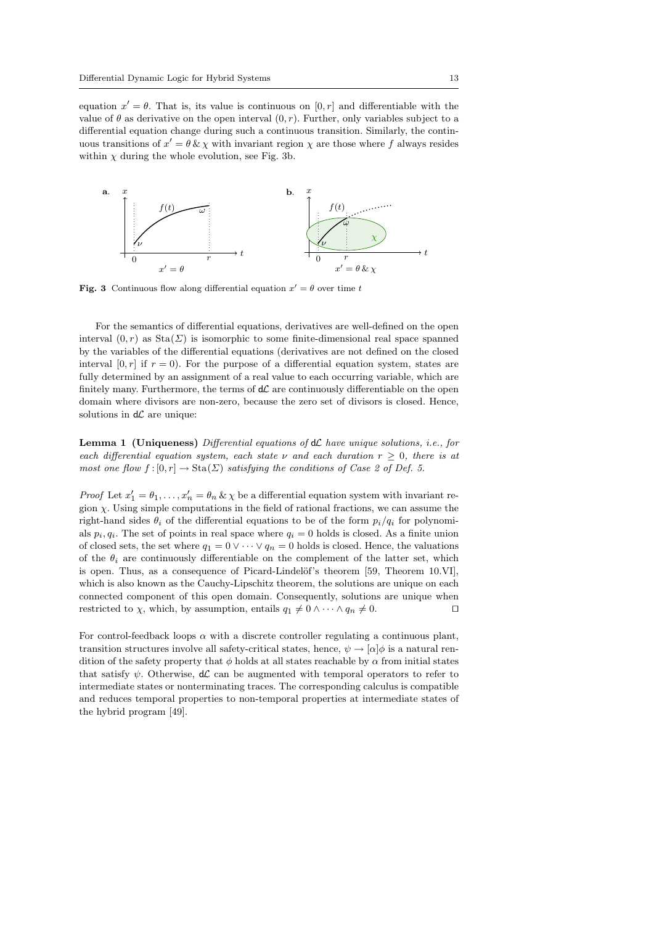equation  $x' = \theta$ . That is, its value is continuous on  $[0, r]$  and differentiable with the value of  $\theta$  as derivative on the open interval  $(0, r)$ . Further, only variables subject to a differential equation change during such a continuous transition. Similarly, the continuous transitions of  $x' = \theta \& \chi$  with invariant region  $\chi$  are those where f always resides within  $\chi$  during the whole evolution, see Fig. 3b.



Fig. 3 Continuous flow along differential equation  $x' = \theta$  over time t

For the semantics of differential equations, derivatives are well-defined on the open interval  $(0, r)$  as  $\text{Sta}(\Sigma)$  is isomorphic to some finite-dimensional real space spanned by the variables of the differential equations (derivatives are not defined on the closed interval  $[0, r]$  if  $r = 0$ ). For the purpose of a differential equation system, states are fully determined by an assignment of a real value to each occurring variable, which are finitely many. Furthermore, the terms of  $d\mathcal{L}$  are continuously differentiable on the open domain where divisors are non-zero, because the zero set of divisors is closed. Hence, solutions in  $d\mathcal{L}$  are unique:

**Lemma 1 (Uniqueness)** Differential equations of  $d\mathcal{L}$  have unique solutions, i.e., for each differential equation system, each state  $\nu$  and each duration  $r \geq 0$ , there is at most one flow  $f:[0,r] \to \text{Sta}(\Sigma)$  satisfying the conditions of Case 2 of Def. 5.

*Proof* Let  $x'_1 = \theta_1, \ldots, x'_n = \theta_n \& \chi$  be a differential equation system with invariant region  $\chi$ . Using simple computations in the field of rational fractions, we can assume the right-hand sides  $\theta_i$  of the differential equations to be of the form  $p_i/q_i$  for polynomials  $p_i, q_i$ . The set of points in real space where  $q_i = 0$  holds is closed. As a finite union of closed sets, the set where  $q_1 = 0 \vee \cdots \vee q_n = 0$  holds is closed. Hence, the valuations of the  $\theta_i$  are continuously differentiable on the complement of the latter set, which is open. Thus, as a consequence of Picard-Lindelöf's theorem  $[59,$  Theorem  $10.VI$ ], which is also known as the Cauchy-Lipschitz theorem, the solutions are unique on each connected component of this open domain. Consequently, solutions are unique when restricted to  $\chi$ , which, by assumption, entails  $q_1 \neq 0 \land \cdots \land q_n \neq 0$ .

For control-feedback loops  $\alpha$  with a discrete controller regulating a continuous plant, transition structures involve all safety-critical states, hence,  $\psi \to [\alpha]\phi$  is a natural rendition of the safety property that  $\phi$  holds at all states reachable by  $\alpha$  from initial states that satisfy  $\psi$ . Otherwise,  $d\mathcal{L}$  can be augmented with temporal operators to refer to intermediate states or nonterminating traces. The corresponding calculus is compatible and reduces temporal properties to non-temporal properties at intermediate states of the hybrid program [49].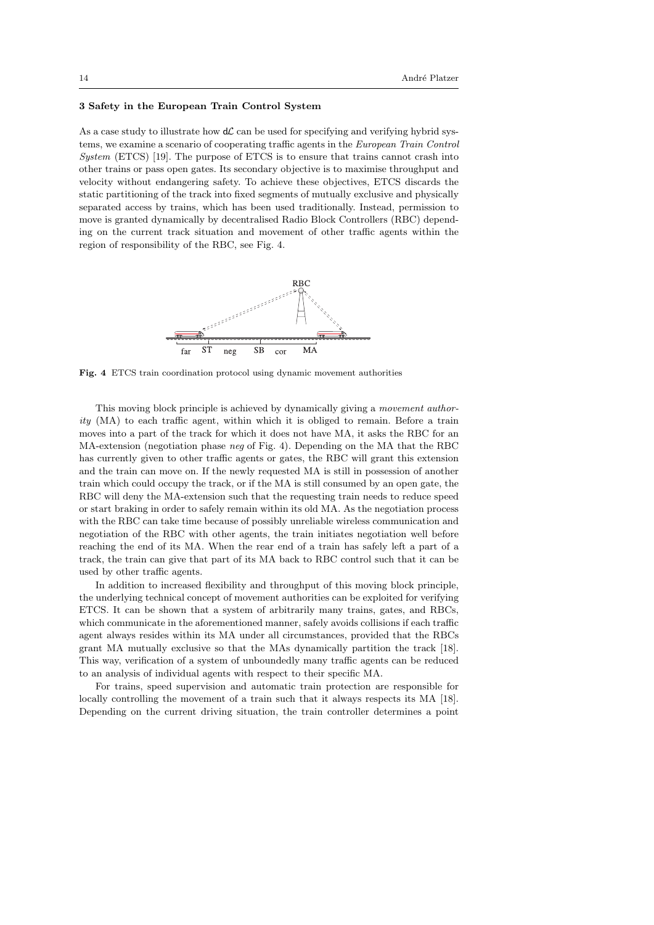# 3 Safety in the European Train Control System

As a case study to illustrate how  $d\mathcal{L}$  can be used for specifying and verifying hybrid systems, we examine a scenario of cooperating traffic agents in the European Train Control System (ETCS) [19]. The purpose of ETCS is to ensure that trains cannot crash into other trains or pass open gates. Its secondary objective is to maximise throughput and velocity without endangering safety. To achieve these objectives, ETCS discards the static partitioning of the track into fixed segments of mutually exclusive and physically separated access by trains, which has been used traditionally. Instead, permission to move is granted dynamically by decentralised Radio Block Controllers (RBC) depending on the current track situation and movement of other traffic agents within the region of responsibility of the RBC, see Fig. 4.



Fig. 4 ETCS train coordination protocol using dynamic movement authorities

This moving block principle is achieved by dynamically giving a movement authority (MA) to each traffic agent, within which it is obliged to remain. Before a train moves into a part of the track for which it does not have MA, it asks the RBC for an MA-extension (negotiation phase neg of Fig. 4). Depending on the MA that the RBC has currently given to other traffic agents or gates, the RBC will grant this extension and the train can move on. If the newly requested MA is still in possession of another train which could occupy the track, or if the MA is still consumed by an open gate, the RBC will deny the MA-extension such that the requesting train needs to reduce speed or start braking in order to safely remain within its old MA. As the negotiation process with the RBC can take time because of possibly unreliable wireless communication and negotiation of the RBC with other agents, the train initiates negotiation well before reaching the end of its MA. When the rear end of a train has safely left a part of a track, the train can give that part of its MA back to RBC control such that it can be used by other traffic agents.

In addition to increased flexibility and throughput of this moving block principle, the underlying technical concept of movement authorities can be exploited for verifying ETCS. It can be shown that a system of arbitrarily many trains, gates, and RBCs, which communicate in the aforementioned manner, safely avoids collisions if each traffic agent always resides within its MA under all circumstances, provided that the RBCs grant MA mutually exclusive so that the MAs dynamically partition the track [18]. This way, verification of a system of unboundedly many traffic agents can be reduced to an analysis of individual agents with respect to their specific MA.

For trains, speed supervision and automatic train protection are responsible for locally controlling the movement of a train such that it always respects its MA [18]. Depending on the current driving situation, the train controller determines a point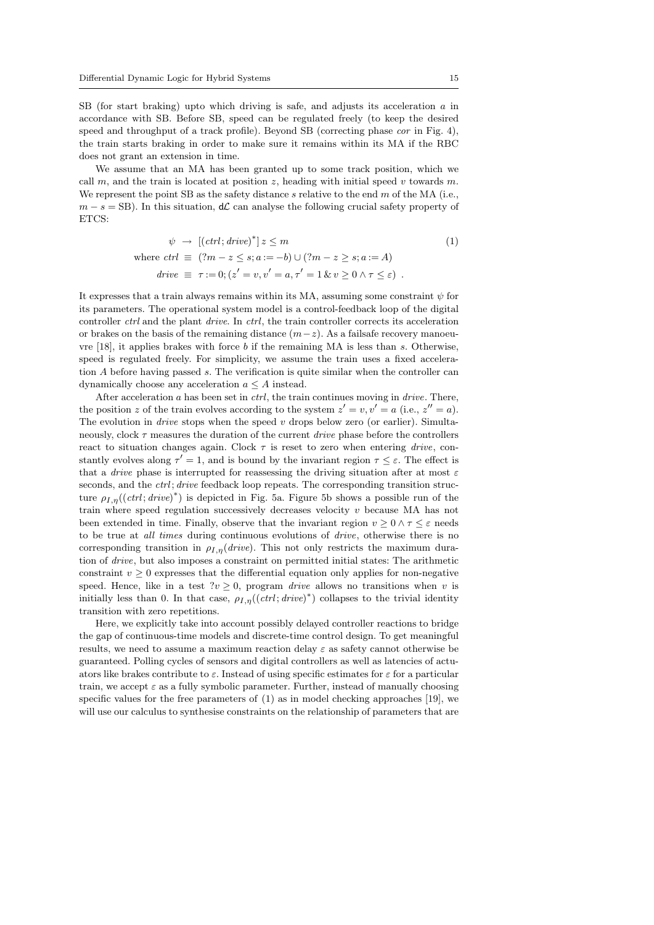SB (for start braking) upto which driving is safe, and adjusts its acceleration  $a$  in accordance with SB. Before SB, speed can be regulated freely (to keep the desired speed and throughput of a track profile). Beyond SB (correcting phase cor in Fig. 4), the train starts braking in order to make sure it remains within its MA if the RBC does not grant an extension in time.

We assume that an MA has been granted up to some track position, which we call m, and the train is located at position z, heading with initial speed v towards m. We represent the point SB as the safety distance s relative to the end m of the MA (i.e.,  $m - s = SB$ ). In this situation, dL can analyse the following crucial safety property of ETCS:

$$
\psi \rightarrow [(ctrl; drive)^*] z \le m
$$
\n
$$
\text{where } \text{ctrl} \equiv (?m - z \le s; a := -b) \cup (?m - z \ge s; a := A)
$$
\n
$$
\text{drive} \equiv \tau := 0; (z' = v, v' = a, \tau' = 1 \& v \ge 0 \land \tau \le \varepsilon) .
$$
\n
$$
\text{(1)}
$$

It expresses that a train always remains within its MA, assuming some constraint  $\psi$  for its parameters. The operational system model is a control-feedback loop of the digital controller *ctrl* and the plant *drive*. In *ctrl*, the train controller corrects its acceleration or brakes on the basis of the remaining distance  $(m-z)$ . As a failsafe recovery manoeuvre  $[18]$ , it applies brakes with force b if the remaining MA is less than s. Otherwise, speed is regulated freely. For simplicity, we assume the train uses a fixed acceleration A before having passed s. The verification is quite similar when the controller can dynamically choose any acceleration  $a \leq A$  instead.

After acceleration  $a$  has been set in  $ctrl$ , the train continues moving in  $drive$ . There, the position z of the train evolves according to the system  $z' = v, v' = a$  (i.e.,  $z'' = a$ ). The evolution in *drive* stops when the speed  $v$  drops below zero (or earlier). Simultaneously, clock  $\tau$  measures the duration of the current *drive* phase before the controllers react to situation changes again. Clock  $\tau$  is reset to zero when entering drive, constantly evolves along  $\tau' = 1$ , and is bound by the invariant region  $\tau \leq \varepsilon$ . The effect is that a *drive* phase is interrupted for reassessing the driving situation after at most  $\varepsilon$ seconds, and the  $ctrl$ ; drive feedback loop repeats. The corresponding transition structure  $\rho_{I,\eta}((ctrl; drive)^*)$  is depicted in Fig. 5a. Figure 5b shows a possible run of the train where speed regulation successively decreases velocity  $v$  because MA has not been extended in time. Finally, observe that the invariant region  $v \geq 0 \land \tau \leq \varepsilon$  needs to be true at all times during continuous evolutions of drive, otherwise there is no corresponding transition in  $\rho_{I,\eta}(drive)$ . This not only restricts the maximum duration of drive, but also imposes a constraint on permitted initial states: The arithmetic constraint  $v > 0$  expresses that the differential equation only applies for non-negative speed. Hence, like in a test  $?v \geq 0$ , program *drive* allows no transitions when v is initially less than 0. In that case,  $\rho_{I,\eta}((ctrl; drive)^*)$  collapses to the trivial identity transition with zero repetitions.

Here, we explicitly take into account possibly delayed controller reactions to bridge the gap of continuous-time models and discrete-time control design. To get meaningful results, we need to assume a maximum reaction delay  $\varepsilon$  as safety cannot otherwise be guaranteed. Polling cycles of sensors and digital controllers as well as latencies of actuators like brakes contribute to  $\varepsilon$ . Instead of using specific estimates for  $\varepsilon$  for a particular train, we accept  $\varepsilon$  as a fully symbolic parameter. Further, instead of manually choosing specific values for the free parameters of (1) as in model checking approaches [19], we will use our calculus to synthesise constraints on the relationship of parameters that are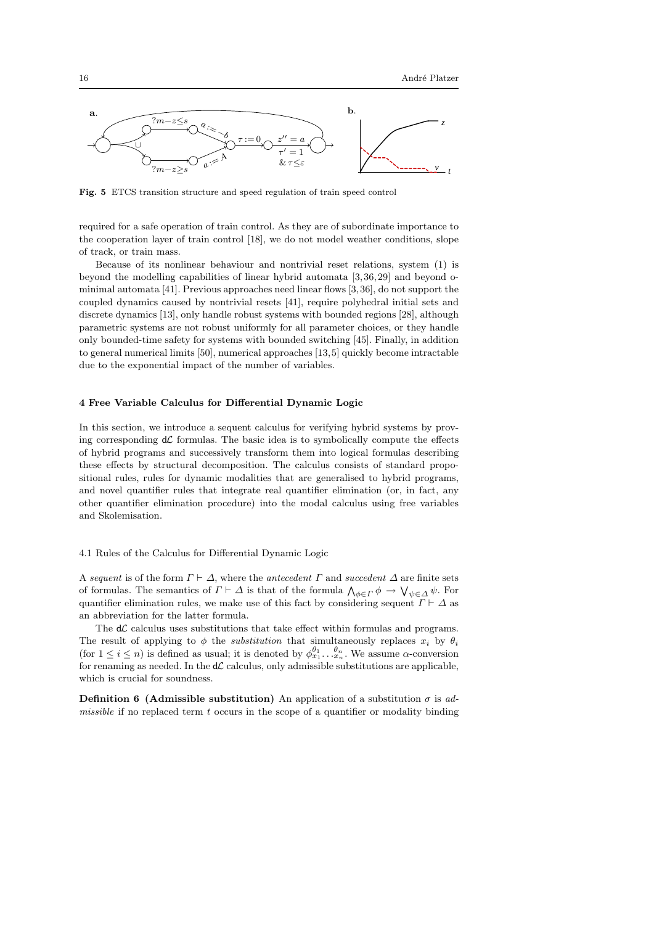

Fig. 5 ETCS transition structure and speed regulation of train speed control

required for a safe operation of train control. As they are of subordinate importance to the cooperation layer of train control [18], we do not model weather conditions, slope of track, or train mass.

Because of its nonlinear behaviour and nontrivial reset relations, system (1) is beyond the modelling capabilities of linear hybrid automata [3,36, 29] and beyond ominimal automata [41]. Previous approaches need linear flows [3, 36], do not support the coupled dynamics caused by nontrivial resets [41], require polyhedral initial sets and discrete dynamics [13], only handle robust systems with bounded regions [28], although parametric systems are not robust uniformly for all parameter choices, or they handle only bounded-time safety for systems with bounded switching [45]. Finally, in addition to general numerical limits [50], numerical approaches [13, 5] quickly become intractable due to the exponential impact of the number of variables.

#### 4 Free Variable Calculus for Differential Dynamic Logic

In this section, we introduce a sequent calculus for verifying hybrid systems by proving corresponding  $d\mathcal{L}$  formulas. The basic idea is to symbolically compute the effects of hybrid programs and successively transform them into logical formulas describing these effects by structural decomposition. The calculus consists of standard propositional rules, rules for dynamic modalities that are generalised to hybrid programs, and novel quantifier rules that integrate real quantifier elimination (or, in fact, any other quantifier elimination procedure) into the modal calculus using free variables and Skolemisation.

#### 4.1 Rules of the Calculus for Differential Dynamic Logic

A sequent is of the form  $\Gamma \vdash \Delta$ , where the antecedent  $\Gamma$  and succedent  $\Delta$  are finite sets of formulas. The semantics of  $\Gamma \vdash \Delta$  is that of the formula  $\bigwedge_{\phi \in \Gamma} \phi \to \bigvee_{\psi \in \Delta} \psi$ . For quantifier elimination rules, we make use of this fact by considering sequent  $\Gamma \vdash \Delta$  as an abbreviation for the latter formula.

The  $d\mathcal{L}$  calculus uses substitutions that take effect within formulas and programs. The result of applying to  $\phi$  the *substitution* that simultaneously replaces  $x_i$  by  $\theta_i$ (for  $1 \leq i \leq n$ ) is defined as usual; it is denoted by  $\phi_{x_1}^{\theta_1} \dots \phi_{x_n}^{\theta_n}$ . We assume  $\alpha$ -conversion for renaming as needed. In the  $d\mathcal{L}$  calculus, only admissible substitutions are applicable, which is crucial for soundness.

**Definition 6 (Admissible substitution)** An application of a substitution  $\sigma$  is admissible if no replaced term  $t$  occurs in the scope of a quantifier or modality binding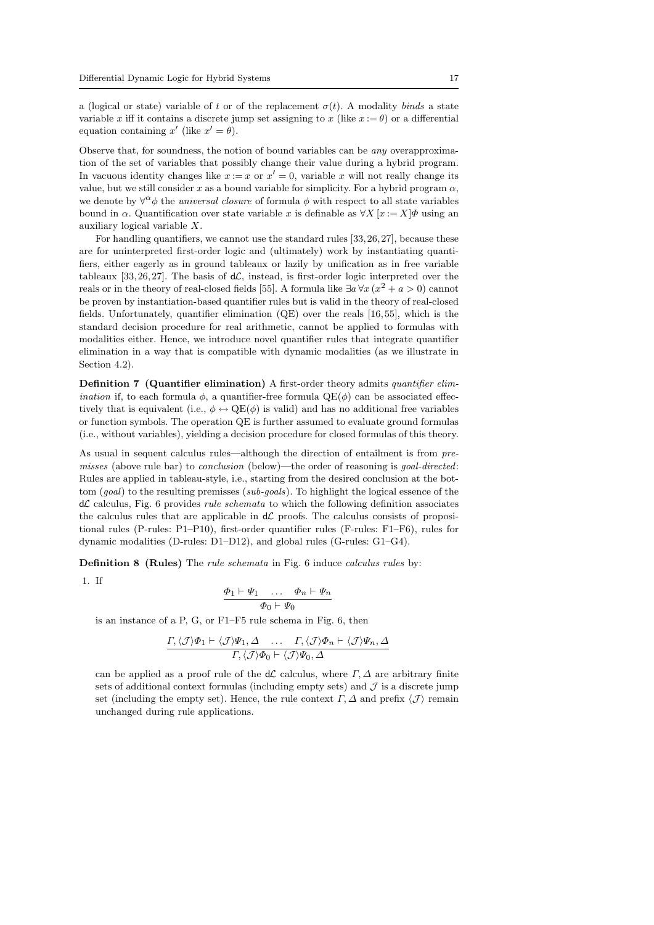a (logical or state) variable of t or of the replacement  $\sigma(t)$ . A modality binds a state variable x iff it contains a discrete jump set assigning to x (like  $x := \theta$ ) or a differential equation containing x' (like  $x' = \theta$ ).

Observe that, for soundness, the notion of bound variables can be any overapproximation of the set of variables that possibly change their value during a hybrid program. In vacuous identity changes like  $x := x$  or  $x' = 0$ , variable x will not really change its value, but we still consider x as a bound variable for simplicity. For a hybrid program  $\alpha$ , we denote by  $\forall^{\alpha}\phi$  the *universal closure* of formula  $\phi$  with respect to all state variables bound in  $\alpha$ . Quantification over state variable x is definable as  $\forall X$  [ $x := X$ ] $\Phi$  using an auxiliary logical variable X.

For handling quantifiers, we cannot use the standard rules [33, 26, 27], because these are for uninterpreted first-order logic and (ultimately) work by instantiating quantifiers, either eagerly as in ground tableaux or lazily by unification as in free variable tableaux  $[33, 26, 27]$ . The basis of  $d\mathcal{L}$ , instead, is first-order logic interpreted over the reals or in the theory of real-closed fields [55]. A formula like  $\exists a \forall x (x^2 + a > 0)$  cannot be proven by instantiation-based quantifier rules but is valid in the theory of real-closed fields. Unfortunately, quantifier elimination (QE) over the reals [16,55], which is the standard decision procedure for real arithmetic, cannot be applied to formulas with modalities either. Hence, we introduce novel quantifier rules that integrate quantifier elimination in a way that is compatible with dynamic modalities (as we illustrate in Section 4.2).

Definition 7 (Quantifier elimination) A first-order theory admits quantifier elim*ination* if, to each formula  $\phi$ , a quantifier-free formula  $\text{QE}(\phi)$  can be associated effectively that is equivalent (i.e.,  $\phi \leftrightarrow \text{QE}(\phi)$  is valid) and has no additional free variables or function symbols. The operation QE is further assumed to evaluate ground formulas (i.e., without variables), yielding a decision procedure for closed formulas of this theory.

As usual in sequent calculus rules—although the direction of entailment is from premisses (above rule bar) to conclusion (below)—the order of reasoning is goal-directed: Rules are applied in tableau-style, i.e., starting from the desired conclusion at the bottom (goal) to the resulting premisses (sub-goals). To highlight the logical essence of the  $d\mathcal{L}$  calculus, Fig. 6 provides *rule schemata* to which the following definition associates the calculus rules that are applicable in  $d\mathcal{L}$  proofs. The calculus consists of propositional rules (P-rules: P1–P10), first-order quantifier rules (F-rules: F1–F6), rules for dynamic modalities (D-rules: D1–D12), and global rules (G-rules: G1–G4).

Definition 8 (Rules) The rule schemata in Fig. 6 induce calculus rules by:

1. If

$$
\frac{\varPhi_1\vdash\varPsi_1\quad \dots \quad \varPhi_n\vdash\varPsi_n}{\varPhi_0\vdash\varPsi_0}
$$

is an instance of a P, G, or F1–F5 rule schema in Fig. 6, then

$$
\frac{\Gamma,\langle \mathcal{J} \rangle \Phi_1 \vdash \langle \mathcal{J} \rangle \Psi_1, \Delta \dots \Gamma, \langle \mathcal{J} \rangle \Phi_n \vdash \langle \mathcal{J} \rangle \Psi_n, \Delta}{\Gamma,\langle \mathcal{J} \rangle \Phi_0 \vdash \langle \mathcal{J} \rangle \Psi_0, \Delta}
$$

can be applied as a proof rule of the  $d\mathcal{L}$  calculus, where  $\Gamma, \Delta$  are arbitrary finite sets of additional context formulas (including empty sets) and  $\mathcal J$  is a discrete jump set (including the empty set). Hence, the rule context  $\Gamma$ ,  $\Delta$  and prefix  $\langle \mathcal{J} \rangle$  remain unchanged during rule applications.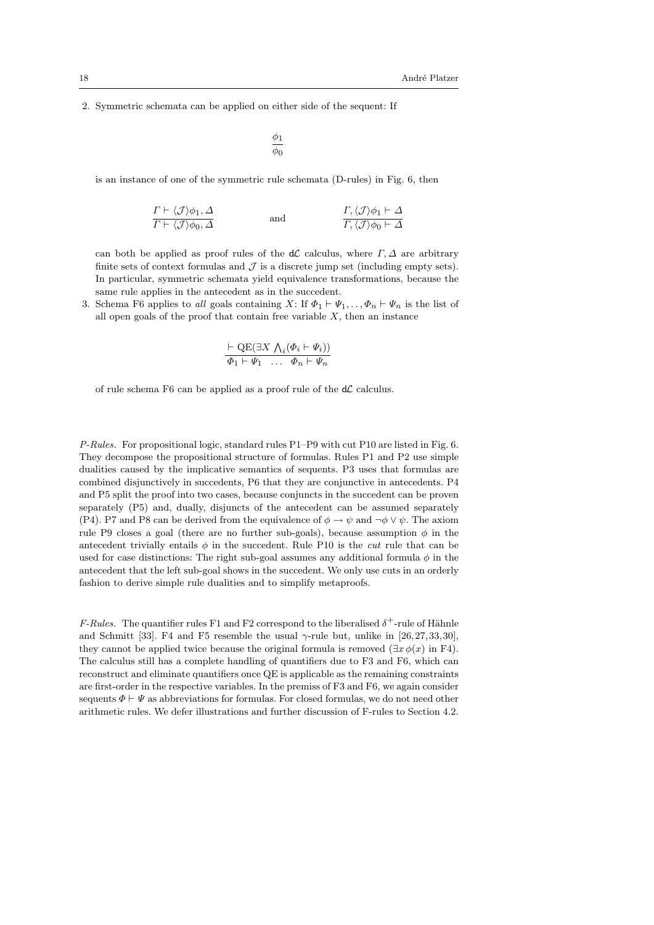2. Symmetric schemata can be applied on either side of the sequent: If

$$
\frac{\phi_1}{\phi_0}
$$

is an instance of one of the symmetric rule schemata (D-rules) in Fig. 6, then

$$
\frac{\Gamma \vdash \langle \mathcal{J} \rangle \phi_1, \Delta}{\Gamma \vdash \langle \mathcal{J} \rangle \phi_0, \Delta} \qquad \text{and} \qquad \frac{\Gamma, \langle \mathcal{J} \rangle \phi_1 \vdash \Delta}{\Gamma, \langle \mathcal{J} \rangle \phi_0 \vdash \Delta}
$$

can both be applied as proof rules of the  $d\mathcal{L}$  calculus, where  $\Gamma, \Delta$  are arbitrary finite sets of context formulas and  $\mathcal J$  is a discrete jump set (including empty sets). In particular, symmetric schemata yield equivalence transformations, because the same rule applies in the antecedent as in the succedent.

3. Schema F6 applies to all goals containing X: If  $\Phi_1 \vdash \Psi_1, \ldots, \Phi_n \vdash \Psi_n$  is the list of all open goals of the proof that contain free variable  $X$ , then an instance

$$
\frac{\vdash \text{QE}(\exists X \ \bigwedge_i(\Phi_i \vdash \Psi_i))}{\Phi_1 \vdash \Psi_1 \ \ldots \ \Phi_n \vdash \Psi_n}
$$

of rule schema F6 can be applied as a proof rule of the  $d\mathcal{L}$  calculus.

P-Rules. For propositional logic, standard rules P1–P9 with cut P10 are listed in Fig. 6. They decompose the propositional structure of formulas. Rules P1 and P2 use simple dualities caused by the implicative semantics of sequents. P3 uses that formulas are combined disjunctively in succedents, P6 that they are conjunctive in antecedents. P4 and P5 split the proof into two cases, because conjuncts in the succedent can be proven separately (P5) and, dually, disjuncts of the antecedent can be assumed separately (P4). P7 and P8 can be derived from the equivalence of  $\phi \to \psi$  and  $\neg \phi \lor \psi$ . The axiom rule P9 closes a goal (there are no further sub-goals), because assumption  $\phi$  in the antecedent trivially entails  $\phi$  in the succedent. Rule P10 is the *cut* rule that can be used for case distinctions: The right sub-goal assumes any additional formula  $\phi$  in the antecedent that the left sub-goal shows in the succedent. We only use cuts in an orderly fashion to derive simple rule dualities and to simplify metaproofs.

F-Rules. The quantifier rules F1 and F2 correspond to the liberalised  $\delta^+$ -rule of Hähnle and Schmitt [33]. F4 and F5 resemble the usual  $\gamma$ -rule but, unlike in [26, 27, 33, 30], they cannot be applied twice because the original formula is removed  $(\exists x \phi(x)$  in F4). The calculus still has a complete handling of quantifiers due to F3 and F6, which can reconstruct and eliminate quantifiers once QE is applicable as the remaining constraints are first-order in the respective variables. In the premiss of F3 and F6, we again consider sequents  $\Phi \vdash \Psi$  as abbreviations for formulas. For closed formulas, we do not need other arithmetic rules. We defer illustrations and further discussion of F-rules to Section 4.2.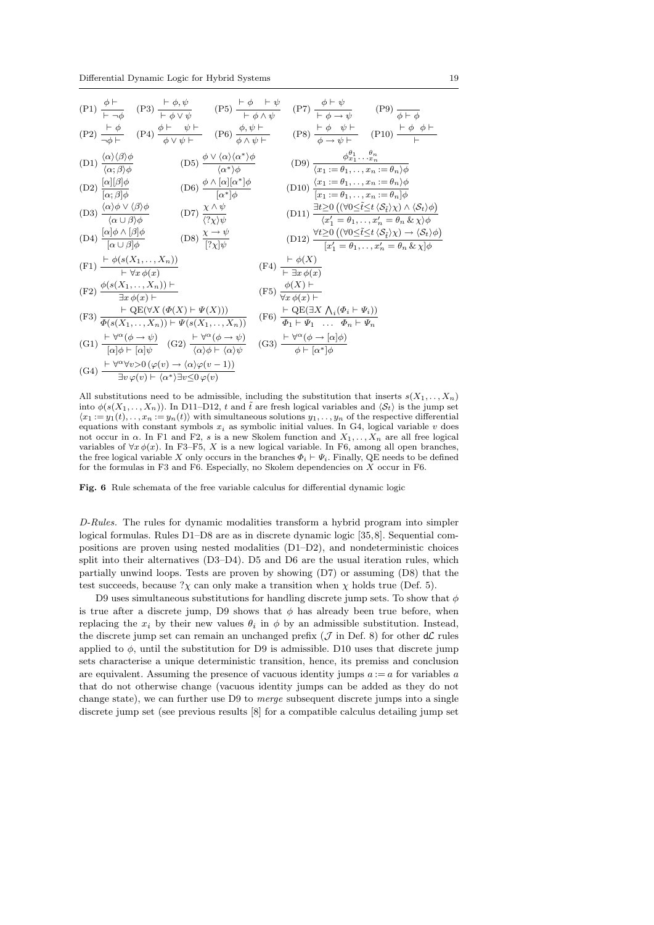$$
(P1) \frac{\phi \vdash}{\vdash \neg \phi} \qquad (P3) \frac{\vdash \phi, \psi}{\vdash \phi \lor \psi} \qquad (P5) \frac{\vdash \phi \vdash \psi}{\vdash \phi \land \psi} \qquad (P7) \frac{\phi \vdash \psi}{\vdash \phi \rightarrow \psi} \qquad (P9) \frac{\phi \vdash \phi}{\phi \vdash \phi}
$$
\n
$$
(P2) \frac{\vdash \phi}{\neg \phi \vdash} \qquad (P4) \frac{\phi \vdash \psi \vdash}{\phi \lor \psi \vdash} \qquad (P6) \frac{\phi, \psi \vdash}{\phi \land \psi \vdash} \qquad (P8) \frac{\vdash \phi \psi \vdash}{\phi \rightarrow \psi \vdash} \qquad (P10) \frac{\vdash \phi \phi \vdash}{\vdash}
$$
\n
$$
(D1) \frac{\langle \alpha \rangle \langle \beta \rangle \phi}{\langle \alpha; \beta \rangle \phi} \qquad (D5) \frac{\phi \lor \langle \alpha \rangle \langle \alpha^* \rangle \phi}{\langle \alpha^* \rangle \phi} \qquad (D9) \frac{\phi_{1, \dots, x_n}^{\theta} \vdash \phi}{\langle x_1 := \theta_1, \dots, x_n := \theta_n \rangle \phi}
$$
\n
$$
(D2) \frac{[\alpha][\beta]\phi}{[\alpha; \beta]\phi} \qquad (D6) \frac{\phi \land [\alpha][\alpha^*]\phi}{[\alpha^*]\phi} \qquad (D10) \frac{\langle x_1 := \theta_1, \dots, x_n := \theta_n \rangle \phi}{\langle x_1 := \theta_1, \dots, x_n := \theta_n \rangle \phi}
$$
\n
$$
(D3) \frac{\langle \alpha \rangle \phi \lor \langle \beta \rangle \phi}{\langle \alpha \cup \beta \rangle \phi} \qquad (D7) \frac{\chi \land \psi}{\langle ? \chi \rangle \psi} \qquad (D11) \frac{\exists t \geq 0 \left( (\forall 0 \leq \tilde{t} \leq t \langle \mathcal{S}_{\tilde{t}} \rangle \chi) \land \langle \mathcal{S}_{t} \rangle \phi \right)}{\langle x_1' = \theta_1, \dots, x_n' = \theta_n \& \chi \rangle \phi}
$$
\n
$$
(P4) \frac{\vdash \phi(s(X_1, \dots, X_n))}{[\alpha \cup \beta]\phi} \qquad (D8) \frac{\chi \
$$

All substitutions need to be admissible, including the substitution that inserts  $s(X_1, \ldots, X_n)$ into  $\phi(s(X_1, \ldots, X_n))$ . In D11–D12, t and the set are fresh logical variables and  $\langle \mathcal{S}_t \rangle$  is the jump set  $\langle x_1 := y_1(t), \ldots, x_n := y_n(t) \rangle$  with simultaneous solutions  $y_1, \ldots, y_n$  of the respective differential equations with constant symbols  $x_i$  as symbolic initial values. In G4, logical variable v does not occur in  $\alpha$ . In F1 and F2, s is a new Skolem function and  $X_1, \ldots, X_n$  are all free logical variables of  $\forall x \phi(x)$ . In F3–F5, X is a new logical variable. In F6, among all open branches, the free logical variable X only occurs in the branches  $\Phi_i \vdash \Psi_i$ . Finally, QE needs to be defined for the formulas in F3 and F6. Especially, no Skolem dependencies on X occur in F6.

Fig. 6 Rule schemata of the free variable calculus for differential dynamic logic

D-Rules. The rules for dynamic modalities transform a hybrid program into simpler logical formulas. Rules D1–D8 are as in discrete dynamic logic [35, 8]. Sequential compositions are proven using nested modalities (D1–D2), and nondeterministic choices split into their alternatives (D3–D4). D5 and D6 are the usual iteration rules, which partially unwind loops. Tests are proven by showing (D7) or assuming (D8) that the test succeeds, because  $?\chi$  can only make a transition when  $\chi$  holds true (Def. 5).

D9 uses simultaneous substitutions for handling discrete jump sets. To show that  $\phi$ is true after a discrete jump, D9 shows that  $\phi$  has already been true before, when replacing the  $x_i$  by their new values  $\theta_i$  in  $\phi$  by an admissible substitution. Instead, the discrete jump set can remain an unchanged prefix ( $\mathcal J$  in Def. 8) for other  $d\mathcal L$  rules applied to  $\phi$ , until the substitution for D9 is admissible. D10 uses that discrete jump sets characterise a unique deterministic transition, hence, its premiss and conclusion are equivalent. Assuming the presence of vacuous identity jumps  $a := a$  for variables a that do not otherwise change (vacuous identity jumps can be added as they do not change state), we can further use D9 to merge subsequent discrete jumps into a single discrete jump set (see previous results [8] for a compatible calculus detailing jump set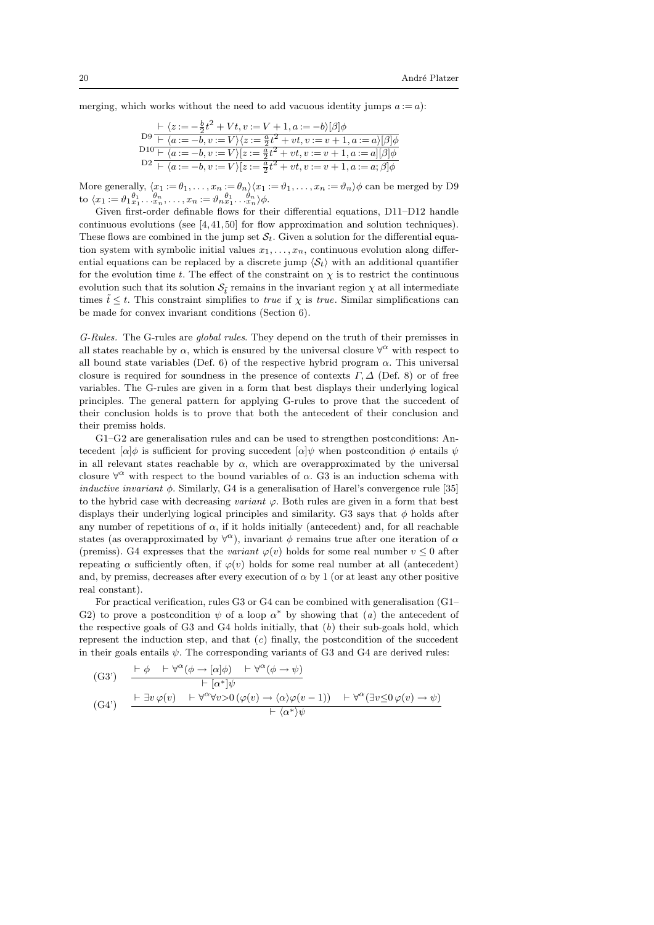merging, which works without the need to add vacuous identity jumps  $a := a$ ):

| $\vdash \langle z := -\frac{b}{2}t^2 + Vt, v := V + 1, a := -b \rangle  \beta  \phi$ |                                                                                                                            |
|--------------------------------------------------------------------------------------|----------------------------------------------------------------------------------------------------------------------------|
|                                                                                      | $D9 \overline{\smash{\vdash} (a := -b, v := V)} \langle z := \frac{a}{2}t^2 + vt, v := v + 1, a := a \rangle [\beta] \phi$ |
|                                                                                      | $D10 \over \vdash (a := -b, v := V)[z := \frac{a}{2}t^2 + vt, v := v + 1, a := a][\beta]\phi$                              |
|                                                                                      | $D2 + \langle a := -b, v := V \rangle [z := \frac{a}{2}t^2 + vt, v := v + 1, a := a; \beta] \phi$                          |

More generally,  $\langle x_1 := \theta_1, \ldots, x_n := \theta_n \rangle \langle x_1 := \vartheta_1, \ldots, x_n := \vartheta_n \rangle \phi$  can be merged by D9 to  $\langle x_1 := \vartheta_1 \frac{\theta_1}{x_1} \ldots \frac{\theta_n}{x_n}, \ldots, x_n := \vartheta_n \frac{\theta_1}{x_1} \ldots \frac{\theta_n}{x_n} \rangle \phi.$ 

Given first-order definable flows for their differential equations, D11–D12 handle continuous evolutions (see [4,41, 50] for flow approximation and solution techniques). These flows are combined in the jump set  $S_t$ . Given a solution for the differential equation system with symbolic initial values  $x_1, \ldots, x_n$ , continuous evolution along differential equations can be replaced by a discrete jump  $\langle S_t \rangle$  with an additional quantifier for the evolution time t. The effect of the constraint on  $\chi$  is to restrict the continuous evolution such that its solution  $\mathcal{S}_{\tilde{t}}$  remains in the invariant region  $\chi$  at all intermediate times  $\tilde{t} \leq t$ . This constraint simplifies to *true* if  $\chi$  is *true*. Similar simplifications can be made for convex invariant conditions (Section 6).

G-Rules. The G-rules are global rules. They depend on the truth of their premisses in all states reachable by  $\alpha$ , which is ensured by the universal closure  $\forall^{\alpha}$  with respect to all bound state variables (Def. 6) of the respective hybrid program  $\alpha$ . This universal closure is required for soundness in the presence of contexts  $\Gamma$ ,  $\Delta$  (Def. 8) or of free variables. The G-rules are given in a form that best displays their underlying logical principles. The general pattern for applying G-rules to prove that the succedent of their conclusion holds is to prove that both the antecedent of their conclusion and their premiss holds.

G1–G2 are generalisation rules and can be used to strengthen postconditions: Antecedent  $\alpha | \phi$  is sufficient for proving succedent  $\alpha | \psi$  when postcondition  $\phi$  entails  $\psi$ in all relevant states reachable by  $\alpha$ , which are overapproximated by the universal closure  $\forall^{\alpha}$  with respect to the bound variables of  $\alpha$ . G3 is an induction schema with *inductive invariant*  $\phi$ . Similarly, G4 is a generalisation of Harel's convergence rule [35] to the hybrid case with decreasing variant  $\varphi$ . Both rules are given in a form that best displays their underlying logical principles and similarity. G3 says that  $\phi$  holds after any number of repetitions of  $\alpha$ , if it holds initially (antecedent) and, for all reachable states (as overapproximated by  $\forall^{\alpha}$ ), invariant  $\phi$  remains true after one iteration of  $\alpha$ (premiss). G4 expresses that the variant  $\varphi(v)$  holds for some real number  $v \leq 0$  after repeating  $\alpha$  sufficiently often, if  $\varphi(v)$  holds for some real number at all (antecedent) and, by premiss, decreases after every execution of  $\alpha$  by 1 (or at least any other positive real constant).

For practical verification, rules G3 or G4 can be combined with generalisation (G1– G2) to prove a postcondition  $\psi$  of a loop  $\alpha^*$  by showing that (a) the antecedent of the respective goals of G3 and G4 holds initially, that  $(b)$  their sub-goals hold, which represent the induction step, and that  $(c)$  finally, the postcondition of the succedent in their goals entails  $\psi$ . The corresponding variants of G3 and G4 are derived rules:

(G3') 
$$
\frac{\vdash \phi \quad \vdash \forall^{\alpha}(\phi \to [\alpha]\phi) \quad \vdash \forall^{\alpha}(\phi \to \psi)}{\vdash [\alpha^*]\psi} \n(G4') \quad \frac{\vdash \exists v \, \varphi(v) \quad \vdash \forall^{\alpha} \forall v > 0 \, (\varphi(v) \to \langle \alpha \rangle \varphi(v-1)) \quad \vdash \forall^{\alpha}(\exists v \le 0 \, \varphi(v) \to \psi)}{\vdash \langle \alpha^* \rangle \psi}
$$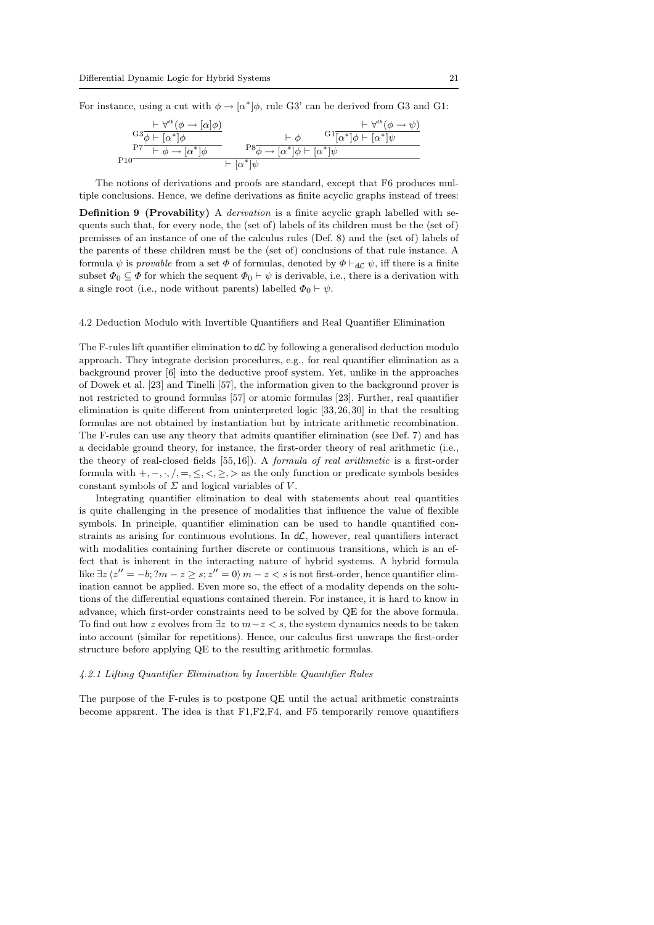For instance, using a cut with  $\phi \rightarrow [\alpha^*] \phi$ , rule G3' can be derived from G3 and G1:

$$
\begin{array}{ccc}\n & \xrightarrow{\vdash \forall^{\alpha}(\phi \to [\alpha]\phi)} & \xrightarrow{\vdash \phi^{\alpha}(\phi \to \psi)} \\
 \xrightarrow{\text{p7 }} \xrightarrow{\vdash \phi \to [\alpha^*]\phi} & \xrightarrow{\text{p8}} \xrightarrow{\vdash \phi} & \xrightarrow{\text{G1}}[\alpha^*]\phi \vdash [\alpha^*]\psi \\
 \xrightarrow{\text{p10}} & \xrightarrow{\vdash [\alpha^*]\psi} & \xrightarrow{\text{p8}} \xrightarrow{\vdash [\alpha^*]\psi} & \xrightarrow{\text{p10}} \\
 \end{array}
$$

The notions of derivations and proofs are standard, except that F6 produces multiple conclusions. Hence, we define derivations as finite acyclic graphs instead of trees:

Definition 9 (Provability) A *derivation* is a finite acyclic graph labelled with sequents such that, for every node, the (set of) labels of its children must be the (set of) premisses of an instance of one of the calculus rules (Def. 8) and the (set of) labels of the parents of these children must be the (set of) conclusions of that rule instance. A formula  $\psi$  is provable from a set  $\Phi$  of formulas, denoted by  $\Phi \vdash_{d\mathcal{L}} \psi$ , iff there is a finite subset  $\Phi_0 \subseteq \Phi$  for which the sequent  $\Phi_0 \vdash \psi$  is derivable, i.e., there is a derivation with a single root (i.e., node without parents) labelled  $\Phi_0 \vdash \psi$ .

### 4.2 Deduction Modulo with Invertible Quantifiers and Real Quantifier Elimination

The F-rules lift quantifier elimination to  $d\mathcal{L}$  by following a generalised deduction modulo approach. They integrate decision procedures, e.g., for real quantifier elimination as a background prover [6] into the deductive proof system. Yet, unlike in the approaches of Dowek et al. [23] and Tinelli [57], the information given to the background prover is not restricted to ground formulas [57] or atomic formulas [23]. Further, real quantifier elimination is quite different from uninterpreted logic [33, 26, 30] in that the resulting formulas are not obtained by instantiation but by intricate arithmetic recombination. The F-rules can use any theory that admits quantifier elimination (see Def. 7) and has a decidable ground theory, for instance, the first-order theory of real arithmetic (i.e., the theory of real-closed fields [55, 16]). A formula of real arithmetic is a first-order formula with  $+,-, \cdot, /, =, \leq, \leq, \geq, \geq$  as the only function or predicate symbols besides constant symbols of  $\Sigma$  and logical variables of V.

Integrating quantifier elimination to deal with statements about real quantities is quite challenging in the presence of modalities that influence the value of flexible symbols. In principle, quantifier elimination can be used to handle quantified constraints as arising for continuous evolutions. In  $d\mathcal{L}$ , however, real quantifiers interact with modalities containing further discrete or continuous transitions, which is an effect that is inherent in the interacting nature of hybrid systems. A hybrid formula like  $\exists z \langle z'' = -b; ?m - z \geq s; z'' = 0 \rangle m - z < s$  is not first-order, hence quantifier elimination cannot be applied. Even more so, the effect of a modality depends on the solutions of the differential equations contained therein. For instance, it is hard to know in advance, which first-order constraints need to be solved by QE for the above formula. To find out how z evolves from  $\exists z$  to  $m-z < s$ , the system dynamics needs to be taken into account (similar for repetitions). Hence, our calculus first unwraps the first-order structure before applying QE to the resulting arithmetic formulas.

#### 4.2.1 Lifting Quantifier Elimination by Invertible Quantifier Rules

The purpose of the F-rules is to postpone QE until the actual arithmetic constraints become apparent. The idea is that F1,F2,F4, and F5 temporarily remove quantifiers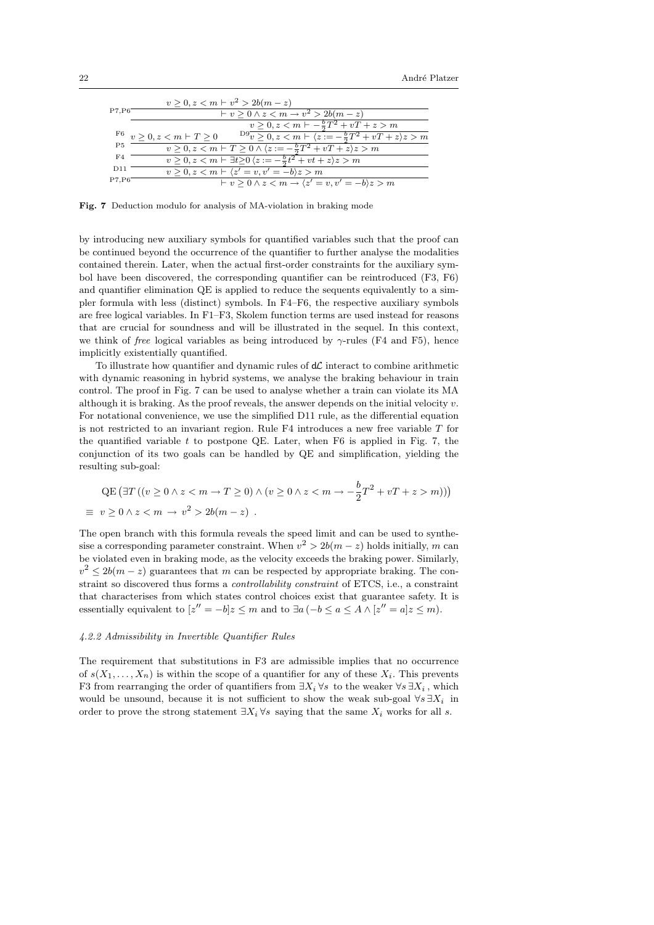|       | $v > 0, z < m + v^2 > 2b(m - z)$                                                                                             |  |
|-------|------------------------------------------------------------------------------------------------------------------------------|--|
| P7,P6 | $v > 0 \wedge z < m \rightarrow v^2 > 2b(m-z)$                                                                               |  |
|       | $v \geq 0, z < m \vdash -\frac{b}{2}T^2 + vT + z > m$                                                                        |  |
|       | F <sub>6</sub> $v > 0, z < m$ + T $\geq 0$<br>$D9v \geq 0, z < m \vdash \langle z := -\frac{b}{2}T^2 + vT + z \rangle z > m$ |  |
| P5    | $v \geq 0, z < m \overline{\vphantom{F}} \quad T \geq 0 \land (z := -\frac{b}{2}T^2 + vT + z)z > m$                          |  |
| F4    | $v \geq 0, z < m \vdash \exists t \geq 0 \ (z := -\frac{b}{2}t^2 + vt + z)z > m$                                             |  |
| D11   | $v \geq 0, z < m \vdash \langle z' = v, v' = -b \rangle z > m$                                                               |  |
| P7,P6 | $v > 0 \land z < m \rightarrow \langle z' = v, v' = -b \rangle z > m$                                                        |  |
|       |                                                                                                                              |  |

Fig. 7 Deduction modulo for analysis of MA-violation in braking mode

by introducing new auxiliary symbols for quantified variables such that the proof can be continued beyond the occurrence of the quantifier to further analyse the modalities contained therein. Later, when the actual first-order constraints for the auxiliary symbol have been discovered, the corresponding quantifier can be reintroduced (F3, F6) and quantifier elimination QE is applied to reduce the sequents equivalently to a simpler formula with less (distinct) symbols. In F4–F6, the respective auxiliary symbols are free logical variables. In F1–F3, Skolem function terms are used instead for reasons that are crucial for soundness and will be illustrated in the sequel. In this context, we think of free logical variables as being introduced by  $\gamma$ -rules (F4 and F5), hence implicitly existentially quantified.

To illustrate how quantifier and dynamic rules of  $d\mathcal{L}$  interact to combine arithmetic with dynamic reasoning in hybrid systems, we analyse the braking behaviour in train control. The proof in Fig. 7 can be used to analyse whether a train can violate its MA although it is braking. As the proof reveals, the answer depends on the initial velocity  $v$ . For notational convenience, we use the simplified D11 rule, as the differential equation is not restricted to an invariant region. Rule F4 introduces a new free variable T for the quantified variable t to postpone QE. Later, when F6 is applied in Fig. 7, the conjunction of its two goals can be handled by QE and simplification, yielding the resulting sub-goal:

$$
QE \left( \exists T \left( (v \ge 0 \land z < m \to T \ge 0) \land (v \ge 0 \land z < m \to -\frac{b}{2} T^2 + vT + z > m) \right) \right)
$$
\n
$$
\equiv v \ge 0 \land z < m \to v^2 > 2b(m - z) \ .
$$

The open branch with this formula reveals the speed limit and can be used to synthesise a corresponding parameter constraint. When  $v^2 > 2b(m - z)$  holds initially, m can be violated even in braking mode, as the velocity exceeds the braking power. Similarly,  $v^2 \leq 2b(m-z)$  guarantees that m can be respected by appropriate braking. The constraint so discovered thus forms a controllability constraint of ETCS, i.e., a constraint that characterises from which states control choices exist that guarantee safety. It is essentially equivalent to  $[z'' = -b]z \leq m$  and to  $\exists a \, (-b \leq a \leq A \land |z'' = a]z \leq m$ .

#### 4.2.2 Admissibility in Invertible Quantifier Rules

The requirement that substitutions in F3 are admissible implies that no occurrence of  $s(X_1, \ldots, X_n)$  is within the scope of a quantifier for any of these  $X_i$ . This prevents F3 from rearranging the order of quantifiers from  $\exists X_i \,\forall s$  to the weaker  $\forall s \,\exists X_i$ , which would be unsound, because it is not sufficient to show the weak sub-goal  $\forall s \exists X_i$  in order to prove the strong statement  $\exists X_i \forall s$  saying that the same  $X_i$  works for all s.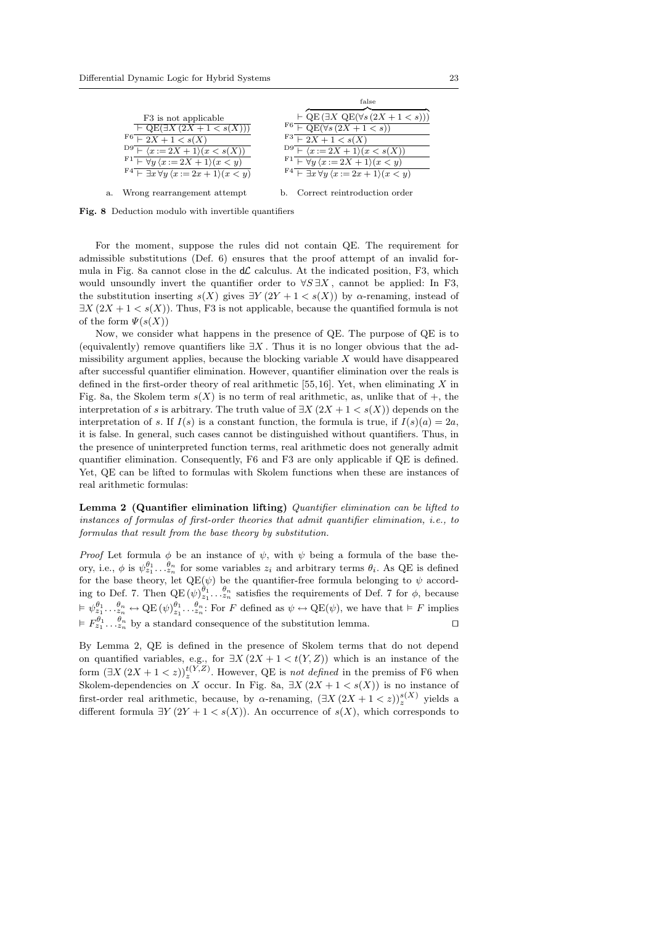|                                                               | false                                                   |
|---------------------------------------------------------------|---------------------------------------------------------|
| F <sub>3</sub> is not applicable                              | $\vdash$ QE( $\exists X$ QE( $\forall s$ (2X + 1 < s))) |
| $\overline{\vdash \mathrm{QE}(\exists X \, (2X+1 \lt s(X)))}$ | $F6 + \overline{\text{QE}(\forall s(2X + 1 < s))}$      |
| $F6 + 2X + 1 < s(X)$                                          | $F^3$ + 2X + 1 < s(X)                                   |
| $\frac{D9 - (x := 2X + 1)}{x < s(X)}$                         | $\frac{D9 - (x := 2X + 1)}{x < s(X)}$                   |
| $F_1 + \forall y \ (x := 2X + 1)(x < y)$                      | $F1 + \forall y \ (x := 2X + 1)(x < y)$                 |
| $F^4$ + $\exists x \forall y \ (x := 2x + 1)(x < y)$          | $F^4$ + $\exists x \forall y \ (x := 2x + 1)(x < y)$    |
|                                                               |                                                         |

a. Wrong rearrangement attempt b. Correct reintroduction order

Fig. 8 Deduction modulo with invertible quantifiers

For the moment, suppose the rules did not contain QE. The requirement for admissible substitutions (Def. 6) ensures that the proof attempt of an invalid formula in Fig. 8a cannot close in the  $d\mathcal{L}$  calculus. At the indicated position, F3, which would unsoundly invert the quantifier order to  $\forall S \exists X$ , cannot be applied: In F3, the substitution inserting  $s(X)$  gives  $\exists Y (2Y + 1 \leq s(X))$  by  $\alpha$ -renaming, instead of  $\exists X (2X + 1 < s(X))$ . Thus, F3 is not applicable, because the quantified formula is not of the form  $\Psi(s(X))$ 

Now, we consider what happens in the presence of QE. The purpose of QE is to (equivalently) remove quantifiers like  $\exists X$ . Thus it is no longer obvious that the admissibility argument applies, because the blocking variable X would have disappeared after successful quantifier elimination. However, quantifier elimination over the reals is defined in the first-order theory of real arithmetic [55, 16]. Yet, when eliminating  $X$  in Fig. 8a, the Skolem term  $s(X)$  is no term of real arithmetic, as, unlike that of  $+$ , the interpretation of s is arbitrary. The truth value of  $\exists X (2X + 1 < s(X))$  depends on the interpretation of s. If  $I(s)$  is a constant function, the formula is true, if  $I(s)(a) = 2a$ , it is false. In general, such cases cannot be distinguished without quantifiers. Thus, in the presence of uninterpreted function terms, real arithmetic does not generally admit quantifier elimination. Consequently, F6 and F3 are only applicable if QE is defined. Yet, QE can be lifted to formulas with Skolem functions when these are instances of real arithmetic formulas:

Lemma 2 (Quantifier elimination lifting) Quantifier elimination can be lifted to instances of formulas of first-order theories that admit quantifier elimination, i.e., to formulas that result from the base theory by substitution.

*Proof* Let formula  $\phi$  be an instance of  $\psi$ , with  $\psi$  being a formula of the base theory, i.e.,  $\phi$  is  $\psi_{z_1}^{\theta_1} \dots \xi_n^{\theta_n}$  for some variables  $z_i$  and arbitrary terms  $\theta_i$ . As QE is defined for the base theory, let  $\text{QE}(\psi)$  be the quantifier-free formula belonging to  $\psi$  according to Def. 7. Then  $\mathrm{QE}(\psi)_{z_1}^{\theta_1} \dots \theta_n^{\theta_n}$  satisfies the requirements of Def. 7 for  $\phi$ , because  $\vDash \psi_{z_1}^{\theta_1} \dots \varepsilon_n^{\theta_n} \leftrightarrow \mathrm{QE}(\psi)_{z_1}^{\theta_1} \dots \varepsilon_n^{\theta_n}$ : For F defined as  $\psi \leftrightarrow \mathrm{QE}(\psi)$ , we have that  $\vDash F$  implies  $\vDash F_{z_1}^{\theta_1} \dots \xi_n^{\theta_n}$  by a standard consequence of the substitution lemma.  $\square$ 

By Lemma 2, QE is defined in the presence of Skolem terms that do not depend on quantified variables, e.g., for  $\exists X \, (2X + 1 \lt t(Y, Z))$  which is an instance of the form  $(\exists X (2X + 1 < z))_z^{t(Y, Z)}$ . However, QE is not defined in the premiss of F6 when Skolem-dependencies on X occur. In Fig. 8a,  $\exists X (2X + 1 < s(X))$  is no instance of first-order real arithmetic, because, by  $\alpha$ -renaming,  $(\exists X (2X + 1 < z))_z^{s(X)}$  yields a different formula  $\exists Y (2Y + 1 < s(X))$ . An occurrence of  $s(X)$ , which corresponds to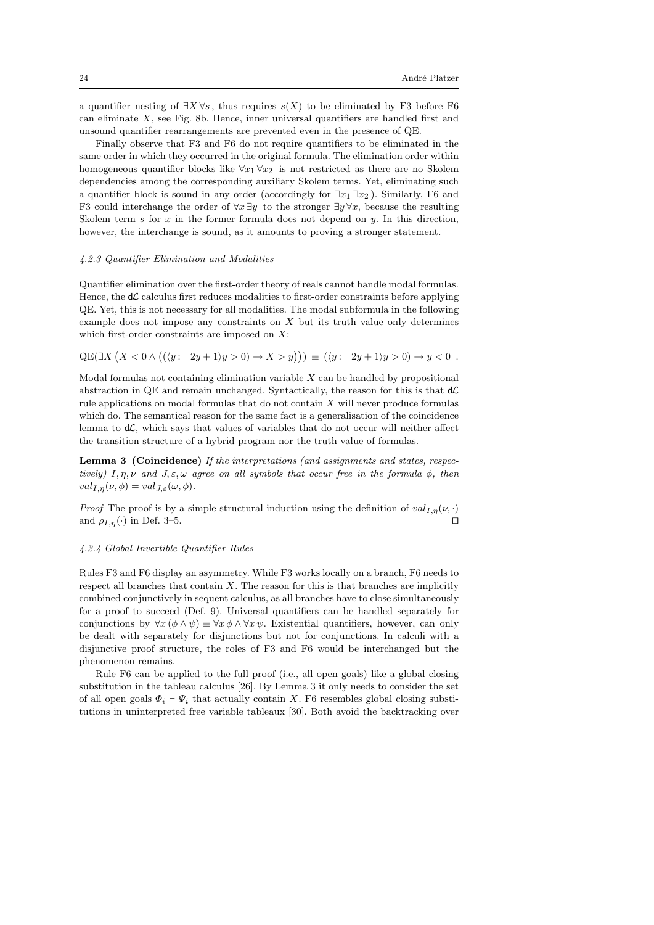a quantifier nesting of  $\exists X \forall s$ , thus requires  $s(X)$  to be eliminated by F3 before F6 can eliminate X, see Fig. 8b. Hence, inner universal quantifiers are handled first and unsound quantifier rearrangements are prevented even in the presence of QE.

Finally observe that F3 and F6 do not require quantifiers to be eliminated in the same order in which they occurred in the original formula. The elimination order within homogeneous quantifier blocks like  $\forall x_1 \forall x_2$  is not restricted as there are no Skolem dependencies among the corresponding auxiliary Skolem terms. Yet, eliminating such a quantifier block is sound in any order (accordingly for  $\exists x_1 \exists x_2$ ). Similarly, F6 and F3 could interchange the order of  $\forall x \exists y$  to the stronger  $\exists y \forall x$ , because the resulting Skolem term s for x in the former formula does not depend on  $y$ . In this direction, however, the interchange is sound, as it amounts to proving a stronger statement.

## 4.2.3 Quantifier Elimination and Modalities

Quantifier elimination over the first-order theory of reals cannot handle modal formulas. Hence, the  $d\mathcal{L}$  calculus first reduces modalities to first-order constraints before applying QE. Yet, this is not necessary for all modalities. The modal subformula in the following example does not impose any constraints on  $X$  but its truth value only determines which first-order constraints are imposed on  $X$ :

$$
QE(\exists X \ (X < 0 \land ((\langle y:=2y+1 \rangle y > 0) \to X > y))) \equiv (\langle y:=2y+1 \rangle y > 0) \to y < 0.
$$

Modal formulas not containing elimination variable  $X$  can be handled by propositional abstraction in QE and remain unchanged. Syntactically, the reason for this is that  $d\mathcal{L}$ rule applications on modal formulas that do not contain X will never produce formulas which do. The semantical reason for the same fact is a generalisation of the coincidence lemma to  $d\mathcal{L}$ , which says that values of variables that do not occur will neither affect the transition structure of a hybrid program nor the truth value of formulas.

Lemma 3 (Coincidence) If the interpretations (and assignments and states, respectively) I,  $\eta$ ,  $\nu$  and  $J, \varepsilon$ ,  $\omega$  agree on all symbols that occur free in the formula  $\phi$ , then  $val_{I,\eta}(\nu,\phi)=val_{J,\varepsilon}(\omega,\phi).$ 

*Proof* The proof is by a simple structural induction using the definition of  $val_{I,\eta}(\nu, \cdot)$ and  $\rho_{I,n}(\cdot)$  in Def. 3–5.

# 4.2.4 Global Invertible Quantifier Rules

Rules F3 and F6 display an asymmetry. While F3 works locally on a branch, F6 needs to respect all branches that contain  $X$ . The reason for this is that branches are implicitly combined conjunctively in sequent calculus, as all branches have to close simultaneously for a proof to succeed (Def. 9). Universal quantifiers can be handled separately for conjunctions by  $\forall x (\phi \land \psi) \equiv \forall x \phi \land \forall x \psi$ . Existential quantifiers, however, can only be dealt with separately for disjunctions but not for conjunctions. In calculi with a disjunctive proof structure, the roles of F3 and F6 would be interchanged but the phenomenon remains.

Rule F6 can be applied to the full proof (i.e., all open goals) like a global closing substitution in the tableau calculus [26]. By Lemma 3 it only needs to consider the set of all open goals  $\Phi_i \vdash \Psi_i$  that actually contain X. F6 resembles global closing substitutions in uninterpreted free variable tableaux [30]. Both avoid the backtracking over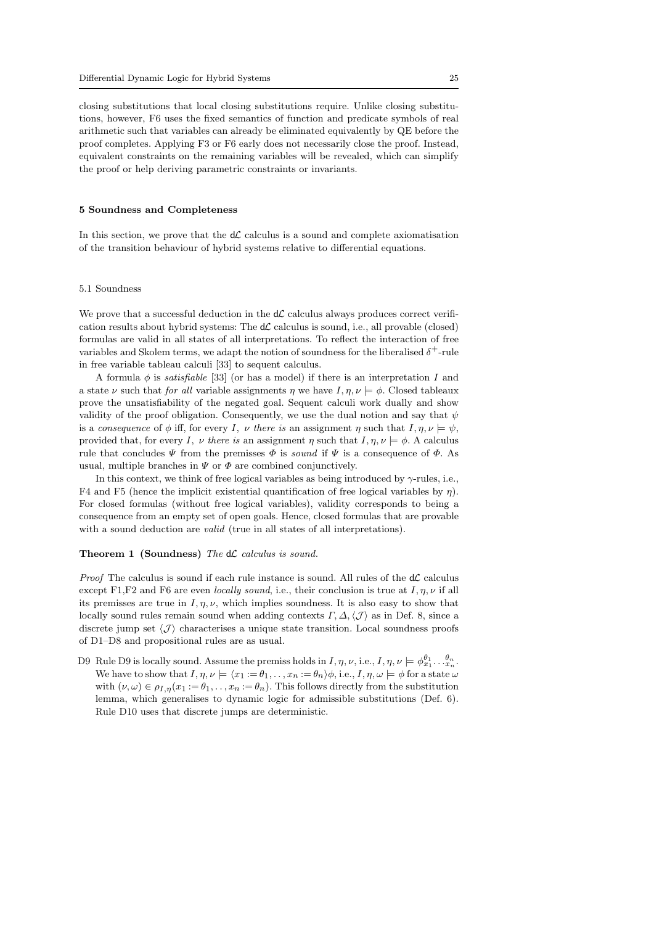closing substitutions that local closing substitutions require. Unlike closing substitutions, however, F6 uses the fixed semantics of function and predicate symbols of real arithmetic such that variables can already be eliminated equivalently by QE before the proof completes. Applying F3 or F6 early does not necessarily close the proof. Instead, equivalent constraints on the remaining variables will be revealed, which can simplify the proof or help deriving parametric constraints or invariants.

# 5 Soundness and Completeness

In this section, we prove that the  $d\mathcal{L}$  calculus is a sound and complete axiomatisation of the transition behaviour of hybrid systems relative to differential equations.

### 5.1 Soundness

We prove that a successful deduction in the  $d\mathcal{L}$  calculus always produces correct verification results about hybrid systems: The  $d\mathcal{L}$  calculus is sound, i.e., all provable (closed) formulas are valid in all states of all interpretations. To reflect the interaction of free variables and Skolem terms, we adapt the notion of soundness for the liberalised  $\delta^+$ -rule in free variable tableau calculi [33] to sequent calculus.

A formula  $\phi$  is *satisfiable* [33] (or has a model) if there is an interpretation I and a state  $\nu$  such that for all variable assignments  $\eta$  we have  $I, \eta, \nu \models \phi$ . Closed tableaux prove the unsatisfiability of the negated goal. Sequent calculi work dually and show validity of the proof obligation. Consequently, we use the dual notion and say that  $\psi$ is a consequence of  $\phi$  iff, for every I,  $\nu$  there is an assignment  $\eta$  such that  $I, \eta, \nu \models \psi$ , provided that, for every I, v there is an assignment  $\eta$  such that  $I, \eta, \nu \models \phi$ . A calculus rule that concludes  $\Psi$  from the premisses  $\Phi$  is sound if  $\Psi$  is a consequence of  $\Phi$ . As usual, multiple branches in  $\Psi$  or  $\Phi$  are combined conjunctively.

In this context, we think of free logical variables as being introduced by  $\gamma$ -rules, i.e., F4 and F5 (hence the implicit existential quantification of free logical variables by  $\eta$ ). For closed formulas (without free logical variables), validity corresponds to being a consequence from an empty set of open goals. Hence, closed formulas that are provable with a sound deduction are *valid* (true in all states of all interpretations).

#### **Theorem 1 (Soundness)** The  $d\mathcal{L}$  calculus is sound.

*Proof* The calculus is sound if each rule instance is sound. All rules of the  $d\mathcal{L}$  calculus except F1,F2 and F6 are even *locally sound*, i.e., their conclusion is true at  $I, \eta, \nu$  if all its premisses are true in  $I, \eta, \nu$ , which implies soundness. It is also easy to show that locally sound rules remain sound when adding contexts  $\Gamma$ ,  $\Delta$ ,  $\langle \mathcal{J} \rangle$  as in Def. 8, since a discrete jump set  $\langle \mathcal{J} \rangle$  characterises a unique state transition. Local soundness proofs of D1–D8 and propositional rules are as usual.

D9 Rule D9 is locally sound. Assume the premiss holds in  $I, \eta, \nu$ , i.e.,  $I, \eta, \nu \models \phi_{x_1}^{\theta_1} \dots \phi_{x_n}^{\theta_n}$ . We have to show that  $I, \eta, \nu \models \langle x_1 := \theta_1, \ldots, x_n := \theta_n \rangle \phi$ , i.e.,  $I, \eta, \omega \models \phi$  for a state  $\omega$ with  $(\nu, \omega) \in \rho_{I,n}(x_1 := \theta_1, \ldots, x_n := \theta_n)$ . This follows directly from the substitution lemma, which generalises to dynamic logic for admissible substitutions (Def. 6). Rule D10 uses that discrete jumps are deterministic.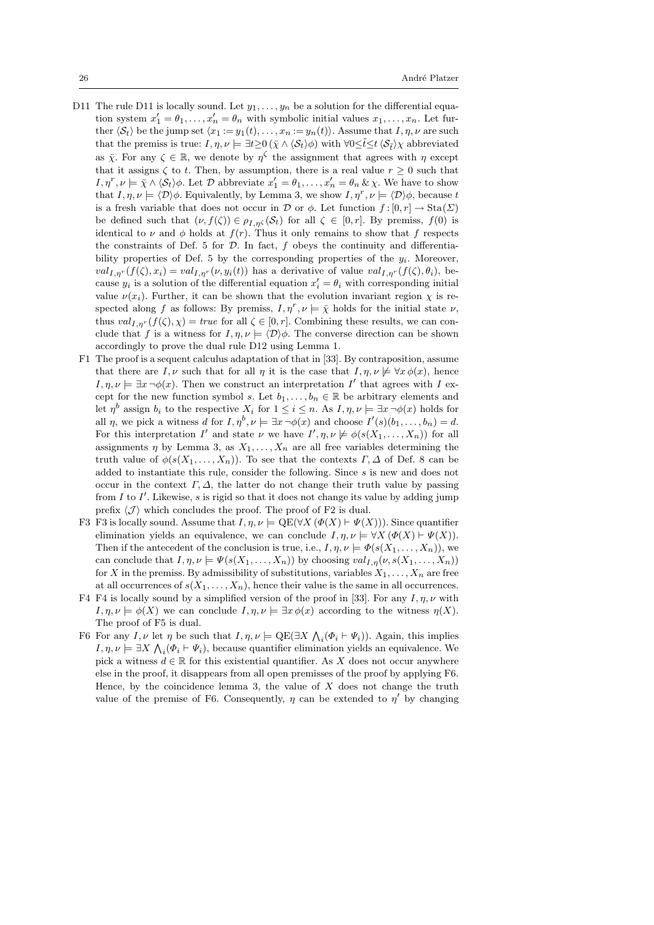- D11 The rule D11 is locally sound. Let  $y_1, \ldots, y_n$  be a solution for the differential equation system  $x'_1 = \theta_1, \ldots, x'_n = \theta_n$  with symbolic initial values  $x_1, \ldots, x_n$ . Let further  $\langle S_t \rangle$  be the jump set  $\langle x_1 := y_1(t), \ldots, x_n := y_n(t) \rangle$ . Assume that  $I, \eta, \nu$  are such that the premiss is true:  $I, \eta, \nu \models \exists t \geq 0 \ (\bar{\chi} \wedge \langle \mathcal{S}_t \rangle \phi)$  with  $\forall 0 \leq \tilde{t} \leq t \ \langle \mathcal{S}_{\tilde{t}} \rangle \chi$  abbreviated as  $\bar{\chi}$ . For any  $\zeta \in \mathbb{R}$ , we denote by  $\eta^{\zeta}$  the assignment that agrees with  $\eta$  except that it assigns  $\zeta$  to t. Then, by assumption, there is a real value  $r \geq 0$  such that  $I, \eta^r, \nu \models \bar{\chi} \wedge \langle \mathcal{S}_t \rangle \phi$ . Let  $\mathcal{D}$  abbreviate  $x_1' = \theta_1, \dots, x_n' = \theta_n \& \chi$ . We have to show that  $I, \eta, \nu \models \langle \mathcal{D} \rangle \phi$ . Equivalently, by Lemma 3, we show  $I, \eta^r, \nu \models \langle \mathcal{D} \rangle \phi$ , because t is a fresh variable that does not occur in  $\mathcal D$  or  $\phi$ . Let function  $f:[0,r]\to \operatorname{Sta}(\Sigma)$ be defined such that  $(\nu, f(\zeta)) \in \rho_{I,\eta\zeta}(\mathcal{S}_t)$  for all  $\zeta \in [0, r]$ . By premiss,  $f(0)$  is identical to  $\nu$  and  $\phi$  holds at  $f(r)$ . Thus it only remains to show that f respects the constraints of Def. 5 for  $D$ . In fact,  $f$  obeys the continuity and differentiability properties of Def. 5 by the corresponding properties of the  $y_i$ . Moreover,  $val_{I,nr}(f(\zeta),x_i) = val_{I,nr}(\nu,y_i(t))$  has a derivative of value  $val_{I,nr}(f(\zeta),\theta_i)$ , because  $y_i$  is a solution of the differential equation  $x'_i = \theta_i$  with corresponding initial value  $\nu(x_i)$ . Further, it can be shown that the evolution invariant region  $\chi$  is respected along f as follows: By premiss,  $I, \eta^r, \nu \models \bar{\chi}$  holds for the initial state  $\nu$ , thus  $val_{I,\eta^r}(f(\zeta), \chi) = true$  for all  $\zeta \in [0, r]$ . Combining these results, we can conclude that f is a witness for  $I, \eta, \nu \models \langle \mathcal{D} \rangle \phi$ . The converse direction can be shown accordingly to prove the dual rule D12 using Lemma 1.
- F1 The proof is a sequent calculus adaptation of that in [33]. By contraposition, assume that there are  $I, \nu$  such that for all  $\eta$  it is the case that  $I, \eta, \nu \not\models \forall x \phi(x)$ , hence  $I, \eta, \nu \models \exists x \neg \phi(x)$ . Then we construct an interpretation I' that agrees with I except for the new function symbol s. Let  $b_1, \ldots, b_n \in \mathbb{R}$  be arbitrary elements and let  $\eta^b$  assign  $b_i$  to the respective  $X_i$  for  $1 \leq i \leq n$ . As  $I, \eta, \nu \models \exists x \neg \phi(x)$  holds for all  $\eta$ , we pick a witness d for  $I, \eta^b, \nu \models \exists x \,\neg \phi(x)$  and choose  $I'(s)(b_1, \ldots, b_n) = d$ . For this interpretation I' and state  $\nu$  we have  $I', \eta, \nu \not\models \phi(s(X_1, \ldots, X_n))$  for all assignments  $\eta$  by Lemma 3, as  $X_1, \ldots, X_n$  are all free variables determining the truth value of  $\phi(s(X_1, \ldots, X_n))$ . To see that the contexts  $\Gamma, \Delta$  of Def. 8 can be added to instantiate this rule, consider the following. Since  $s$  is new and does not occur in the context  $\Gamma$ ,  $\Delta$ , the latter do not change their truth value by passing from I to I'. Likewise, s is rigid so that it does not change its value by adding jump prefix  $\langle \mathcal{J} \rangle$  which concludes the proof. The proof of F2 is dual.
- F3 F3 is locally sound. Assume that  $I, \eta, \nu \models \text{QE}(\forall X (\Phi(X) \vdash \Psi(X)))$ . Since quantifier elimination yields an equivalence, we can conclude  $I, \eta, \nu \models \forall X (\Phi(X) \vdash \Psi(X)).$ Then if the antecedent of the conclusion is true, i.e.,  $I, \eta, \nu \models \Phi(s(X_1, \ldots, X_n))$ , we can conclude that  $I, \eta, \nu \models \Psi(s(X_1, \ldots, X_n))$  by choosing  $val_{I,n}(\nu, s(X_1, \ldots, X_n))$ for X in the premiss. By admissibility of substitutions, variables  $X_1, \ldots, X_n$  are free at all occurrences of  $s(X_1, \ldots, X_n)$ , hence their value is the same in all occurrences.
- F4 F4 is locally sound by a simplified version of the proof in [33]. For any I,  $\eta$ ,  $\nu$  with  $I, \eta, \nu \models \phi(X)$  we can conclude  $I, \eta, \nu \models \exists x \phi(x)$  according to the witness  $\eta(X)$ . The proof of F5 is dual.
- F6 For any  $I, \nu$  let  $\eta$  be such that  $I, \eta, \nu \models \text{QE}(\exists X \land_i (\Phi_i \vdash \Psi_i))$ . Again, this implies  $I, \eta, \nu \models \exists X \land_i (\Phi_i \vdash \Psi_i)$ , because quantifier elimination yields an equivalence. We pick a witness  $d \in \mathbb{R}$  for this existential quantifier. As X does not occur anywhere else in the proof, it disappears from all open premisses of the proof by applying F6. Hence, by the coincidence lemma 3, the value of  $X$  does not change the truth value of the premise of F6. Consequently,  $\eta$  can be extended to  $\eta'$  by changing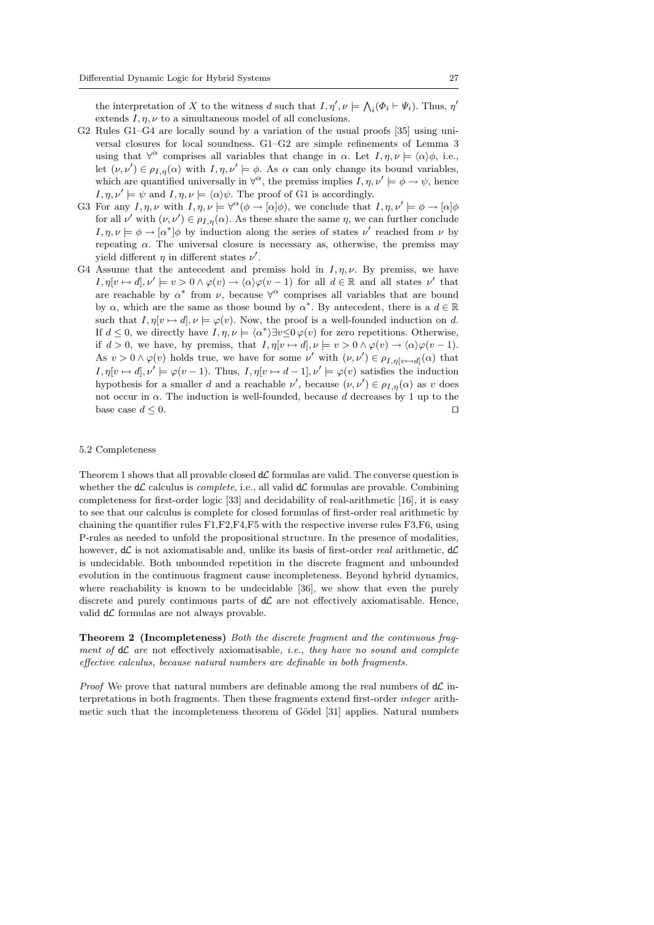the interpretation of X to the witness d such that  $I, \eta', \nu \models \bigwedge_i (\Phi_i \vdash \Psi_i)$ . Thus,  $\eta'$ extends  $I, \eta, \nu$  to a simultaneous model of all conclusions.

- G2 Rules G1–G4 are locally sound by a variation of the usual proofs [35] using universal closures for local soundness. G1–G2 are simple refinements of Lemma 3 using that  $\forall^{\alpha}$  comprises all variables that change in  $\alpha$ . Let  $I, \eta, \nu \models \langle \alpha \rangle \phi$ , i.e., let  $(\nu, \nu') \in \rho_{I,\eta}(\alpha)$  with  $I, \eta, \nu' \models \phi$ . As  $\alpha$  can only change its bound variables, which are quantified universally in  $\forall^{\alpha}$ , the premiss implies  $I, \eta, \nu' \models \phi \rightarrow \psi$ , hence  $I, \eta, \nu' \models \psi$  and  $I, \eta, \nu \models \langle \alpha \rangle \psi$ . The proof of G1 is accordingly.
- G3 For any  $I, \eta, \nu$  with  $I, \eta, \nu \models \forall^{\alpha}(\phi \rightarrow [\alpha]\phi)$ , we conclude that  $I, \eta, \nu' \models \phi \rightarrow [\alpha]\phi$ for all  $\nu'$  with  $(\nu, \nu') \in \rho_{I,\eta}(\alpha)$ . As these share the same  $\eta$ , we can further conclude  $I, \eta, \nu \models \phi \rightarrow [\alpha^*] \phi$  by induction along the series of states  $\nu'$  reached from  $\nu$  by repeating  $\alpha$ . The universal closure is necessary as, otherwise, the premiss may yield different  $\eta$  in different states  $\nu'$ .
- G4 Assume that the antecedent and premiss hold in  $I, \eta, \nu$ . By premiss, we have  $I, \eta[v \mapsto d], \nu' \models v > 0 \land \varphi(v) \to \langle \alpha \rangle \varphi(v-1)$  for all  $d \in \mathbb{R}$  and all states  $\nu'$  that are reachable by  $\alpha^*$  from  $\nu$ , because  $\forall^{\alpha}$  comprises all variables that are bound by  $\alpha$ , which are the same as those bound by  $\alpha^*$ . By antecedent, there is a  $d \in \mathbb{R}$ such that  $I, \eta[v \mapsto d], \nu \models \varphi(v)$ . Now, the proof is a well-founded induction on d. If  $d \leq 0$ , we directly have  $I, \eta, \nu \models \langle \alpha^* \rangle \exists v \leq 0 \varphi(v)$  for zero repetitions. Otherwise, if  $d > 0$ , we have, by premiss, that  $I, \eta[v \mapsto d], \nu \models v > 0 \land \varphi(v) \to \langle \alpha \rangle \varphi(v - 1)$ . As  $v > 0 \wedge \varphi(v)$  holds true, we have for some  $\nu'$  with  $(\nu, \nu') \in \rho_{I, \eta}[v \mapsto d]$  ( $\alpha$ ) that  $I, \eta[v \mapsto d], \nu' \models \varphi(v-1)$ . Thus,  $I, \eta[v \mapsto d-1], \nu' \models \varphi(v)$  satisfies the induction hypothesis for a smaller d and a reachable  $\nu'$ , because  $(\nu, \nu') \in \rho_{I,\eta}(\alpha)$  as v does not occur in  $\alpha$ . The induction is well-founded, because d decreases by 1 up to the base case  $d \leq 0$ .

## 5.2 Completeness

Theorem 1 shows that all provable closed  $d\mathcal{L}$  formulas are valid. The converse question is whether the  $d\mathcal{L}$  calculus is *complete*, i.e., all valid  $d\mathcal{L}$  formulas are provable. Combining completeness for first-order logic [33] and decidability of real-arithmetic [16], it is easy to see that our calculus is complete for closed formulas of first-order real arithmetic by chaining the quantifier rules  $F1, F2, F4, F5$  with the respective inverse rules  $F3, F6$ , using P-rules as needed to unfold the propositional structure. In the presence of modalities, however,  $d\mathcal{L}$  is not axiomatisable and, unlike its basis of first-order real arithmetic,  $d\mathcal{L}$ is undecidable. Both unbounded repetition in the discrete fragment and unbounded evolution in the continuous fragment cause incompleteness. Beyond hybrid dynamics, where reachability is known to be undecidable [36], we show that even the purely discrete and purely continuous parts of  $d\mathcal{L}$  are not effectively axiomatisable. Hence, valid  $d\mathcal{L}$  formulas are not always provable.

Theorem 2 (Incompleteness) Both the discrete fragment and the continuous fragment of  $d\mathcal{L}$  are not effectively axiomatisable, *i.e.*, they have no sound and complete effective calculus, because natural numbers are definable in both fragments.

*Proof* We prove that natural numbers are definable among the real numbers of  $d\mathcal{L}$  interpretations in both fragments. Then these fragments extend first-order integer arithmetic such that the incompleteness theorem of Gödel [31] applies. Natural numbers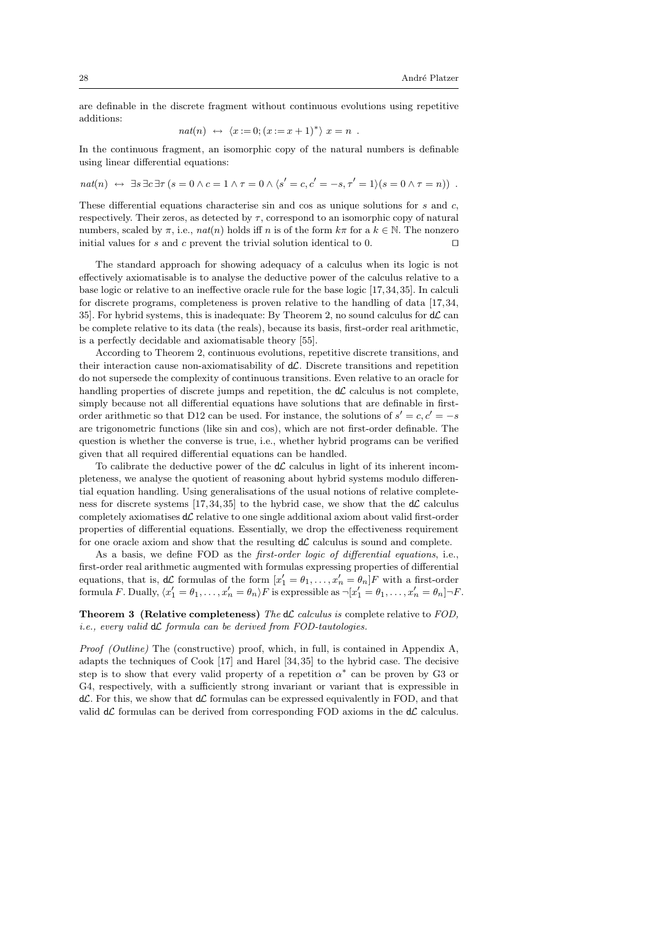are definable in the discrete fragment without continuous evolutions using repetitive additions:

$$
nat(n) \leftrightarrow \langle x:=0; (x:=x+1)^* \rangle x = n .
$$

In the continuous fragment, an isomorphic copy of the natural numbers is definable using linear differential equations:

$$
nat(n) \leftrightarrow \exists s \exists c \exists \tau (s = 0 \land c = 1 \land \tau = 0 \land \langle s' = c, c' = -s, \tau' = 1 \rangle (s = 0 \land \tau = n)) .
$$

These differential equations characterise sin and cos as unique solutions for s and  $c$ , respectively. Their zeros, as detected by  $\tau$ , correspond to an isomorphic copy of natural numbers, scaled by  $\pi$ , i.e.,  $nat(n)$  holds iff n is of the form  $k\pi$  for a  $k \in \mathbb{N}$ . The nonzero initial values for s and c prevent the trivial solution identical to 0.  $\Box$ 

The standard approach for showing adequacy of a calculus when its logic is not effectively axiomatisable is to analyse the deductive power of the calculus relative to a base logic or relative to an ineffective oracle rule for the base logic [17, 34, 35]. In calculi for discrete programs, completeness is proven relative to the handling of data [17,34, 35]. For hybrid systems, this is inadequate: By Theorem 2, no sound calculus for  $d\mathcal{L}$  can be complete relative to its data (the reals), because its basis, first-order real arithmetic, is a perfectly decidable and axiomatisable theory [55].

According to Theorem 2, continuous evolutions, repetitive discrete transitions, and their interaction cause non-axiomatisability of  $d\mathcal{L}$ . Discrete transitions and repetition do not supersede the complexity of continuous transitions. Even relative to an oracle for handling properties of discrete jumps and repetition, the  $d\mathcal{L}$  calculus is not complete, simply because not all differential equations have solutions that are definable in firstorder arithmetic so that D12 can be used. For instance, the solutions of  $s' = c, c' = -s$ are trigonometric functions (like sin and cos), which are not first-order definable. The question is whether the converse is true, i.e., whether hybrid programs can be verified given that all required differential equations can be handled.

To calibrate the deductive power of the  $d\mathcal{L}$  calculus in light of its inherent incompleteness, we analyse the quotient of reasoning about hybrid systems modulo differential equation handling. Using generalisations of the usual notions of relative completeness for discrete systems [17, 34, 35] to the hybrid case, we show that the  $d\mathcal{L}$  calculus completely axiomatises  $d\mathcal{L}$  relative to one single additional axiom about valid first-order properties of differential equations. Essentially, we drop the effectiveness requirement for one oracle axiom and show that the resulting  $d\mathcal{L}$  calculus is sound and complete.

As a basis, we define FOD as the first-order logic of differential equations, i.e., first-order real arithmetic augmented with formulas expressing properties of differential equations, that is,  $d\mathcal{L}$  formulas of the form  $[x'_1 = \theta_1, \ldots, x'_n = \theta_n]F$  with a first-order formula F. Dually,  $\langle x_1' = \theta_1, \ldots, x_n' = \theta_n \rangle F$  is expressible as  $\neg[x_1' = \theta_1, \ldots, x_n' = \theta_n] \neg F$ .

**Theorem 3** (Relative completeness) The  $d\mathcal{L}$  calculus is complete relative to FOD, i.e., every valid dL formula can be derived from FOD-tautologies.

Proof (Outline) The (constructive) proof, which, in full, is contained in Appendix A, adapts the techniques of Cook [17] and Harel [34, 35] to the hybrid case. The decisive step is to show that every valid property of a repetition  $\alpha^*$  can be proven by G3 or G4, respectively, with a sufficiently strong invariant or variant that is expressible in  $d\mathcal{L}$ . For this, we show that  $d\mathcal{L}$  formulas can be expressed equivalently in FOD, and that valid  $d\mathcal{L}$  formulas can be derived from corresponding FOD axioms in the  $d\mathcal{L}$  calculus.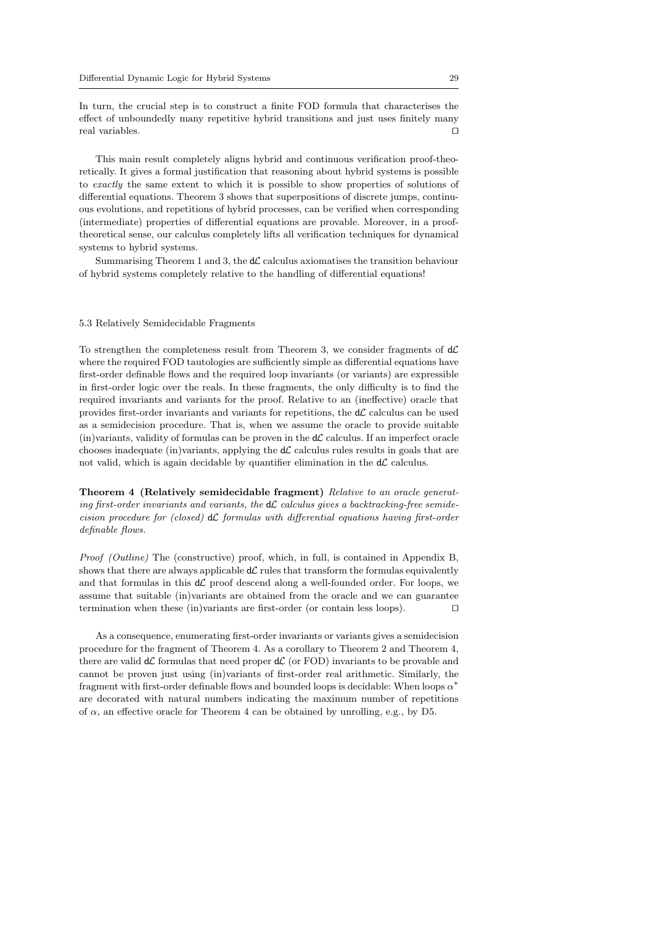In turn, the crucial step is to construct a finite FOD formula that characterises the effect of unboundedly many repetitive hybrid transitions and just uses finitely many real variables.  $\Box$ 

This main result completely aligns hybrid and continuous verification proof-theoretically. It gives a formal justification that reasoning about hybrid systems is possible to exactly the same extent to which it is possible to show properties of solutions of differential equations. Theorem 3 shows that superpositions of discrete jumps, continuous evolutions, and repetitions of hybrid processes, can be verified when corresponding (intermediate) properties of differential equations are provable. Moreover, in a prooftheoretical sense, our calculus completely lifts all verification techniques for dynamical systems to hybrid systems.

Summarising Theorem 1 and 3, the  $d\mathcal{L}$  calculus axiomatises the transition behaviour of hybrid systems completely relative to the handling of differential equations!

#### 5.3 Relatively Semidecidable Fragments

To strengthen the completeness result from Theorem 3, we consider fragments of  $d\mathcal{L}$ where the required FOD tautologies are sufficiently simple as differential equations have first-order definable flows and the required loop invariants (or variants) are expressible in first-order logic over the reals. In these fragments, the only difficulty is to find the required invariants and variants for the proof. Relative to an (ineffective) oracle that provides first-order invariants and variants for repetitions, the  $d\mathcal{L}$  calculus can be used as a semidecision procedure. That is, when we assume the oracle to provide suitable  $\chi$  (in)variants, validity of formulas can be proven in the  $d\mathcal{L}$  calculus. If an imperfect oracle chooses inadequate (in)variants, applying the  $d\mathcal{L}$  calculus rules results in goals that are not valid, which is again decidable by quantifier elimination in the  $d\mathcal{L}$  calculus.

Theorem 4 (Relatively semidecidable fragment) Relative to an oracle generating first-order invariants and variants, the  $d\mathcal{L}$  calculus gives a backtracking-free semidecision procedure for (closed)  $d\mathcal{L}$  formulas with differential equations having first-order definable flows.

Proof (Outline) The (constructive) proof, which, in full, is contained in Appendix B, shows that there are always applicable  $d\mathcal{L}$  rules that transform the formulas equivalently and that formulas in this  $d\mathcal{L}$  proof descend along a well-founded order. For loops, we assume that suitable (in)variants are obtained from the oracle and we can guarantee termination when these (in)variants are first-order (or contain less loops).  $\Box$ 

As a consequence, enumerating first-order invariants or variants gives a semidecision procedure for the fragment of Theorem 4. As a corollary to Theorem 2 and Theorem 4, there are valid  $d\mathcal{L}$  formulas that need proper  $d\mathcal{L}$  (or FOD) invariants to be provable and cannot be proven just using (in)variants of first-order real arithmetic. Similarly, the fragment with first-order definable flows and bounded loops is decidable: When loops  $\alpha^*$ are decorated with natural numbers indicating the maximum number of repetitions of  $\alpha$ , an effective oracle for Theorem 4 can be obtained by unrolling, e.g., by D5.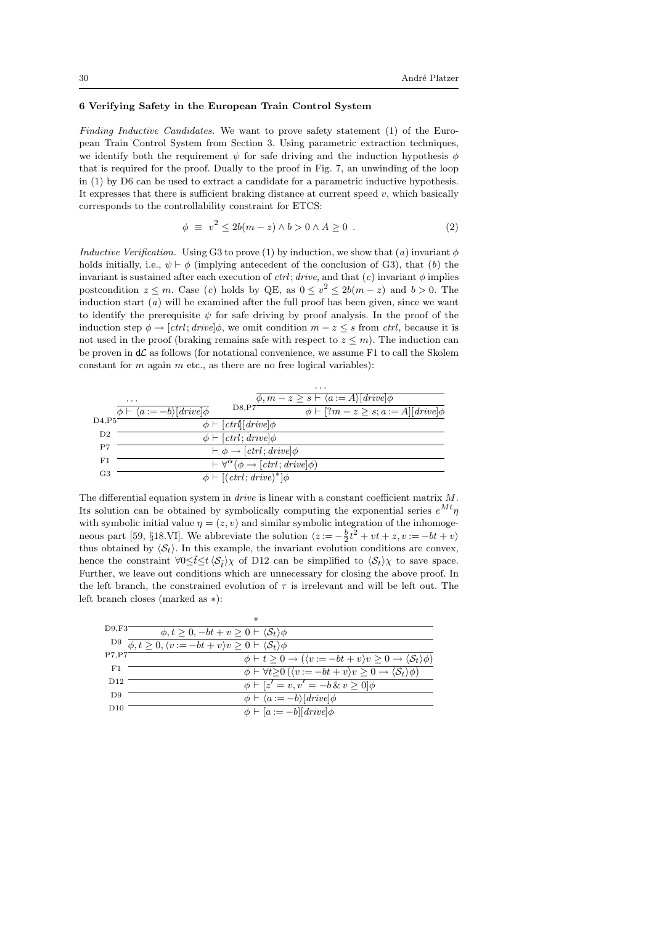## 6 Verifying Safety in the European Train Control System

Finding Inductive Candidates. We want to prove safety statement (1) of the European Train Control System from Section 3. Using parametric extraction techniques, we identify both the requirement  $\psi$  for safe driving and the induction hypothesis  $\phi$ that is required for the proof. Dually to the proof in Fig. 7, an unwinding of the loop in (1) by D6 can be used to extract a candidate for a parametric inductive hypothesis. It expresses that there is sufficient braking distance at current speed  $v$ , which basically corresponds to the controllability constraint for ETCS:

$$
\phi \equiv v^2 \le 2b(m-z) \land b > 0 \land A \ge 0 \tag{2}
$$

*Inductive Verification.* Using G3 to prove (1) by induction, we show that (a) invariant  $\phi$ holds initially, i.e.,  $\psi \vdash \phi$  (implying antecedent of the conclusion of G3), that (b) the invariant is sustained after each execution of *ctrl*; drive, and that  $(c)$  invariant  $\phi$  implies postcondition  $z \leq m$ . Case (c) holds by QE, as  $0 \leq v^2 \leq 2b(m-z)$  and  $b > 0$ . The induction start  $(a)$  will be examined after the full proof has been given, since we want to identify the prerequisite  $\psi$  for safe driving by proof analysis. In the proof of the induction step  $\phi \rightarrow [ctrl; drive]\phi$ , we omit condition  $m - z \leq s$  from *ctrl*, because it is not used in the proof (braking remains safe with respect to  $z \leq m$ ). The induction can be proven in  $d\mathcal{L}$  as follows (for notational convenience, we assume F1 to call the Skolem constant for  $m$  again  $m$  etc., as there are no free logical variables):

|                |                                                                | $\cdot$                                                       |
|----------------|----------------------------------------------------------------|---------------------------------------------------------------|
|                | .                                                              | $\phi, m-z \geq s \vdash \langle a:=A \rangle  $ drive $\phi$ |
|                | D8, P7<br>$\phi \vdash \langle a := -b \rangle  $ drive $\phi$ | $\phi \vdash [?m - z \geq s; a := A][drive]\phi$              |
| D4.P5          | $\phi \vdash [ctrl][drive]\phi$                                |                                                               |
| D <sub>2</sub> | $\phi \vdash [ctrl; drive] \phi$                               |                                                               |
| P7             | $\vdash \phi \rightarrow [ctrl; drive] \phi$                   |                                                               |
| F1             |                                                                | $\vdash \forall^{\alpha}(\phi \rightarrow [ctrl; drive]\phi)$ |
| G3             | $\phi \vdash [(ctrl; drive)^*]\phi$                            |                                                               |

The differential equation system in drive is linear with a constant coefficient matrix M. Its solution can be obtained by symbolically computing the exponential series  $e^{Mt}\eta$ with symbolic initial value  $\eta = (z, v)$  and similar symbolic integration of the inhomogeneous part [59, §18.VI]. We abbreviate the solution  $\langle z := -\frac{b}{2}t^2 + vt + z, v := -bt + v \rangle$ thus obtained by  $\langle S_t \rangle$ . In this example, the invariant evolution conditions are convex, hence the constraint  $\forall 0 \leq \tilde{t} \leq t \langle S_t \rangle \chi$  of D12 can be simplified to  $\langle S_t \rangle \chi$  to save space. Further, we leave out conditions which are unnecessary for closing the above proof. In the left branch, the constrained evolution of  $\tau$  is irrelevant and will be left out. The left branch closes (marked as ∗):

|             | $\ast$                                                                                                          |
|-------------|-----------------------------------------------------------------------------------------------------------------|
| D9.F3       | $\phi, t > 0, -bt + v > 0 \vdash \langle S_t \rangle \phi$                                                      |
|             | $D9 \overline{\phi, t > 0}, \langle v := -bt + v \rangle v \ge 0 \vdash \langle S_t \rangle \phi$               |
| P7.P7       | $\phi \vdash t \geq 0 \rightarrow (\langle v := -bt + v \rangle v \geq 0 \rightarrow \langle S_t \rangle \phi)$ |
| $_{\rm F1}$ | $\phi \vdash \forall t \geq 0 \ (\langle v := -bt + v \rangle v \geq 0 \rightarrow \langle S_t \rangle \phi)$   |
| D12         | $\phi \vdash [z' = v, v' = -b \& v \geq 0] \phi$                                                                |
| D9          | $\phi \vdash \langle a := -b \rangle   drive  \phi$                                                             |
| D10         | $\phi \vdash [a := -b][drive]\phi$                                                                              |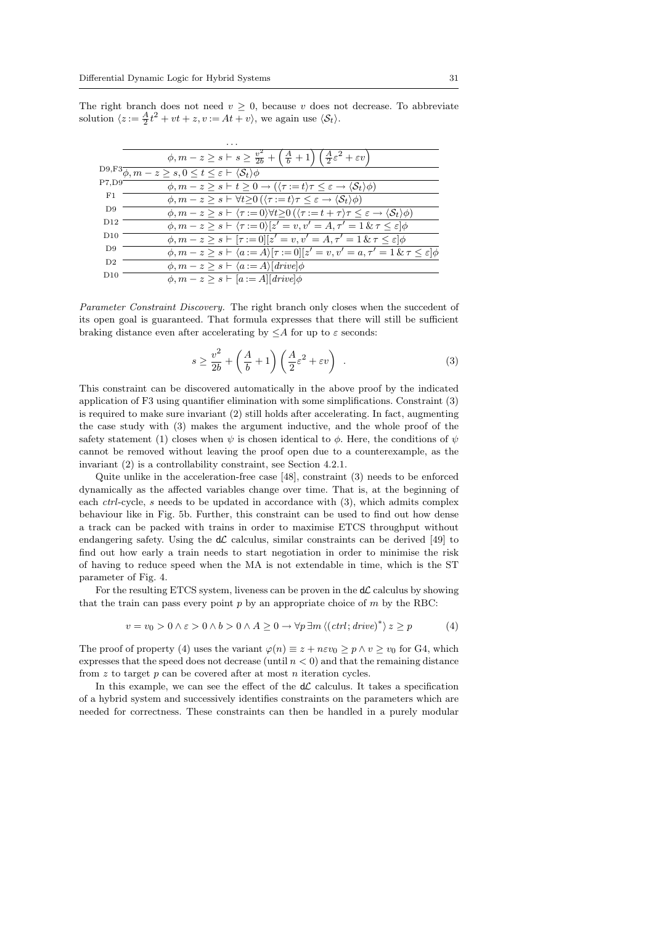The right branch does not need  $v \geq 0$ , because v does not decrease. To abbreviate solution  $\langle z := \frac{A}{2}t^2 + vt + z, v := At + v \rangle$ , we again use  $\langle \mathcal{S}_t \rangle$ .

|                 | $\phi, m-z \geq s \vdash s \geq \frac{v^2}{2b} + \left(\frac{A}{b} + 1\right) \left(\frac{A}{2}\varepsilon^2 + \varepsilon v\right)$                           |
|-----------------|----------------------------------------------------------------------------------------------------------------------------------------------------------------|
|                 | $D9,\mathrm{F}3\overline{\phi,m-z\geq s},0\leq t\leq \varepsilon\vdash \langle \mathcal{S}_t\rangle \phi$                                                      |
| P7, D9          | $\phi, m-z \geq s \vdash t \geq 0 \rightarrow (\langle \tau:=t \rangle \tau \leq \varepsilon \rightarrow \langle S_t \rangle \phi)$                            |
| F1.             | $\phi, m-z > s \vdash \forall t > 0 \ (\langle \tau := t \rangle \tau \leq \varepsilon \rightarrow \langle S_t \rangle \phi)$                                  |
| D9              | $\phi, m-z > s \vdash \langle \tau := 0 \rangle \forall t > 0 \ (\langle \tau := t + \tau \rangle \tau \leq \varepsilon \rightarrow \langle S_t \rangle \phi)$ |
| D12             | $\phi, m-z > s \vdash \langle \tau := 0 \rangle   z' = v, v' = A, \tau' = 1 \& \tau \leq \varepsilon   \phi$                                                   |
| D <sub>10</sub> | $\phi, m - z \geq s \vdash [\tau := 0][z' = v, v' = A, \tau' = 1 \& \tau \leq \varepsilon] \phi$                                                               |
| D <sub>9</sub>  | $\phi, m-z \geq s \vdash \langle a:=A \rangle [\tau:=0][z'=v, v'=a, \tau'=1 \& \tau \leq \varepsilon] \phi$                                                    |
| D <sub>2</sub>  | $\phi, m-z > s \vdash \langle a:=A \rangle   drive  \phi$                                                                                                      |
| D10             | $\phi, m-z > s \vdash [a := A][drive]\phi$                                                                                                                     |

Parameter Constraint Discovery. The right branch only closes when the succedent of its open goal is guaranteed. That formula expresses that there will still be sufficient braking distance even after accelerating by  $\leq A$  for up to  $\varepsilon$  seconds:

$$
s \ge \frac{v^2}{2b} + \left(\frac{A}{b} + 1\right) \left(\frac{A}{2}\varepsilon^2 + \varepsilon v\right) \tag{3}
$$

This constraint can be discovered automatically in the above proof by the indicated application of F3 using quantifier elimination with some simplifications. Constraint (3) is required to make sure invariant (2) still holds after accelerating. In fact, augmenting the case study with (3) makes the argument inductive, and the whole proof of the safety statement (1) closes when  $\psi$  is chosen identical to  $\phi$ . Here, the conditions of  $\psi$ cannot be removed without leaving the proof open due to a counterexample, as the invariant (2) is a controllability constraint, see Section 4.2.1.

Quite unlike in the acceleration-free case [48], constraint (3) needs to be enforced dynamically as the affected variables change over time. That is, at the beginning of each ctrl-cycle, s needs to be updated in accordance with (3), which admits complex behaviour like in Fig. 5b. Further, this constraint can be used to find out how dense a track can be packed with trains in order to maximise ETCS throughput without endangering safety. Using the  $d\mathcal{L}$  calculus, similar constraints can be derived [49] to find out how early a train needs to start negotiation in order to minimise the risk of having to reduce speed when the MA is not extendable in time, which is the ST parameter of Fig. 4.

For the resulting ETCS system, liveness can be proven in the  $d\mathcal{L}$  calculus by showing that the train can pass every point  $p$  by an appropriate choice of  $m$  by the RBC:

$$
v = v_0 > 0 \land \varepsilon > 0 \land b > 0 \land A \ge 0 \to \forall p \exists m \left( (ctrl; drive)^* \right) z \ge p \tag{4}
$$

The proof of property (4) uses the variant  $\varphi(n) \equiv z + n \varepsilon v_0 \geq p \wedge v \geq v_0$  for G4, which expresses that the speed does not decrease (until  $n < 0$ ) and that the remaining distance from z to target  $p$  can be covered after at most  $n$  iteration cycles.

In this example, we can see the effect of the  $d\mathcal{L}$  calculus. It takes a specification of a hybrid system and successively identifies constraints on the parameters which are needed for correctness. These constraints can then be handled in a purely modular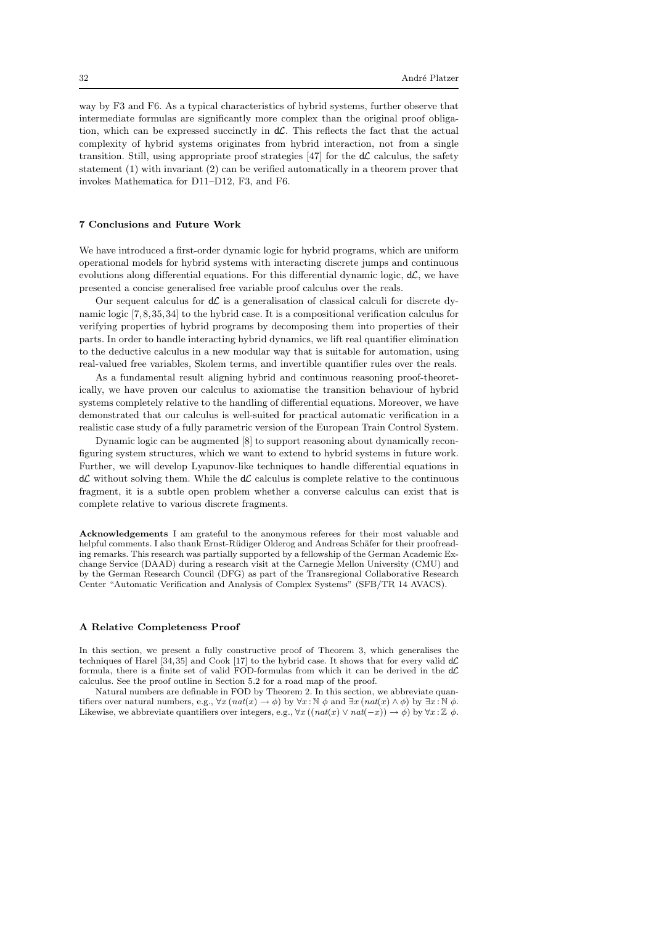way by F3 and F6. As a typical characteristics of hybrid systems, further observe that intermediate formulas are significantly more complex than the original proof obligation, which can be expressed succinctly in  $d\mathcal{L}$ . This reflects the fact that the actual complexity of hybrid systems originates from hybrid interaction, not from a single transition. Still, using appropriate proof strategies [47] for the  $d\mathcal{L}$  calculus, the safety statement (1) with invariant (2) can be verified automatically in a theorem prover that invokes Mathematica for D11–D12, F3, and F6.

# 7 Conclusions and Future Work

We have introduced a first-order dynamic logic for hybrid programs, which are uniform operational models for hybrid systems with interacting discrete jumps and continuous evolutions along differential equations. For this differential dynamic logic,  $d\mathcal{L}$ , we have presented a concise generalised free variable proof calculus over the reals.

Our sequent calculus for  $d\mathcal{L}$  is a generalisation of classical calculi for discrete dynamic logic [7, 8, 35,34] to the hybrid case. It is a compositional verification calculus for verifying properties of hybrid programs by decomposing them into properties of their parts. In order to handle interacting hybrid dynamics, we lift real quantifier elimination to the deductive calculus in a new modular way that is suitable for automation, using real-valued free variables, Skolem terms, and invertible quantifier rules over the reals.

As a fundamental result aligning hybrid and continuous reasoning proof-theoretically, we have proven our calculus to axiomatise the transition behaviour of hybrid systems completely relative to the handling of differential equations. Moreover, we have demonstrated that our calculus is well-suited for practical automatic verification in a realistic case study of a fully parametric version of the European Train Control System.

Dynamic logic can be augmented [8] to support reasoning about dynamically reconfiguring system structures, which we want to extend to hybrid systems in future work. Further, we will develop Lyapunov-like techniques to handle differential equations in  $d\mathcal{L}$  without solving them. While the  $d\mathcal{L}$  calculus is complete relative to the continuous fragment, it is a subtle open problem whether a converse calculus can exist that is complete relative to various discrete fragments.

Acknowledgements I am grateful to the anonymous referees for their most valuable and helpful comments. I also thank Ernst-Rüdiger Olderog and Andreas Schäfer for their proofreading remarks. This research was partially supported by a fellowship of the German Academic Exchange Service (DAAD) during a research visit at the Carnegie Mellon University (CMU) and by the German Research Council (DFG) as part of the Transregional Collaborative Research Center "Automatic Verification and Analysis of Complex Systems" (SFB/TR 14 AVACS).

#### A Relative Completeness Proof

In this section, we present a fully constructive proof of Theorem 3, which generalises the techniques of Harel [34,35] and Cook [17] to the hybrid case. It shows that for every valid  $d\mathcal{L}$ formula, there is a finite set of valid FOD-formulas from which it can be derived in the  $d\mathcal{L}$ calculus. See the proof outline in Section 5.2 for a road map of the proof.

Natural numbers are definable in FOD by Theorem 2. In this section, we abbreviate quantifiers over natural numbers, e.g.,  $\forall x \ (nat(x) \rightarrow \phi)$  by  $\forall x : \mathbb{N} \phi$  and  $\exists x \ (nat(x) \land \phi)$  by  $\exists x : \mathbb{N} \phi$ . Likewise, we abbreviate quantifiers over integers, e.g.,  $\forall x ((nat(x) \lor nat(-x)) \rightarrow \phi)$  by  $\forall x : \mathbb{Z} \phi$ .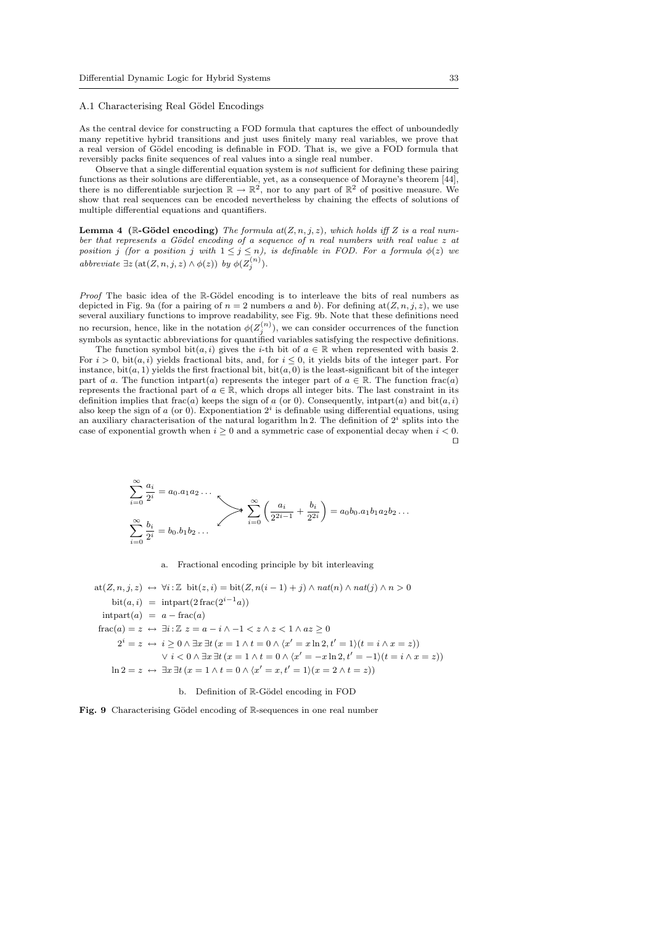#### A.1 Characterising Real Gödel Encodings

As the central device for constructing a FOD formula that captures the effect of unboundedly many repetitive hybrid transitions and just uses finitely many real variables, we prove that a real version of Gödel encoding is definable in FOD. That is, we give a FOD formula that reversibly packs finite sequences of real values into a single real number.

Observe that a single differential equation system is not sufficient for defining these pairing functions as their solutions are differentiable, yet, as a consequence of Morayne's theorem [44], there is no differentiable surjection  $\mathbb{R} \to \mathbb{R}^2$ , nor to any part of  $\mathbb{R}^2$  of positive measure. We show that real sequences can be encoded nevertheless by chaining the effects of solutions of multiple differential equations and quantifiers.

**Lemma 4** (R-Gödel encoding) The formula  $a(2, n, j, z)$ , which holds iff Z is a real number that represents a Gödel encoding of a sequence of n real numbers with real value  $z$  at position j (for a position j with  $1 \leq j \leq n$ ), is definable in FOD. For a formula  $\phi(z)$  we abbreviate  $\exists z \left( \text{at}(Z, n, j, z) \wedge \phi(z) \right)$  by  $\phi(Z_j^{(n)})$ .

*Proof* The basic idea of the  $\mathbb{R}$ -Gödel encoding is to interleave the bits of real numbers as depicted in Fig. 9a (for a pairing of  $n = 2$  numbers a and b). For defining  $\text{at}(Z, n, j, z)$ , we use several auxiliary functions to improve readability, see Fig. 9b. Note that these definitions need no recursion, hence, like in the notation  $\phi(Z_j^{(n)})$ , we can consider occurrences of the function symbols as syntactic abbreviations for quantified variables satisfying the respective definitions.

The function symbol bit $(a, i)$  gives the *i*-th bit of  $a \in \mathbb{R}$  when represented with basis 2. For  $i > 0$ , bit $(a, i)$  yields fractional bits, and, for  $i \leq 0$ , it yields bits of the integer part. For instance, bit(a, 1) yields the first fractional bit, bit(a, 0) is the least-significant bit of the integer part of a. The function intpart(a) represents the integer part of  $a \in \mathbb{R}$ . The function frac(a) represents the fractional part of  $a \in \mathbb{R}$ , which drops all integer bits. The last constraint in its definition implies that frac(a) keeps the sign of a (or 0). Consequently, intpart(a) and bit(a, i) also keep the sign of  $a$  (or 0). Exponentiation  $2<sup>i</sup>$  is definable using differential equations, using an auxiliary characterisation of the natural logarithm  $\ln 2$ . The definition of  $2^i$  splits into the case of exponential growth when  $i \geq 0$  and a symmetric case of exponential decay when  $i < 0$ .  $\Box$ 

X∞ i=0 ai 2 i = a0.a1a<sup>2</sup> . . . X∞ i=0 bi 2 i = b0.b1b<sup>2</sup> . . . X∞ i=0 " ai 2 2i−1 + bi 2 2i « = a0b0.a1b1a2b<sup>2</sup> . . .

a. Fractional encoding principle by bit interleaving

 $\mathrm{at}(Z, n, j, z) \leftrightarrow \forall i: \mathbb{Z} \text{ bit}(z, i) = \mathrm{bit}(Z, n(i-1) + j) \wedge nat(n) \wedge nat(j) \wedge n > 0$ bit $(a, i)$  = intpart $(2 \arctan(2^{i-1} a))$  $intpart(a) = a - frac(a)$ frac $(a) = z \leftrightarrow \exists i : \mathbb{Z} \ z = a - i \wedge -1 < z \wedge z < 1 \wedge az \geq 0$  $2^{i} = z \leftrightarrow i \geq 0 \land \exists x \exists t (x = 1 \land t = 0 \land \langle x' = x \ln 2, t' = 1 \rangle (t = i \land x = z))$  $\forall i < 0 \land \exists x \exists t (x = 1 \land t = 0 \land \langle x' = -x \ln 2, t' = -1 \rangle (t = i \land x = z))$  $\ln 2 = z \leftrightarrow \exists x \exists t (x = 1 \land t = 0 \land \langle x' = x, t' = 1 \rangle (x = 2 \land t = z))$ 

b. Definition of R-Gödel encoding in FOD

Fig. 9 Characterising Gödel encoding of R-sequences in one real number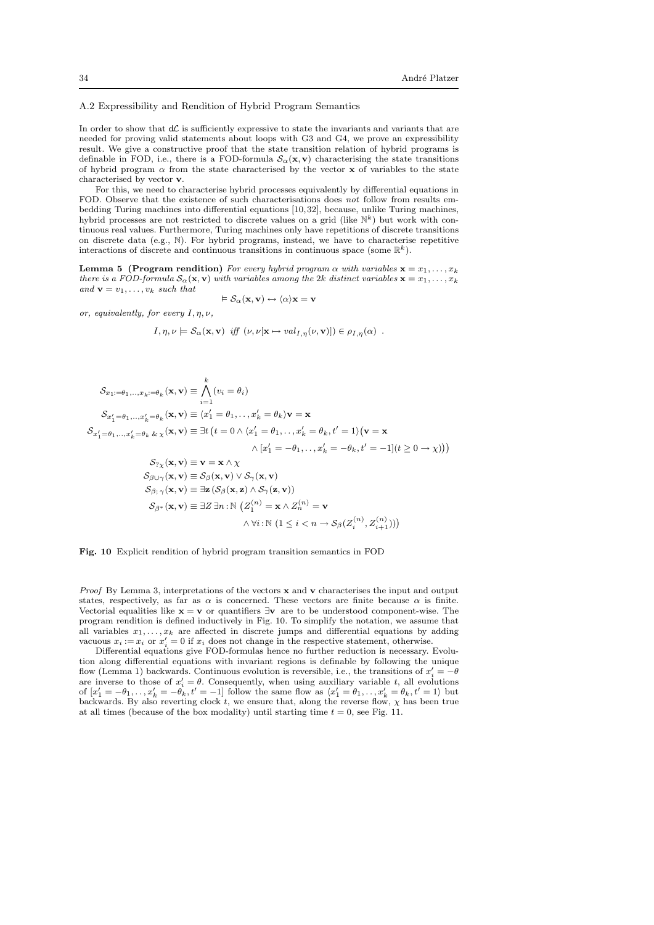#### A.2 Expressibility and Rendition of Hybrid Program Semantics

In order to show that  $d\mathcal{L}$  is sufficiently expressive to state the invariants and variants that are needed for proving valid statements about loops with G3 and G4, we prove an expressibility result. We give a constructive proof that the state transition relation of hybrid programs is definable in FOD, i.e., there is a FOD-formula  $\mathcal{S}_{\alpha}(\mathbf{x}, \mathbf{v})$  characterising the state transitions of hybrid program  $\alpha$  from the state characterised by the vector **x** of variables to the state characterised by vector v.

For this, we need to characterise hybrid processes equivalently by differential equations in FOD. Observe that the existence of such characterisations does not follow from results embedding Turing machines into differential equations [10,32], because, unlike Turing machines, hybrid processes are not restricted to discrete values on a grid (like  $\mathbb{N}^k$ ) but work with continuous real values. Furthermore, Turing machines only have repetitions of discrete transitions on discrete data (e.g.,  $\mathbb{N}$ ). For hybrid programs, instead, we have to characterise repetitive interactions of discrete and continuous transitions in continuous space (some  $\mathbb{R}^k$ ).

**Lemma 5 (Program rendition)** For every hybrid program  $\alpha$  with variables  $\mathbf{x} = x_1, \dots, x_k$ there is a FOD-formula  $\mathcal{S}_{\alpha}(\mathbf{x}, \mathbf{v})$  with variables among the 2k distinct variables  $\mathbf{x} = x_1, \ldots, x_k$ and  $\mathbf{v} = v_1, \ldots, v_k$  such that

$$
\vDash \mathcal{S}_{\alpha}(\mathbf{x}, \mathbf{v}) \leftrightarrow \langle \alpha \rangle \mathbf{x} = \mathbf{v}
$$

or, equivalently, for every  $I, \eta, \nu$ ,

$$
I, \eta, \nu \models \mathcal{S}_{\alpha}(\mathbf{x}, \mathbf{v}) \text{ iff } (\nu, \nu[\mathbf{x} \mapsto val_{I, \eta}(\nu, \mathbf{v})]) \in \rho_{I, \eta}(\alpha) .
$$

$$
S_{x_1:=\theta_1,\dots,x_k:=\theta_k}(\mathbf{x},\mathbf{v}) \equiv \bigwedge_{i=1}^k (v_i = \theta_i)
$$
  
\n
$$
S_{x'_1=\theta_1,\dots,x'_k=\theta_k}(\mathbf{x},\mathbf{v}) \equiv \langle x'_1 = \theta_1,\dots,x'_k = \theta_k \rangle \mathbf{v} = \mathbf{x}
$$
  
\n
$$
S_{x'_1=\theta_1,\dots,x'_k=\theta_k} \& \chi(\mathbf{x},\mathbf{v}) \equiv \exists t \left(t = 0 \land \langle x'_1 = \theta_1,\dots,x'_k = \theta_k, t' = 1 \rangle (\mathbf{v} = \mathbf{x} \land \mathbf{x}_1 \land \mathbf{x}_2 \land \mathbf{x}_3 \land \mathbf{x}_3 \land \mathbf{x}_4 \land \mathbf{x}_5 \land \mathbf{x}_5 \land \mathbf{x}_6 \land \mathbf{x}_7 \land \mathbf{x}_7 \land \mathbf{x}_8 \land \mathbf{x}_7 \land \mathbf{x}_8 \land \mathbf{x}_9 \land \mathbf{x}_9 \land \mathbf{x}_9 \land \mathbf{x}_9 \land \mathbf{x}_9 \land \mathbf{x}_9 \land \mathbf{x}_9 \land \mathbf{x}_9 \land \mathbf{x}_9 \land \mathbf{x}_9 \land \mathbf{x}_9 \land \mathbf{x}_9 \land \mathbf{x}_9 \land \mathbf{x}_9 \land \mathbf{x}_9 \land \mathbf{x}_9 \land \mathbf{x}_9 \land \mathbf{x}_9 \land \mathbf{x}_9 \land \mathbf{x}_9 \land \mathbf{x}_9 \land \mathbf{x}_9 \land \mathbf{x}_9 \land \mathbf{x}_9 \land \mathbf{x}_9 \land \mathbf{x}_9 \land \mathbf{x}_9 \land \mathbf{x}_9 \land \mathbf{x}_9 \land \mathbf{x}_9 \land \mathbf{x}_9 \land \mathbf{x}_9 \land \mathbf{x}_9 \land \mathbf{x}_9 \land \mathbf{x}_9 \land \mathbf{x}_9 \land \mathbf{x}_9 \land \mathbf{x}_9 \land \mathbf{x}_9 \land \mathbf{x}_9 \land \mathbf{x}_9 \land \mathbf{x}_9 \land \mathbf{x}_9 \land \mathbf{x}_9 \land \mathbf{x}_9 \land \mathbf{x}_9 \land \mathbf{x}_9 \land \mathbf{x}_9 \land \mathbf{x}_9 \land \mathbf{x}_9 \land \mathbf{x}_9 \land \mathbf{x}_9 \land \mathbf{x}_9 \land \mathbf{x}_
$$



*Proof* By Lemma 3, interpretations of the vectors  $x$  and  $v$  characterises the input and output states, respectively, as far as  $\alpha$  is concerned. These vectors are finite because  $\alpha$  is finite. Vectorial equalities like  $x = v$  or quantifiers  $\exists v$  are to be understood component-wise. The program rendition is defined inductively in Fig. 10. To simplify the notation, we assume that all variables  $x_1, \ldots, x_k$  are affected in discrete jumps and differential equations by adding vacuous  $x_i := x_i$  or  $x'_i = 0$  if  $x_i$  does not change in the respective statement, otherwise.

Differential equations give FOD-formulas hence no further reduction is necessary. Evolution along differential equations with invariant regions is definable by following the unique flow (Lemma 1) backwards. Continuous evolution is reversible, i.e., the transitions of  $x_i' = -\theta$ are inverse to those of  $x'_i = \theta$ . Consequently, when using auxiliary variable t, all evolutions<br>of  $[x'_1 = -\theta_1, \ldots, x'_k = -\theta_k, t' = -1]$  follow the same flow as  $\langle x'_1 = \theta_1, \ldots, x'_k = \theta_k, t' = 1 \rangle$  but backwards. By also reverting clock t, we ensure that, along the reverse flow,  $\chi$  has been true at all times (because of the box modality) until starting time  $t = 0$ , see Fig. 11.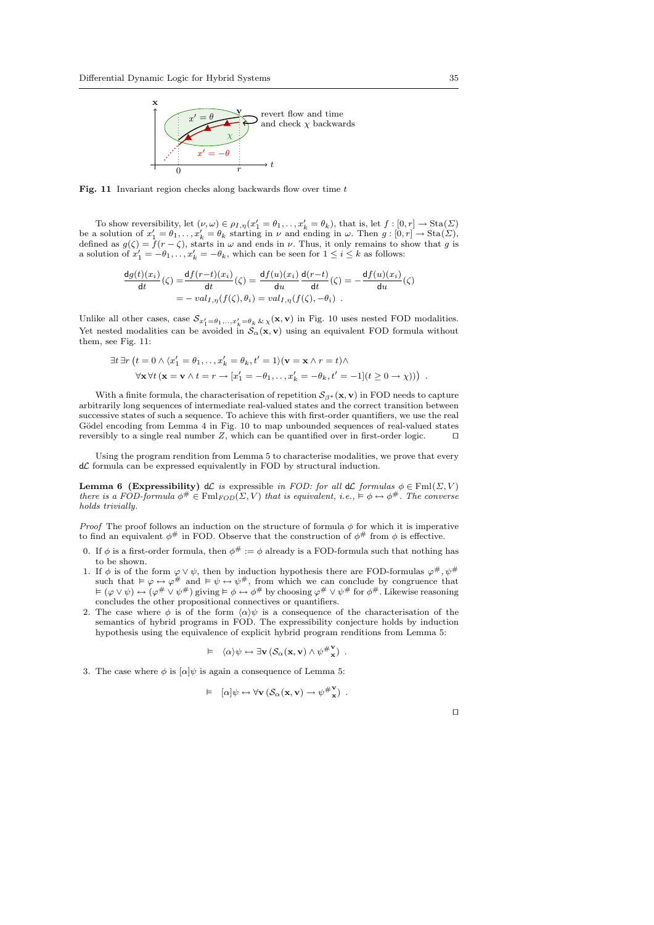

Fig. 11 Invariant region checks along backwards flow over time  $t$ 

To show reversibility, let  $(\nu, \omega) \in \rho_{I, \eta}(x_1' = \theta_1, \dots, x_k' = \theta_k)$ , that is, let  $f : [0, r] \to \text{Sta}(\Sigma)$ , be a solution of  $x_1' = \theta_1, \dots, x_k' = \theta_k$  starting in  $\nu$  and ending in  $\omega$ . Then  $g : [0, r] \to \text{Sta}(\Sigma)$ , defined as  $g(\zeta) = f(r - \zeta)$ , starts in  $\omega$  and ends in  $\nu$ . Thus, it only remains to show that g is a solution of  $x'_1 = -\theta_1, \ldots, x'_k = -\theta_k$ , which can be seen for  $1 \leq i \leq k$  as follows:

$$
\frac{dg(t)(x_i)}{dt}(\zeta) = \frac{df(r-t)(x_i)}{dt}(\zeta) = \frac{df(u)(x_i)}{du} \frac{d(r-t)}{dt}(\zeta) = -\frac{df(u)(x_i)}{du}(\zeta)
$$

$$
= -\operatorname{val}_{I,\eta}(f(\zeta), \theta_i) = \operatorname{val}_{I,\eta}(f(\zeta), -\theta_i) .
$$

Unlike all other cases, case  $S_{x_1'=\theta_1,\dots,x_k'=\theta_k}$  &  $_X(\mathbf{x}, \mathbf{v})$  in Fig. 10 uses nested FOD modalities. Yet nested modalities can be avoided in  $\mathcal{S}_{\alpha}(\mathbf{x}, \mathbf{v})$  using an equivalent FOD formula without them, see Fig. 11:

$$
\exists t \exists r \left( t = 0 \land \langle x'_1 = \theta_1, \dots, x'_k = \theta_k, t' = 1 \rangle (\mathbf{v} = \mathbf{x} \land r = t) \land \forall \mathbf{x} \forall t \left( \mathbf{x} = \mathbf{v} \land t = r \rightarrow [x'_1 = -\theta_1, \dots, x'_k = -\theta_k, t' = -1](t \ge 0 \to \chi)) \right) .
$$

With a finite formula, the characterisation of repetition  $S_{\beta^*}(\mathbf{x}, \mathbf{v})$  in FOD needs to capture arbitrarily long sequences of intermediate real-valued states and the correct transition between successive states of such a sequence. To achieve this with first-order quantifiers, we use the real Gödel encoding from Lemma 4 in Fig. 10 to map unbounded sequences of real-valued states reversibly to a single real number  $Z$ , which can be quantified over in first-order logic.  $\square$ 

Using the program rendition from Lemma 5 to characterise modalities, we prove that every  $d\mathcal{L}$  formula can be expressed equivalently in FOD by structural induction.

**Lemma 6 (Expressibility)** d $\mathcal L$  is expressible in FOD: for all d $\mathcal L$  formulas  $\phi \in \text{Fml}(\Sigma, V)$ there is a FOD-formula  $\phi^{\#} \in \text{Fml}_{FOD}(\Sigma, V)$  that is equivalent, i.e.,  $\models \phi \leftrightarrow \phi^{\#}$ . The converse holds trivially.

*Proof* The proof follows an induction on the structure of formula  $\phi$  for which it is imperative to find an equivalent  $\phi^{\#}$  in FOD. Observe that the construction of  $\phi^{\#}$  from  $\phi$  is effective.

- 0. If  $\phi$  is a first-order formula, then  $\phi^{\#} := \phi$  already is a FOD-formula such that nothing has to be shown.
- 1. If  $\phi$  is of the form  $\varphi \vee \psi$ , then by induction hypothesis there are FOD-formulas  $\varphi^{\#}, \psi^{\#}$ such that  $\models \varphi \leftrightarrow \varphi^{\#}$  and  $\models \psi \leftrightarrow \psi^{\#}$ , from which we can conclude by congruence that  $\forall \forall (\varphi \wedge \psi) \leftrightarrow (\varphi \wedge \psi \wedge \psi)$  giving  $\forall \phi \leftrightarrow \psi \wedge \psi$  by choosing  $\varphi \wedge \psi \wedge \psi$  for  $\psi \wedge \psi$ . Likewise reasoning concludes the other propositional connectives or quantifiers.
- 2. The case where  $\phi$  is of the form  $\langle \alpha \rangle \psi$  is a consequence of the characterisation of the semantics of hybrid programs in FOD. The expressibility conjecture holds by induction hypothesis using the equivalence of explicit hybrid program renditions from Lemma 5:

$$
\vDash \langle \alpha \rangle \psi \leftrightarrow \exists \mathbf{v} \left( \mathcal{S}_{\alpha}(\mathbf{x}, \mathbf{v}) \wedge \psi^{\#} \mathbf{v} \right) .
$$

3. The case where  $\phi$  is  $\alpha|\psi$  is again a consequence of Lemma 5:

$$
\vDash \left[ \alpha \right] \psi \leftrightarrow \forall \mathbf{v} \left( \mathcal{S}_{\alpha}(\mathbf{x}, \mathbf{v}) \to \psi^{\#} \mathbf{v} \right) .
$$

 $\Box$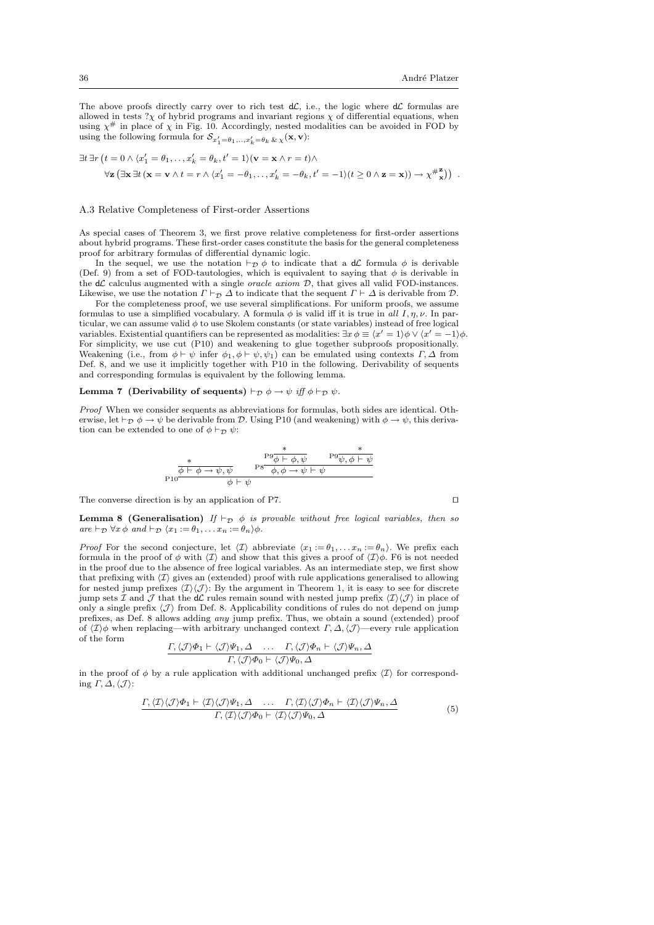The above proofs directly carry over to rich test  $d\mathcal{L}$ , i.e., the logic where  $d\mathcal{L}$  formulas are allowed in tests  $?<sub>X</sub>$  of hybrid programs and invariant regions  $<sub>X</sub>$  of differential equations, when</sub> using  $\chi^{\#}$  in place of  $\chi$  in Fig. 10. Accordingly, nested modalities can be avoided in FOD by using the following formula for  $\mathcal{S}_{x_1'=\theta_1,\dots,x_k'=\theta_k}$  &  $_\chi(\mathbf{x}, \mathbf{v})$ :

$$
\exists t \exists r \left( t = 0 \land \langle x'_1 = \theta_1, \dots, x'_k = \theta_k, t' = 1 \rangle (\mathbf{v} = \mathbf{x} \land r = t) \land \forall \mathbf{z} \left( \exists \mathbf{x} \exists t \left( \mathbf{x} = \mathbf{v} \land t = r \land \langle x'_1 = -\theta_1, \dots, x'_k = -\theta_k, t' = -1 \rangle (t \ge 0 \land \mathbf{z} = \mathbf{x}) \right) \rightarrow \chi^{\# \mathbf{z}} \right) \ .
$$

## A.3 Relative Completeness of First-order Assertions

As special cases of Theorem 3, we first prove relative completeness for first-order assertions about hybrid programs. These first-order cases constitute the basis for the general completeness proof for arbitrary formulas of differential dynamic logic.

In the sequel, we use the notation  $\vdash_{\mathcal{D}} \phi$  to indicate that a  $d\mathcal{L}$  formula  $\phi$  is derivable (Def. 9) from a set of FOD-tautologies, which is equivalent to saying that  $\phi$  is derivable in the  $d\mathcal{L}$  calculus augmented with a single *oracle axiom*  $\mathcal{D}$ , that gives all valid FOD-instances. Likewise, we use the notation  $\Gamma \vdash_{\mathcal{D}} \Delta$  to indicate that the sequent  $\Gamma \vdash \Delta$  is derivable from  $\mathcal{D}$ .

For the completeness proof, we use several simplifications. For uniform proofs, we assume formulas to use a simplified vocabulary. A formula  $\phi$  is valid iff it is true in all I,  $\eta$ ,  $\nu$ . In particular, we can assume valid  $\phi$  to use Skolem constants (or state variables) instead of free logical variables. Existential quantifiers can be represented as modalities:  $\exists x \phi \equiv \langle x' = 1 \rangle \phi \vee \langle x' = -1 \rangle \phi$ . For simplicity, we use cut (P10) and weakening to glue together subproofs propositionally. Weakening (i.e., from  $\phi \vdash \psi$  infer  $\phi_1, \phi \vdash \psi, \psi_1$ ) can be emulated using contexts  $\Gamma, \Delta$  from Def. 8, and we use it implicitly together with P10 in the following. Derivability of sequents and corresponding formulas is equivalent by the following lemma.

## Lemma 7 (Derivability of sequents)  $\vdash_{\mathcal{D}} \phi \rightarrow \psi$  iff  $\phi \vdash_{\mathcal{D}} \psi$ .

Proof When we consider sequents as abbreviations for formulas, both sides are identical. Otherwise, let  $\vdash_{\mathcal{D}} \phi \to \psi$  be derivable from D. Using P10 (and weakening) with  $\phi \to \psi$ , this derivation can be extended to one of  $\phi \vdash_{\mathcal{D}} \psi$ :

$$
\begin{array}{cc}\n\ast & \text{P9}\frac{\ast}{\phi + \phi, \psi} & \text{P9}\frac{\ast}{\psi, \phi + \psi} \\
\text{P10} & \text{P11} & \text{P12} & \text{P13} \\
\end{array}
$$

The converse direction is by an application of P7.  $\Box$ 

**Lemma 8 (Generalisation)** If  $\models_{\mathcal{D}} \phi$  is provable without free logical variables, then so  $are \vdash_{\mathcal{D}} \forall x \, \phi \, \text{ and } \vdash_{\mathcal{D}} \langle x_1 := \theta_1, \ldots x_n := \theta_n \rangle \phi.$ 

*Proof* For the second conjecture, let  $\langle \mathcal{I} \rangle$  abbreviate  $\langle x_1 := \theta_1, \ldots x_n := \theta_n \rangle$ . We prefix each formula in the proof of  $\phi$  with  $\langle T \rangle$  and show that this gives a proof of  $\langle T \rangle \phi$ . F6 is not needed in the proof due to the absence of free logical variables. As an intermediate step, we first show that prefixing with  $\langle \mathcal{I} \rangle$  gives an (extended) proof with rule applications generalised to allowing for nested jump prefixes  $\langle \mathcal{I} \rangle \langle \mathcal{J} \rangle$ : By the argument in Theorem 1, it is easy to see for discrete jump sets I and J that the  $d\mathcal{L}$  rules remain sound with nested jump prefix  $\langle \mathcal{I} \rangle \langle \mathcal{J} \rangle$  in place of only a single prefix  $\langle \mathcal{J} \rangle$  from Def. 8. Applicability conditions of rules do not depend on jump prefixes, as Def. 8 allows adding any jump prefix. Thus, we obtain a sound (extended) proof of  $\langle \mathcal{I} \rangle \phi$  when replacing—with arbitrary unchanged context  $\Gamma$ ,  $\Delta$ ,  $\langle \mathcal{I} \rangle$  —every rule application of the form

$$
\frac{\Gamma_{1}\langle \mathcal{J}\rangle \Phi_{1} \vdash \langle \mathcal{J}\rangle \Psi_{1}, \Delta \quad \dots \quad \Gamma_{1}\langle \mathcal{J}\rangle \Phi_{n} \vdash \langle \mathcal{J}\rangle \Psi_{n}, \Delta}{\Gamma_{1}\langle \mathcal{J}\rangle \Phi_{0} \vdash \langle \mathcal{J}\rangle \Psi_{0}, \Delta}
$$

in the proof of  $\phi$  by a rule application with additional unchanged prefix  $\langle I \rangle$  for corresponding  $\Gamma$ ,  $\Delta$ ,  $\langle \mathcal{J} \rangle$ :

$$
\frac{\Gamma_{1}\langle\mathcal{I}\rangle\langle\mathcal{J}\rangle\Phi_{1} \vdash \langle\mathcal{I}\rangle\langle\mathcal{J}\rangle\Psi_{1}, \Delta \quad \dots \quad \Gamma_{1}\langle\mathcal{I}\rangle\langle\mathcal{J}\rangle\Phi_{n} \vdash \langle\mathcal{I}\rangle\langle\mathcal{J}\rangle\Psi_{n}, \Delta}{\Gamma_{1}\langle\mathcal{I}\rangle\langle\mathcal{J}\rangle\Phi_{0} \vdash \langle\mathcal{I}\rangle\langle\mathcal{J}\rangle\Psi_{0}, \Delta} \tag{5}
$$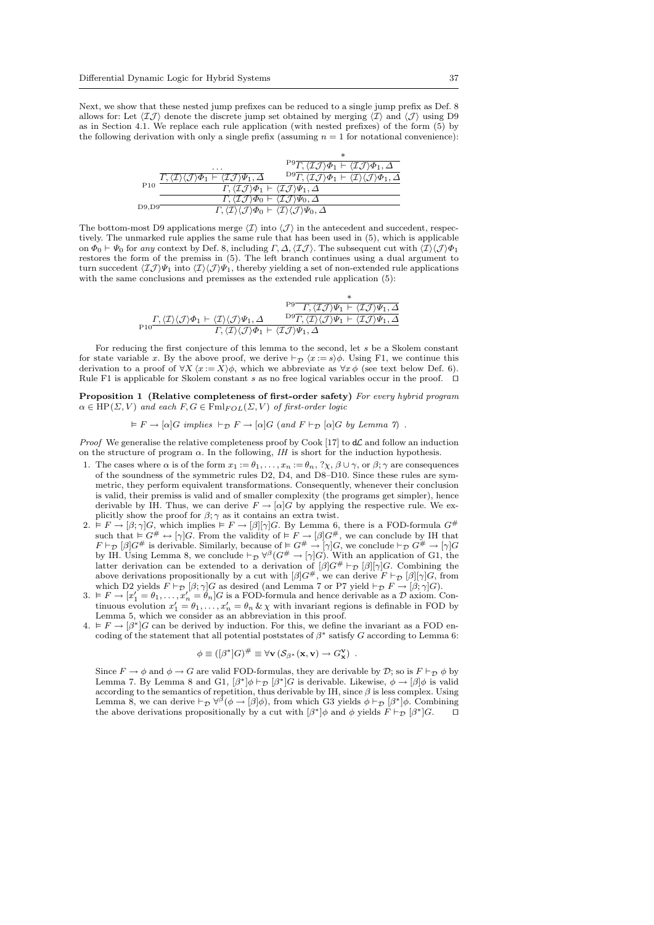Next, we show that these nested jump prefixes can be reduced to a single jump prefix as Def. 8 allows for: Let  $\langle \mathcal{I} \mathcal{J} \rangle$  denote the discrete jump set obtained by merging  $\langle \mathcal{I} \rangle$  and  $\langle \mathcal{J} \rangle$  using D9 as in Section 4.1. We replace each rule application (with nested prefixes) of the form (5) by the following derivation with only a single prefix (assuming  $n = 1$  for notational convenience):

|       |                                                                                                                                          | ∗                                                                                                                                 |
|-------|------------------------------------------------------------------------------------------------------------------------------------------|-----------------------------------------------------------------------------------------------------------------------------------|
|       | .                                                                                                                                        | $\overline{P^9\Gamma,\langle\mathcal{I}\mathcal{J}\rangle\Phi_1} \vdash \langle\mathcal{I}\mathcal{J}\rangle\Phi_1,\Delta$        |
|       | $\Gamma,\langle\mathcal{I}\rangle\langle\mathcal{J}\rangle\Phi_1 \vdash \langle\mathcal{I}\mathcal{J}\rangle\Psi_1,\Delta$               | $D9\overline{T,\langle\mathcal{I}\mathcal{J}\rangle\Phi_1}\vdash \langle\mathcal{I}\rangle\langle\mathcal{J}\rangle\Phi_1,\Delta$ |
| P10   | $\Gamma,\langle\mathcal{I}\mathcal{J}\rangle\Phi_1 \vdash \langle\mathcal{I}\mathcal{J}\rangle\Psi_1,\Delta$                             |                                                                                                                                   |
|       | $\Gamma,\langle\mathcal{I}\mathcal{J}\rangle\Phi_0 \vdash \langle\mathcal{I}\mathcal{J}\rangle\psi_0,\Delta$                             |                                                                                                                                   |
| D9.D9 | $\Gamma,\langle\mathcal{I}\rangle\langle\mathcal{J}\rangle\Phi_0 \vdash \langle\mathcal{I}\rangle\langle\mathcal{J}\rangle\psi_0,\Delta$ |                                                                                                                                   |

The bottom-most D9 applications merge  $\langle \mathcal{I} \rangle$  into  $\langle \mathcal{J} \rangle$  in the antecedent and succedent, respectively. The unmarked rule applies the same rule that has been used in (5), which is applicable on  $\Phi_0 \vdash \Psi_0$  for any context by Def. 8, including  $\Gamma, \Delta, \langle \mathcal{I} \mathcal{J} \rangle$ . The subsequent cut with  $\langle \mathcal{I} \rangle \langle \mathcal{J} \rangle \Phi_1$ restores the form of the premiss in (5). The left branch continues using a dual argument to turn succedent  $\langle \mathcal{I} \rangle \Psi_1$  into  $\langle \mathcal{I} \rangle \langle \mathcal{I} \rangle \Psi_1$ , thereby yielding a set of non-extended rule applications with the same conclusions and premisses as the extended rule application  $(5)$ :

$$
\frac{\Gamma,\langle \mathcal{I}\rangle\langle \mathcal{J}\rangle\Phi_1\vdash \langle \mathcal{I}\rangle\langle \mathcal{J}\rangle\Psi_1,\Delta}{\Gamma,\langle \mathcal{I}\rangle\langle \mathcal{J}\rangle\Phi_1\vdash \langle \mathcal{I}\rangle\langle \mathcal{J}\rangle\Phi_1\vdash \langle \mathcal{I}\mathcal{J}\rangle\langle \mathcal{J}\rangle\Psi_1\vdash \langle \mathcal{I}\mathcal{J}\rangle\Psi_1,\Delta}{\Gamma,\langle \mathcal{I}\rangle\langle \mathcal{J}\rangle\Phi_1\vdash \langle \mathcal{I}\mathcal{J}\rangle\Psi_1,\Delta}
$$

For reducing the first conjecture of this lemma to the second, let s be a Skolem constant for state variable x. By the above proof, we derive  $\vdash_{\mathcal{D}} \langle x := s \rangle \phi$ . Using F1, we continue this derivation to a proof of  $\forall X \langle x := X \rangle \phi$ , which we abbreviate as  $\forall x \phi$  (see text below Def. 6). Rule F1 is applicable for Skolem constant s as no free logical variables occur in the proof.  $\Box$ 

Proposition 1 (Relative completeness of first-order safety) For every hybrid program  $\alpha \in \mathrm{HP}(\Sigma, V)$  and each  $F, G \in \mathrm{Fml}_{FOL}(\Sigma, V)$  of first-order logic

 $\vDash F \rightarrow [\alpha]G \implies \vdash_{\mathcal{D}} F \rightarrow [\alpha]G \text{ (and } F \vdash_{\mathcal{D}} [\alpha]G \text{ by Lemma } \gamma)$ .

*Proof* We generalise the relative completeness proof by Cook [17] to  $d\mathcal{L}$  and follow an induction on the structure of program  $\alpha$ . In the following, IH is short for the induction hypothesis.

- 1. The cases where  $\alpha$  is of the form  $x_1 := \theta_1, \ldots, x_n := \theta_n$ ,  $\gamma_X$ ,  $\beta \cup \gamma$ , or  $\beta$ ;  $\gamma$  are consequences of the soundness of the symmetric rules D2, D4, and D8–D10. Since these rules are symmetric, they perform equivalent transformations. Consequently, whenever their conclusion is valid, their premiss is valid and of smaller complexity (the programs get simpler), hence derivable by IH. Thus, we can derive  $F \to [\alpha]G$  by applying the respective rule. We explicitly show the proof for  $\beta$ ;  $\gamma$  as it contains an extra twist.
- 2.  $F \to [\beta; \gamma] G$ , which implies  $F \to [\beta][\gamma] G$ . By Lemma 6, there is a FOD-formula  $G^{\#}$ such that  $\vdash G^{\#} \leftrightarrow [\gamma]G$ . From the validity of  $\vdash F \to [\beta]G^{\#}$ , we can conclude by IH that  $F \vdash_{\mathcal{D}} [\beta] G^{\#}$  is derivable. Similarly, because of  $\models G^{\#} \rightarrow [\gamma] G$ , we conclude  $\vdash_{\mathcal{D}} G^{\#} \rightarrow [\gamma] G$ by IH. Using Lemma 8, we conclude  $\vdash_{\mathcal{D}} \forall^{\beta} (G^{\#} \to [\gamma] G)$ . With an application of G1, the latter derivation can be extended to a derivation of  $[\beta]G^{\#} \vdash_{\mathcal{D}} [\beta][\gamma]G$ . Combining the above derivations propositionally by a cut with  $[\beta]G^{\#}$ , we can derive  $F \vdash_{\mathcal{D}} [\beta][\gamma]G$ , from
- which D2 yields  $F \vdash_{\mathcal{D}} [\beta; \gamma]G$  as desired (and Lemma 7 or P7 yield  $\vdash_{\mathcal{D}} F \to [\beta; \gamma]G$ ).<br>3.  $\models F \to [x'_1 = \theta_1, \dots, x'_n = \theta_n]G$  is a FOD-formula and hence derivable as a  $\mathcal{D}$  axiom. Continuous evolution  $x'_1 = \theta_1, \$ Lemma 5, which we consider as an abbreviation in this proof.
- $4. \vDash F \rightarrow [\beta^*]G$  can be derived by induction. For this, we define the invariant as a FOD encoding of the statement that all potential poststates of  $\beta^*$  satisfy G according to Lemma 6:

$$
\phi \equiv ( [\beta^*] G )^{\#} \equiv \forall \mathbf{v} \left( \mathcal{S}_{\beta^*} (\mathbf{x}, \mathbf{v}) \to G_{\mathbf{x}}^{\mathbf{v}} \right) .
$$

Since  $F \to \phi$  and  $\phi \to G$  are valid FOD-formulas, they are derivable by  $\mathcal{D}$ ; so is  $F \vdash_{\mathcal{D}} \phi$  by Lemma 7. By Lemma 8 and G1,  $[\beta^*]\phi \vdash_{\mathcal{D}} [\beta^*]G$  is derivable. Likewise,  $\phi \rightarrow [\beta]\phi$  is valid according to the semantics of repetition, thus derivable by IH, since  $\beta$  is less complex. Using Lemma 8, we can derive  $\vdash_{\mathcal{D}} \forall^{\beta}(\phi \to [\beta]\phi)$ , from which G3 yields  $\phi \vdash_{\mathcal{D}} [\beta^*]\phi$ . Combining the above derivations propositionally by a cut with  $\left[\beta^*\right]\phi$  and  $\phi$  yields  $F \vdash_{\mathcal{D}} \left[\beta^*\right]G$ .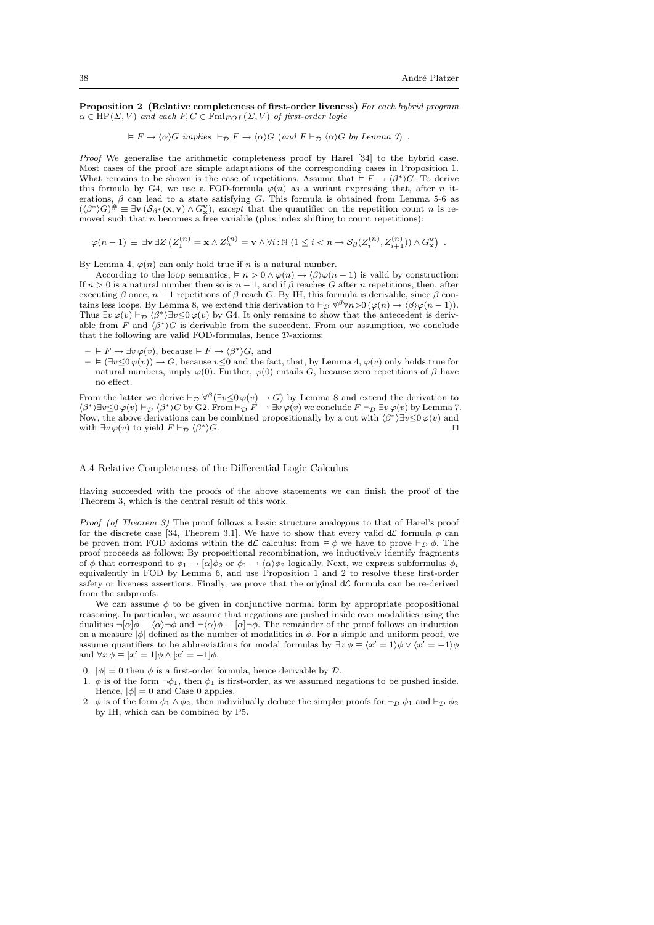Proposition 2 (Relative completeness of first-order liveness) For each hybrid program  $\alpha \in \text{HP}(\Sigma, V)$  and each  $F, G \in \text{Fml}_{FOL}(\Sigma, V)$  of first-order logic

 $\vDash F \rightarrow \langle \alpha \rangle G$  implies  $\vdash_{\mathcal{D}} F \rightarrow \langle \alpha \rangle G$  (and  $F \vdash_{\mathcal{D}} \langle \alpha \rangle G$  by Lemma  $\gamma$ ).

Proof We generalise the arithmetic completeness proof by Harel [34] to the hybrid case. Most cases of the proof are simple adaptations of the corresponding cases in Proposition 1. What remains to be shown is the case of repetitions. Assume that  $\models F \rightarrow \langle \beta^* \rangle G$ . To derive this formula by G4, we use a FOD-formula  $\varphi(n)$  as a variant expressing that, after n iterations,  $\beta$  can lead to a state satisfying G. This formula is obtained from Lemma 5-6 as  $({\langle \beta^* \rangle}G)^\# \equiv \exists \mathbf{v} \left( \mathcal{S}_{\beta^*}(\mathbf{x}, \mathbf{v}) \wedge G_{\mathbf{x}}^{\mathbf{v}} \right), \text{ except that the quantifier on the repetition count } n \text{ is re$ moved such that  $n$  becomes a free variable (plus index shifting to count repetitions):

 $\varphi(n-1) \equiv \exists \mathbf{v} \exists Z \left( Z_1^{(n)} = \mathbf{x} \wedge Z_n^{(n)} = \mathbf{v} \wedge \forall i : \mathbb{N} \ (1 \leq i < n \rightarrow \mathcal{S}_{\beta}(Z_i^{(n)}, Z_{i+1}^{(n)})) \wedge G_{\mathbf{x}}^{\mathbf{v}} \right) .$ 

By Lemma 4,  $\varphi(n)$  can only hold true if n is a natural number.

According to the loop semantics,  $\vdash n > 0 \land \varphi(n) \rightarrow \langle \beta \rangle \varphi(n-1)$  is valid by construction: If  $n > 0$  is a natural number then so is  $n - 1$ , and if  $\beta$  reaches G after n repetitions, then, after executing  $\beta$  once,  $n-1$  repetitions of  $\beta$  reach G. By IH, this formula is derivable, since  $\beta$  contains less loops. By Lemma 8, we extend this derivation to  $\vdash_{\mathcal{D}} \forall^{\beta} \forall n > 0$  ( $\varphi(n) \rightarrow \langle \beta \rangle \varphi(n-1)$ ). Thus  $\exists v \varphi(v) \vdash_{\mathcal{D}} \langle \beta^* \rangle \exists v \leq 0 \varphi(v)$  by G4. It only remains to show that the antecedent is derivable from F and  $\langle \beta^* \rangle G$  is derivable from the succedent. From our assumption, we conclude that the following are valid FOD-formulas, hence  $\mathcal{D}\text{-axioms:}$ 

- $\vDash F \rightarrow \exists v \varphi(v)$ , because  $\models F \rightarrow \langle \beta^* \rangle G$ , and
- $-$  ⊨ (∃v≤0 $\varphi(v)$ )  $\rightarrow$  G, because  $v \le 0$  and the fact, that, by Lemma 4,  $\varphi(v)$  only holds true for natural numbers, imply  $\varphi(0)$ . Further,  $\varphi(0)$  entails G, because zero repetitions of  $\beta$  have no effect.

From the latter we derive  $\vdash_{\mathcal{D}} \forall^{\beta}(\exists v \leq 0 \varphi(v) \rightarrow G)$  by Lemma 8 and extend the derivation to  $\langle \beta^* \rangle \exists v \leq 0 \, \varphi(v) \vdash_{\mathcal{D}} \langle \beta^* \rangle G$  by G2. From  $\vdash_{\mathcal{D}} F \to \exists v \, \varphi(v)$  we conclude  $F \vdash_{\mathcal{D}} \exists v \, \varphi(v)$  by Lemma 7. Now, the above derivations can be combined propositionally by a cut with  $\langle \beta^* \rangle \exists v \leq 0 \varphi(v)$  and with  $\exists v \varphi(v)$  to yield  $F \vdash_{\mathcal{D}} \langle \beta^* \rangle G$ .  $\langle \rangle G.$ 

#### A.4 Relative Completeness of the Differential Logic Calculus

Having succeeded with the proofs of the above statements we can finish the proof of the Theorem 3, which is the central result of this work.

Proof (of Theorem 3) The proof follows a basic structure analogous to that of Harel's proof for the discrete case [34, Theorem 3.1]. We have to show that every valid  $d\mathcal{L}$  formula  $\phi$  can be proven from FOD axioms within the  $d\mathcal{L}$  calculus: from  $\models \phi$  we have to prove  $\models_{\mathcal{D}} \phi$ . The proof proceeds as follows: By propositional recombination, we inductively identify fragments of φ that correspond to  $\phi_1 \rightarrow [\alpha]\phi_2$  or  $\phi_1 \rightarrow \langle \alpha \rangle \phi_2$  logically. Next, we express subformulas  $\phi_i$ equivalently in FOD by Lemma 6, and use Proposition 1 and 2 to resolve these first-order safety or liveness assertions. Finally, we prove that the original  $d\mathcal{L}$  formula can be re-derived from the subproofs.

We can assume  $\phi$  to be given in conjunctive normal form by appropriate propositional reasoning. In particular, we assume that negations are pushed inside over modalities using the dualities  $\neg[\alpha]\phi \equiv \langle \alpha \rangle \neg \phi$  and  $\neg[\alpha]\phi \equiv [\alpha] \neg \phi$ . The remainder of the proof follows an induction on a measure  $|\phi|$  defined as the number of modalities in  $\phi$ . For a simple and uniform proof, we assume quantifiers to be abbreviations for modal formulas by  $\exists x \phi \equiv \langle x' = 1 \rangle \phi \vee \langle x' = -1 \rangle \phi$ and  $\forall x \, \phi \equiv [x' = 1] \phi \wedge [x' = -1] \phi$ .

- 0.  $|\phi| = 0$  then  $\phi$  is a first-order formula, hence derivable by  $\mathcal{D}$ .
- 1.  $\phi$  is of the form  $\neg \phi_1$ , then  $\phi_1$  is first-order, as we assumed negations to be pushed inside. Hence,  $|\phi| = 0$  and Case 0 applies.
- 2.  $\phi$  is of the form  $\phi_1 \wedge \phi_2$ , then individually deduce the simpler proofs for  $\vdash_{\mathcal{D}} \phi_1$  and  $\vdash_{\mathcal{D}} \phi_2$ by IH, which can be combined by P5.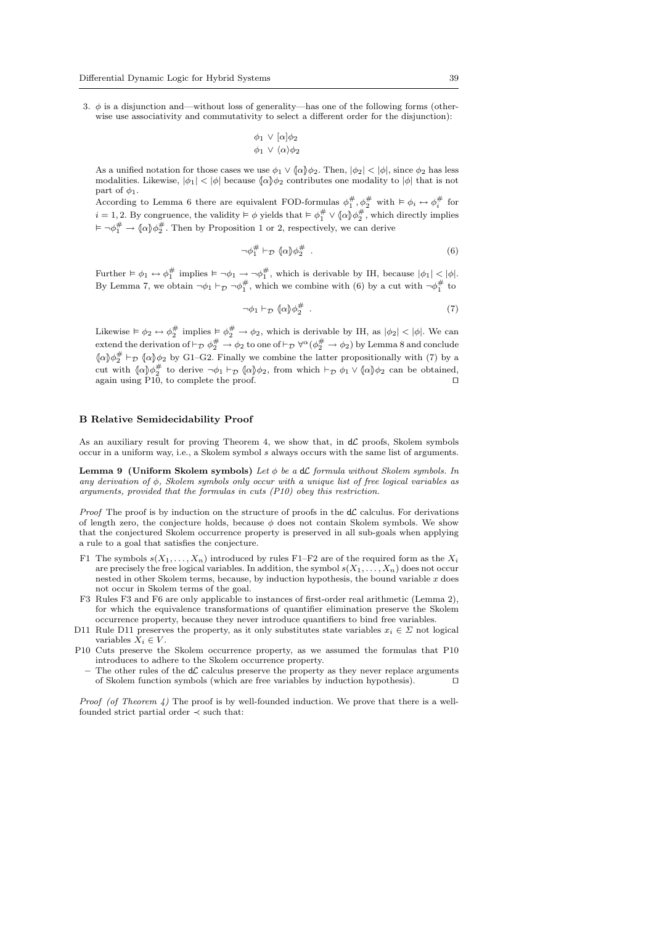3. φ is a disjunction and—without loss of generality—has one of the following forms (otherwise use associativity and commutativity to select a different order for the disjunction):

$$
\phi_1 \lor [\alpha]\phi_2
$$
  

$$
\phi_1 \lor \langle \alpha \rangle \phi_2
$$

As a unified notation for those cases we use  $\phi_1 \vee (\alpha)\phi_2$ . Then,  $|\phi_2| < |\phi|$ , since  $\phi_2$  has less modalities. Likewise,  $|\phi_1| < |\phi|$  because  $\langle \alpha | \phi_2 \rangle$  contributes one modality to  $|\phi|$  that is not part of  $\phi_1$ .

According to Lemma 6 there are equivalent FOD-formulas  $\phi_1^\#, \phi_2^\#$  with  $\models \phi_i \leftrightarrow \phi_i^\#$  for  $i = 1, 2$ . By congruence, the validity  $\models \phi$  yields that  $\models \phi_1^{\#} \vee (\alpha) \phi_2^{\#}$ , which directly implies  $\vDash \neg \phi_1^{\#} \rightarrow \langle \alpha \rangle \phi_2^{\#}$ . Then by Proposition 1 or 2, respectively, we can derive

$$
\neg \phi_1^\# \vdash_{\mathcal{D}} \langle \alpha \rangle \phi_2^\# \tag{6}
$$

Further  $\models \phi_1 \leftrightarrow \phi_1^{\#}$  implies  $\models \neg \phi_1 \rightarrow \neg \phi_1^{\#}$ , which is derivable by IH, because  $|\phi_1| < |\phi|$ . By Lemma 7, we obtain  $\neg \phi_1 \vdash_{\mathcal{D}} \neg \phi_1^{\#}$ , which we combine with (6) by a cut with  $\neg \phi_1^{\#}$  to

$$
\neg \phi_1 \vdash_{\mathcal{D}} \langle \alpha \rangle \phi_2^{\#} \tag{7}
$$

Likewise  $\models \phi_2 \leftrightarrow \phi_2^{\#}$  implies  $\models \phi_2^{\#} \rightarrow \phi_2$ , which is derivable by IH, as  $|\phi_2| < |\phi|$ . We can extend the derivation of  $\vdash_{\mathcal{D}} \phi_2^{\#} \to \phi_2$  to one of  $\vdash_{\mathcal{D}} \forall^{\alpha}(\phi_2^{\#} \to \phi_2)$  by Lemma 8 and conclude  $\{\alpha\}\phi_2^{\#} \vdash_{\mathcal{D}} \{\alpha\}\phi_2$  by G1–G2. Finally we combine the latter propositionally with (7) by a cut with  $\{\alpha\}\phi_2^{\#}$  to derive  $\neg \phi_1 \vdash_{\mathcal{D}} \{\alpha\}\phi_2$ , from which  $\vdash_{\mathcal{D}} \phi_1 \vee (\alpha)\phi_2$  can be obtained, again using P10, to complete the proof.  $\Box$ 

# B Relative Semidecidability Proof

As an auxiliary result for proving Theorem 4, we show that, in  $d\mathcal{L}$  proofs, Skolem symbols occur in a uniform way, i.e., a Skolem symbol s always occurs with the same list of arguments.

Lemma 9 (Uniform Skolem symbols) Let  $\phi$  be a d $\mathcal L$  formula without Skolem symbols. In any derivation of  $\phi$ , Skolem symbols only occur with a unique list of free logical variables as arguments, provided that the formulas in cuts (P10) obey this restriction.

*Proof* The proof is by induction on the structure of proofs in the  $d\mathcal{L}$  calculus. For derivations of length zero, the conjecture holds, because  $\phi$  does not contain Skolem symbols. We show that the conjectured Skolem occurrence property is preserved in all sub-goals when applying a rule to a goal that satisfies the conjecture.

- F1 The symbols  $s(X_1, \ldots, X_n)$  introduced by rules F1–F2 are of the required form as the  $X_i$ are precisely the free logical variables. In addition, the symbol  $s(X_1, \ldots, X_n)$  does not occur nested in other Skolem terms, because, by induction hypothesis, the bound variable  $x$  does not occur in Skolem terms of the goal.
- F3 Rules F3 and F6 are only applicable to instances of first-order real arithmetic (Lemma 2), for which the equivalence transformations of quantifier elimination preserve the Skolem occurrence property, because they never introduce quantifiers to bind free variables.
- D11 Rule D11 preserves the property, as it only substitutes state variables  $x_i \in \Sigma$  not logical variables  $X_i \in V$ .
- P10 Cuts preserve the Skolem occurrence property, as we assumed the formulas that P10 introduces to adhere to the Skolem occurrence property.
	- The other rules of the  $d\mathcal{L}$  calculus preserve the property as they never replace arguments of Skolem function symbols (which are free variables by induction hypothesis).

*Proof (of Theorem 4)* The proof is by well-founded induction. We prove that there is a wellfounded strict partial order  $\prec$  such that: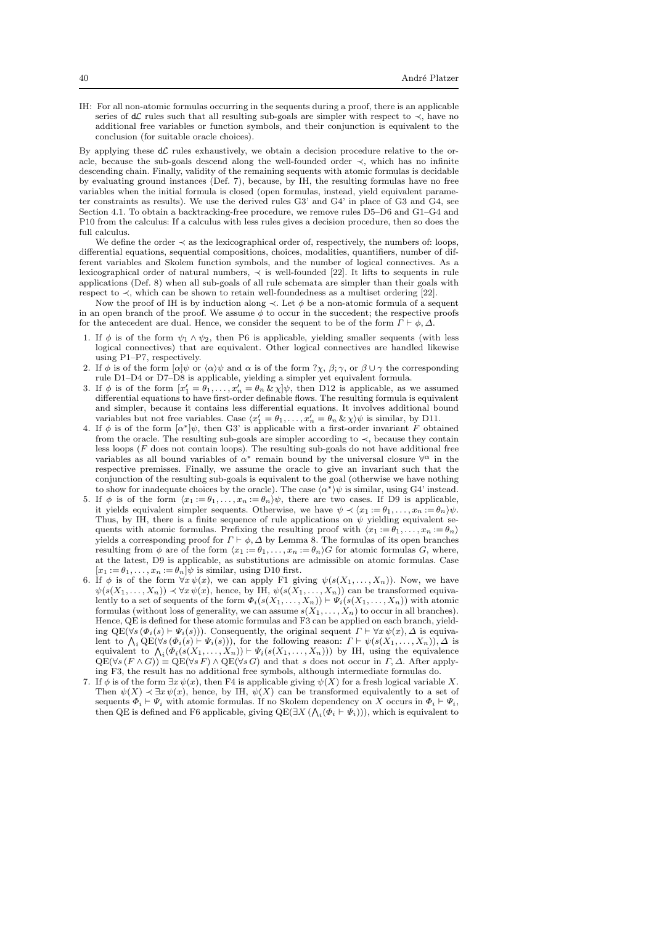IH: For all non-atomic formulas occurring in the sequents during a proof, there is an applicable series of  $d\mathcal{L}$  rules such that all resulting sub-goals are simpler with respect to  $\prec$ , have no additional free variables or function symbols, and their conjunction is equivalent to the conclusion (for suitable oracle choices).

By applying these  $d\mathcal{L}$  rules exhaustively, we obtain a decision procedure relative to the oracle, because the sub-goals descend along the well-founded order ≺, which has no infinite descending chain. Finally, validity of the remaining sequents with atomic formulas is decidable by evaluating ground instances (Def. 7), because, by IH, the resulting formulas have no free variables when the initial formula is closed (open formulas, instead, yield equivalent parameter constraints as results). We use the derived rules G3' and G4' in place of G3 and G4, see Section 4.1. To obtain a backtracking-free procedure, we remove rules D5–D6 and G1–G4 and P10 from the calculus: If a calculus with less rules gives a decision procedure, then so does the full calculus.

We define the order  $\prec$  as the lexicographical order of, respectively, the numbers of: loops, differential equations, sequential compositions, choices, modalities, quantifiers, number of different variables and Skolem function symbols, and the number of logical connectives. As a lexicographical order of natural numbers, ≺ is well-founded [22]. It lifts to sequents in rule applications (Def. 8) when all sub-goals of all rule schemata are simpler than their goals with respect to  $\prec$ , which can be shown to retain well-foundedness as a multiset ordering [22].

Now the proof of IH is by induction along  $\prec$ . Let  $\phi$  be a non-atomic formula of a sequent in an open branch of the proof. We assume  $\phi$  to occur in the succedent; the respective proofs for the antecedent are dual. Hence, we consider the sequent to be of the form  $\Gamma \vdash \phi, \Delta$ .

- 1. If  $\phi$  is of the form  $\psi_1 \wedge \psi_2$ , then P6 is applicable, yielding smaller sequents (with less logical connectives) that are equivalent. Other logical connectives are handled likewise using P1–P7, respectively.
- 2. If  $\phi$  is of the form  $\alpha|\psi$  or  $\langle \alpha \rangle \psi$  and  $\alpha$  is of the form ? $\chi$ ,  $\beta$ ;  $\gamma$ , or  $\beta \cup \gamma$  the corresponding rule D1–D4 or D7–D8 is applicable, yielding a simpler yet equivalent formula.
- 3. If  $\phi$  is of the form  $[x'_1 = \theta_1, \ldots, x'_n = \theta_n \& \chi]\psi$ , then D12 is applicable, as we assumed differential equations to have first-order definable flows. The resulting formula is equivalent and simpler, because it contains less differential equations. It involves additional bound variables but not free variables. Case  $\langle x_1' = \theta_1, \ldots, x_n' = \theta_n \& \chi \rangle \psi$  is similar, by D11.
- 4. If  $\phi$  is of the form  $\lbrack \alpha^* \rbrack \psi$ , then G3' is applicable with a first-order invariant F obtained from the oracle. The resulting sub-goals are simpler according to  $\prec$ , because they contain less loops (F does not contain loops). The resulting sub-goals do not have additional free variables as all bound variables of  $\alpha^*$  remain bound by the universal closure  $\forall^{\alpha}$  in the respective premisses. Finally, we assume the oracle to give an invariant such that the conjunction of the resulting sub-goals is equivalent to the goal (otherwise we have nothing to show for inadequate choices by the oracle). The case  $\langle \alpha^* \rangle \psi$  is similar, using G4' instead.
- 5. If  $\phi$  is of the form  $\langle x_1 := \theta_1, \ldots, x_n := \theta_n \rangle \psi$ , there are two cases. If D9 is applicable, it yields equivalent simpler sequents. Otherwise, we have  $\psi \prec \langle x_1 := \theta_1, \ldots, x_n := \theta_n \rangle \psi$ . Thus, by IH, there is a finite sequence of rule applications on  $\psi$  yielding equivalent sequents with atomic formulas. Prefixing the resulting proof with  $\langle x_1 := \theta_1, \ldots, x_n := \theta_n \rangle$ yields a corresponding proof for  $\Gamma \vdash \phi$ ,  $\Delta$  by Lemma 8. The formulas of its open branches resulting from  $\phi$  are of the form  $\langle x_1 := \theta_1, \ldots, x_n := \theta_n \rangle G$  for atomic formulas G, where, at the latest, D9 is applicable, as substitutions are admissible on atomic formulas. Case  $[x_1 := \theta_1, \ldots, x_n := \theta_n] \psi$  is similar, using D10 first.
- 6. If  $\phi$  is of the form  $\forall x \psi(x)$ , we can apply F1 giving  $\psi(s(X_1, \ldots, X_n))$ . Now, we have  $\psi(s(X_1, \ldots, X_n)) \prec \forall x \psi(x)$ , hence, by IH,  $\psi(s(X_1, \ldots, X_n))$  can be transformed equivalently to a set of sequents of the form  $\Phi_i(s(X_1, \ldots, X_n)) \vdash \Psi_i(s(X_1, \ldots, X_n))$  with atomic formulas (without loss of generality, we can assume  $s(X_1, \ldots, X_n)$  to occur in all branches). Hence, QE is defined for these atomic formulas and F3 can be applied on each branch, yielding  $QE(\forall s (\Phi_i(s) \vdash \Psi_i(s)))$ . Consequently, the original sequent  $\Gamma \vdash \forall x \psi(x)$ ,  $\Delta$  is equivalent to  $\bigwedge_i \text{QE}(\forall s \, (\Phi_i(s) \vdash \Psi_i(s)))$ , for the following reason:  $\Gamma \vdash \psi(s(X_1, \ldots, X_n))$ ,  $\Delta$  is equivalent to  $\bigwedge_i (\Phi_i(s(X_1, \ldots, X_n)) \vdash \Psi_i(s(X_1, \ldots, X_n)))$  by IH, using the equivalence  $\text{QE}(\forall s (F \wedge G)) \equiv \text{QE}(\forall s F) \wedge \text{QE}(\forall s G)$  and that s does not occur in  $\Gamma$ ,  $\Delta$ . After applying F3, the result has no additional free symbols, although intermediate formulas do.
- 7. If  $\phi$  is of the form  $\exists x \psi(x)$ , then F4 is applicable giving  $\psi(X)$  for a fresh logical variable X. Then  $\psi(X) \prec \exists x \psi(x)$ , hence, by IH,  $\psi(X)$  can be transformed equivalently to a set of sequents  $\Phi_i \vdash \Psi_i$  with atomic formulas. If no Skolem dependency on X occurs in  $\Phi_i \vdash \Psi_i$ , then QE is defined and F6 applicable, giving QE( $\exists X (\bigwedge_i (\Phi_i \vdash \Psi_i)))$ , which is equivalent to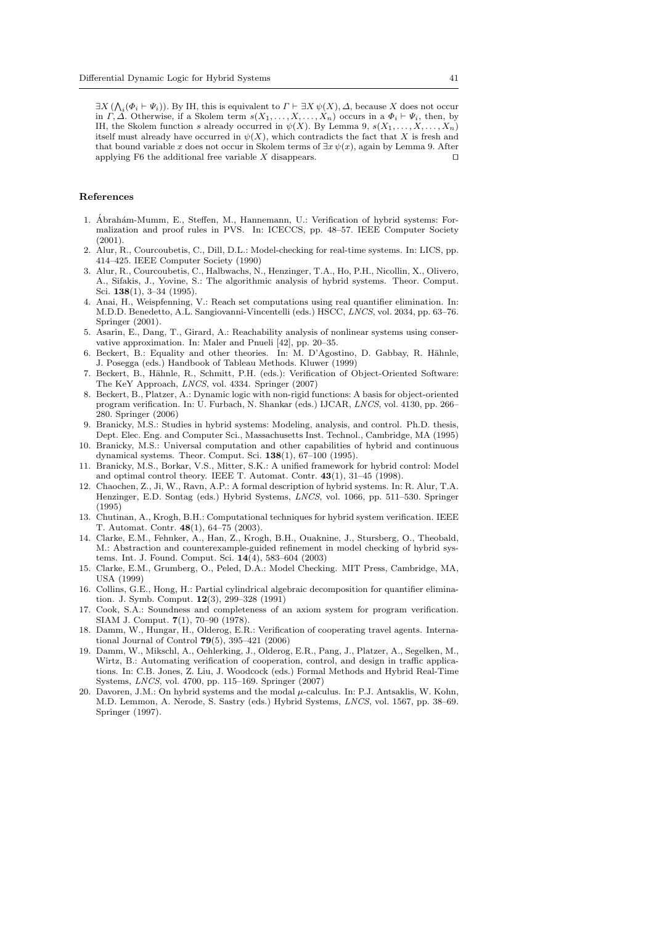$\exists X (\bigwedge_i (\Phi_i \vdash \Psi_i))$ . By IH, this is equivalent to  $\Gamma \vdash \exists X \psi(X), \Delta$ , because X does not occur in Γ, Δ. Otherwise, if a Skolem term  $s(X_1, \ldots, X, \ldots, X_n)$  occurs in a  $\Phi_i \vdash \Psi_i$ , then, by IH, the Skolem function s already occurred in  $\psi(X)$ . By Lemma 9,  $s(X_1, \ldots, X, \ldots, X_n)$ itself must already have occurred in  $\psi(X)$ , which contradicts the fact that X is fresh and that bound variable x does not occur in Skolem terms of  $\exists x \psi(x)$ , again by Lemma 9. After applying  $F6$  the additional free variable  $X$  disappears.

# References

- 1. Abrah´am-Mumm, E., Steffen, M., Hannemann, U.: Verification of hybrid systems: For- ´ malization and proof rules in PVS. In: ICECCS, pp. 48–57. IEEE Computer Society  $(2001)$
- 2. Alur, R., Courcoubetis, C., Dill, D.L.: Model-checking for real-time systems. In: LICS, pp. 414–425. IEEE Computer Society (1990)
- 3. Alur, R., Courcoubetis, C., Halbwachs, N., Henzinger, T.A., Ho, P.H., Nicollin, X., Olivero, A., Sifakis, J., Yovine, S.: The algorithmic analysis of hybrid systems. Theor. Comput. Sci. 138(1), 3–34 (1995).
- 4. Anai, H., Weispfenning, V.: Reach set computations using real quantifier elimination. In: M.D.D. Benedetto, A.L. Sangiovanni-Vincentelli (eds.) HSCC, LNCS, vol. 2034, pp. 63–76. Springer (2001).
- 5. Asarin, E., Dang, T., Girard, A.: Reachability analysis of nonlinear systems using conservative approximation. In: Maler and Pnueli [42], pp. 20–35.
- 6. Beckert, B.: Equality and other theories. In: M. D'Agostino, D. Gabbay, R. Hähnle, J. Posegga (eds.) Handbook of Tableau Methods. Kluwer (1999)
- 7. Beckert, B., Hähnle, R., Schmitt, P.H. (eds.): Verification of Object-Oriented Software: The KeY Approach, LNCS, vol. 4334. Springer (2007)
- 8. Beckert, B., Platzer, A.: Dynamic logic with non-rigid functions: A basis for object-oriented program verification. In: U. Furbach, N. Shankar (eds.) IJCAR, LNCS, vol. 4130, pp. 266– 280. Springer (2006)
- 9. Branicky, M.S.: Studies in hybrid systems: Modeling, analysis, and control. Ph.D. thesis, Dept. Elec. Eng. and Computer Sci., Massachusetts Inst. Technol., Cambridge, MA (1995)
- 10. Branicky, M.S.: Universal computation and other capabilities of hybrid and continuous dynamical systems. Theor. Comput. Sci. 138(1), 67–100 (1995).
- 11. Branicky, M.S., Borkar, V.S., Mitter, S.K.: A unified framework for hybrid control: Model and optimal control theory. IEEE T. Automat. Contr. 43(1), 31–45 (1998).
- 12. Chaochen, Z., Ji, W., Ravn, A.P.: A formal description of hybrid systems. In: R. Alur, T.A. Henzinger, E.D. Sontag (eds.) Hybrid Systems, LNCS, vol. 1066, pp. 511–530. Springer (1995)
- 13. Chutinan, A., Krogh, B.H.: Computational techniques for hybrid system verification. IEEE T. Automat. Contr. 48(1), 64–75 (2003).
- 14. Clarke, E.M., Fehnker, A., Han, Z., Krogh, B.H., Ouaknine, J., Stursberg, O., Theobald, M.: Abstraction and counterexample-guided refinement in model checking of hybrid systems. Int. J. Found. Comput. Sci. 14(4), 583–604 (2003)
- 15. Clarke, E.M., Grumberg, O., Peled, D.A.: Model Checking. MIT Press, Cambridge, MA, USA (1999)
- 16. Collins, G.E., Hong, H.: Partial cylindrical algebraic decomposition for quantifier elimination. J. Symb. Comput. 12(3), 299–328 (1991)
- 17. Cook, S.A.: Soundness and completeness of an axiom system for program verification. SIAM J. Comput. 7(1), 70–90 (1978).
- 18. Damm, W., Hungar, H., Olderog, E.R.: Verification of cooperating travel agents. International Journal of Control 79(5), 395–421 (2006)
- 19. Damm, W., Mikschl, A., Oehlerking, J., Olderog, E.R., Pang, J., Platzer, A., Segelken, M., Wirtz, B.: Automating verification of cooperation, control, and design in traffic applications. In: C.B. Jones, Z. Liu, J. Woodcock (eds.) Formal Methods and Hybrid Real-Time Systems, LNCS, vol. 4700, pp. 115–169. Springer (2007)
- 20. Davoren, J.M.: On hybrid systems and the modal  $\mu$ -calculus. In: P.J. Antsaklis, W. Kohn, M.D. Lemmon, A. Nerode, S. Sastry (eds.) Hybrid Systems, LNCS, vol. 1567, pp. 38–69. Springer (1997).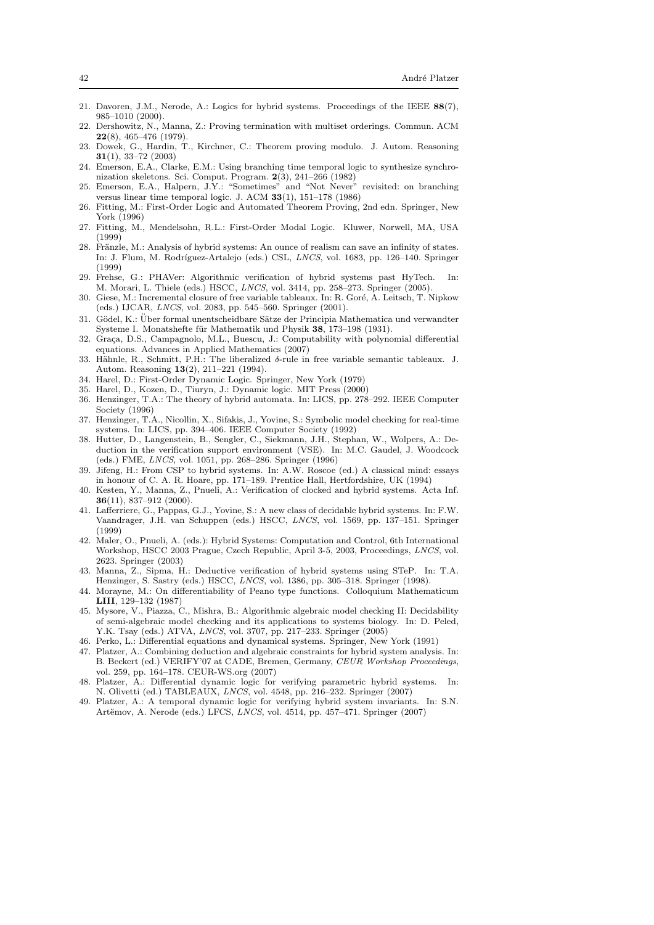- 21. Davoren, J.M., Nerode, A.: Logics for hybrid systems. Proceedings of the IEEE 88(7), 985–1010 (2000).
- 22. Dershowitz, N., Manna, Z.: Proving termination with multiset orderings. Commun. ACM 22(8), 465–476 (1979).
- 23. Dowek, G., Hardin, T., Kirchner, C.: Theorem proving modulo. J. Autom. Reasoning 31(1), 33–72 (2003)
- 24. Emerson, E.A., Clarke, E.M.: Using branching time temporal logic to synthesize synchronization skeletons. Sci. Comput. Program. 2(3), 241–266 (1982)
- 25. Emerson, E.A., Halpern, J.Y.: "Sometimes" and "Not Never" revisited: on branching versus linear time temporal logic. J. ACM 33(1), 151–178 (1986)
- 26. Fitting, M.: First-Order Logic and Automated Theorem Proving, 2nd edn. Springer, New York (1996)
- 27. Fitting, M., Mendelsohn, R.L.: First-Order Modal Logic. Kluwer, Norwell, MA, USA (1999)
- 28. Fränzle, M.: Analysis of hybrid systems: An ounce of realism can save an infinity of states. In: J. Flum, M. Rodríguez-Artalejo (eds.) CSL, LNCS, vol. 1683, pp. 126-140. Springer (1999)
- 29. Frehse, G.: PHAVer: Algorithmic verification of hybrid systems past HyTech. In: M. Morari, L. Thiele (eds.) HSCC, *LNCS*, vol. 3414, pp. 258–273. Springer (2005).
- 30. Giese, M.: Incremental closure of free variable tableaux. In: R. Goré, A. Leitsch, T. Nipkow (eds.) IJCAR, LNCS, vol. 2083, pp. 545–560. Springer (2001).
- 31. Gödel, K.: Über formal unentscheidbare Sätze der Principia Mathematica und verwandter Systeme I. Monatshefte für Mathematik und Physik 38, 173–198 (1931).
- 32. Graça, D.S., Campagnolo, M.L., Buescu, J.: Computability with polynomial differential equations. Advances in Applied Mathematics (2007)
- 33. Hähnle, R., Schmitt, P.H.: The liberalized  $\delta$ -rule in free variable semantic tableaux. J. Autom. Reasoning 13(2), 211–221 (1994).
- 34. Harel, D.: First-Order Dynamic Logic. Springer, New York (1979)
- 35. Harel, D., Kozen, D., Tiuryn, J.: Dynamic logic. MIT Press (2000)
- 36. Henzinger, T.A.: The theory of hybrid automata. In: LICS, pp. 278–292. IEEE Computer Society (1996)
- 37. Henzinger, T.A., Nicollin, X., Sifakis, J., Yovine, S.: Symbolic model checking for real-time systems. In: LICS, pp. 394–406. IEEE Computer Society (1992)
- 38. Hutter, D., Langenstein, B., Sengler, C., Siekmann, J.H., Stephan, W., Wolpers, A.: Deduction in the verification support environment (VSE). In: M.C. Gaudel, J. Woodcock (eds.) FME, LNCS, vol. 1051, pp. 268–286. Springer (1996)
- 39. Jifeng, H.: From CSP to hybrid systems. In: A.W. Roscoe (ed.) A classical mind: essays in honour of C. A. R. Hoare, pp. 171–189. Prentice Hall, Hertfordshire, UK (1994)
- 40. Kesten, Y., Manna, Z., Pnueli, A.: Verification of clocked and hybrid systems. Acta Inf. 36(11), 837–912 (2000).
- 41. Lafferriere, G., Pappas, G.J., Yovine, S.: A new class of decidable hybrid systems. In: F.W. Vaandrager, J.H. van Schuppen (eds.) HSCC, LNCS, vol. 1569, pp. 137–151. Springer (1999)
- 42. Maler, O., Pnueli, A. (eds.): Hybrid Systems: Computation and Control, 6th International Workshop, HSCC 2003 Prague, Czech Republic, April 3-5, 2003, Proceedings, LNCS, vol. 2623. Springer (2003)
- 43. Manna, Z., Sipma, H.: Deductive verification of hybrid systems using STeP. In: T.A. Henzinger, S. Sastry (eds.) HSCC, LNCS, vol. 1386, pp. 305–318. Springer (1998).
- 44. Morayne, M.: On differentiability of Peano type functions. Colloquium Mathematicum LIII, 129–132 (1987)
- 45. Mysore, V., Piazza, C., Mishra, B.: Algorithmic algebraic model checking II: Decidability of semi-algebraic model checking and its applications to systems biology. In: D. Peled, Y.K. Tsay (eds.) ATVA, LNCS, vol. 3707, pp. 217–233. Springer (2005)
- 46. Perko, L.: Differential equations and dynamical systems. Springer, New York (1991)
- 47. Platzer, A.: Combining deduction and algebraic constraints for hybrid system analysis. In: B. Beckert (ed.) VERIFY'07 at CADE, Bremen, Germany, CEUR Workshop Proceedings, vol. 259, pp. 164–178. CEUR-WS.org (2007)
- 48. Platzer, A.: Differential dynamic logic for verifying parametric hybrid systems. In: N. Olivetti (ed.) TABLEAUX, LNCS, vol. 4548, pp. 216–232. Springer (2007)
- 49. Platzer, A.: A temporal dynamic logic for verifying hybrid system invariants. In: S.N. Artëmov, A. Nerode (eds.) LFCS, *LNCS*, vol. 4514, pp. 457-471. Springer (2007)